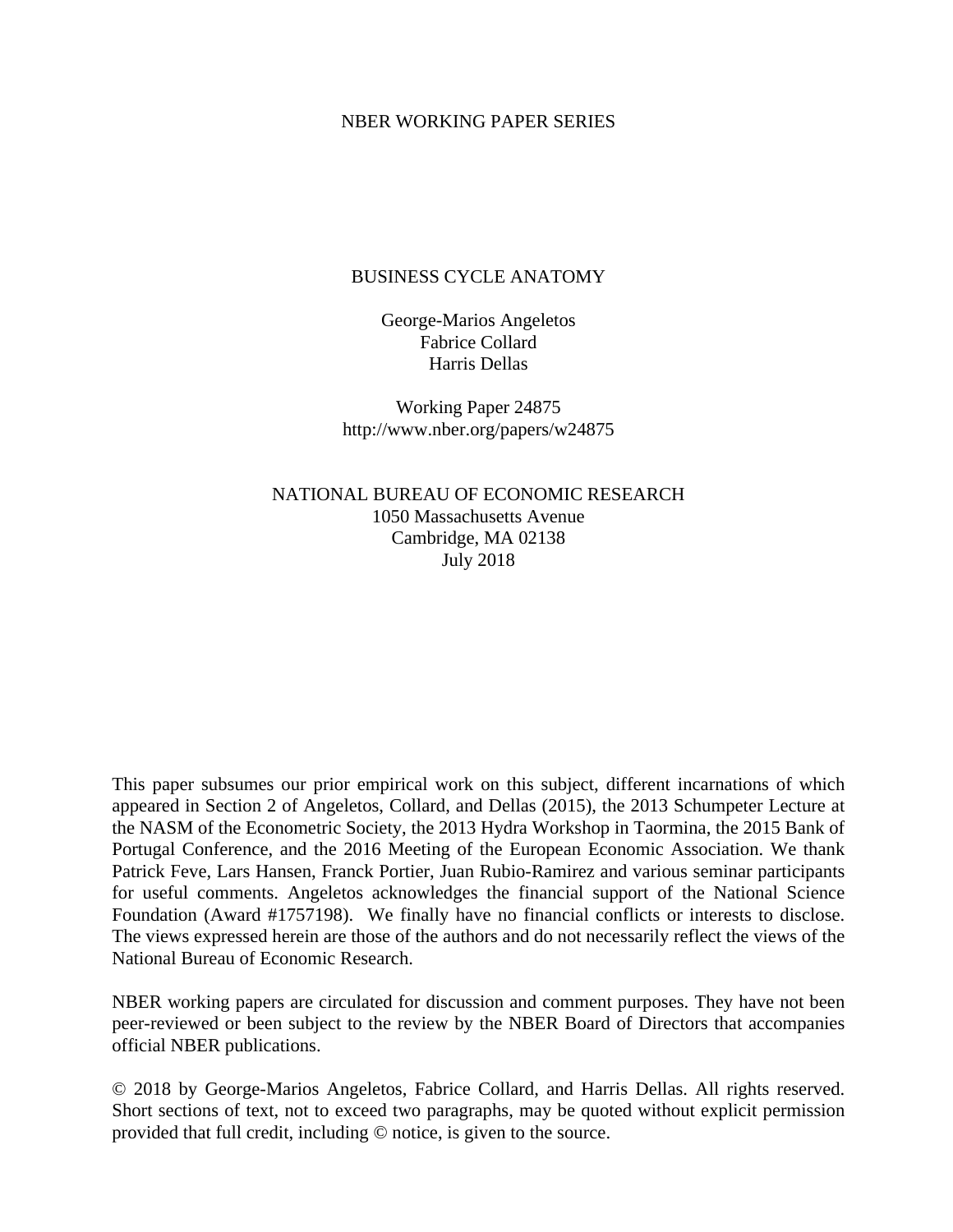## NBER WORKING PAPER SERIES

## BUSINESS CYCLE ANATOMY

George-Marios Angeletos Fabrice Collard Harris Dellas

Working Paper 24875 http://www.nber.org/papers/w24875

NATIONAL BUREAU OF ECONOMIC RESEARCH 1050 Massachusetts Avenue Cambridge, MA 02138 July 2018

This paper subsumes our prior empirical work on this subject, different incarnations of which appeared in Section 2 of Angeletos, Collard, and Dellas (2015), the 2013 Schumpeter Lecture at the NASM of the Econometric Society, the 2013 Hydra Workshop in Taormina, the 2015 Bank of Portugal Conference, and the 2016 Meeting of the European Economic Association. We thank Patrick Feve, Lars Hansen, Franck Portier, Juan Rubio-Ramirez and various seminar participants for useful comments. Angeletos acknowledges the financial support of the National Science Foundation (Award #1757198). We finally have no financial conflicts or interests to disclose. The views expressed herein are those of the authors and do not necessarily reflect the views of the National Bureau of Economic Research.

NBER working papers are circulated for discussion and comment purposes. They have not been peer-reviewed or been subject to the review by the NBER Board of Directors that accompanies official NBER publications.

© 2018 by George-Marios Angeletos, Fabrice Collard, and Harris Dellas. All rights reserved. Short sections of text, not to exceed two paragraphs, may be quoted without explicit permission provided that full credit, including © notice, is given to the source.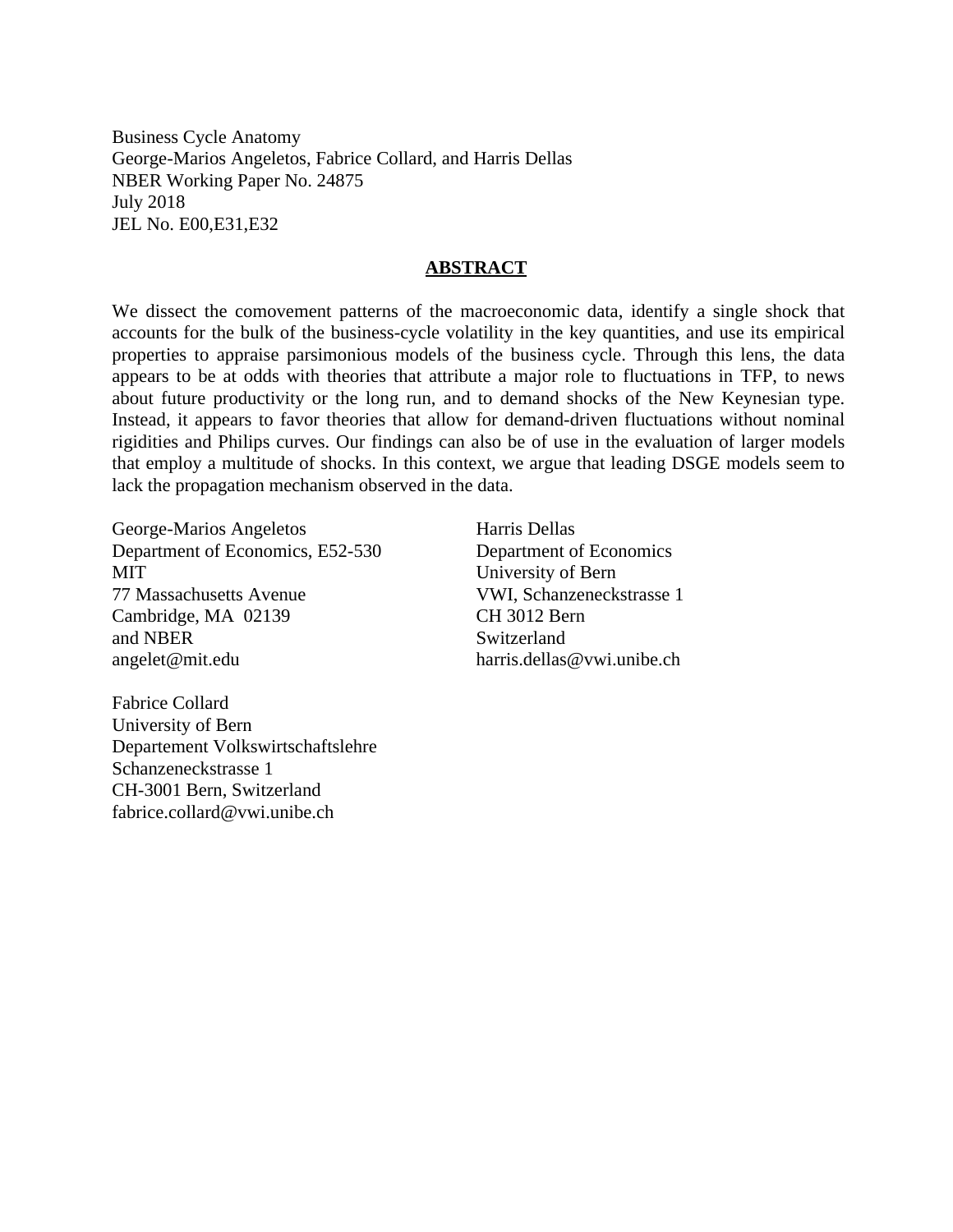Business Cycle Anatomy George-Marios Angeletos, Fabrice Collard, and Harris Dellas NBER Working Paper No. 24875 July 2018 JEL No. E00,E31,E32

## **ABSTRACT**

We dissect the comovement patterns of the macroeconomic data, identify a single shock that accounts for the bulk of the business-cycle volatility in the key quantities, and use its empirical properties to appraise parsimonious models of the business cycle. Through this lens, the data appears to be at odds with theories that attribute a major role to fluctuations in TFP, to news about future productivity or the long run, and to demand shocks of the New Keynesian type. Instead, it appears to favor theories that allow for demand-driven fluctuations without nominal rigidities and Philips curves. Our findings can also be of use in the evaluation of larger models that employ a multitude of shocks. In this context, we argue that leading DSGE models seem to lack the propagation mechanism observed in the data.

George-Marios Angeletos Department of Economics, E52-530 MIT 77 Massachusetts Avenue Cambridge, MA 02139 and NBER angelet@mit.edu

Fabrice Collard University of Bern Departement Volkswirtschaftslehre Schanzeneckstrasse 1 CH-3001 Bern, Switzerland fabrice.collard@vwi.unibe.ch

Harris Dellas Department of Economics University of Bern VWI, Schanzeneckstrasse 1 CH 3012 Bern Switzerland harris.dellas@vwi.unibe.ch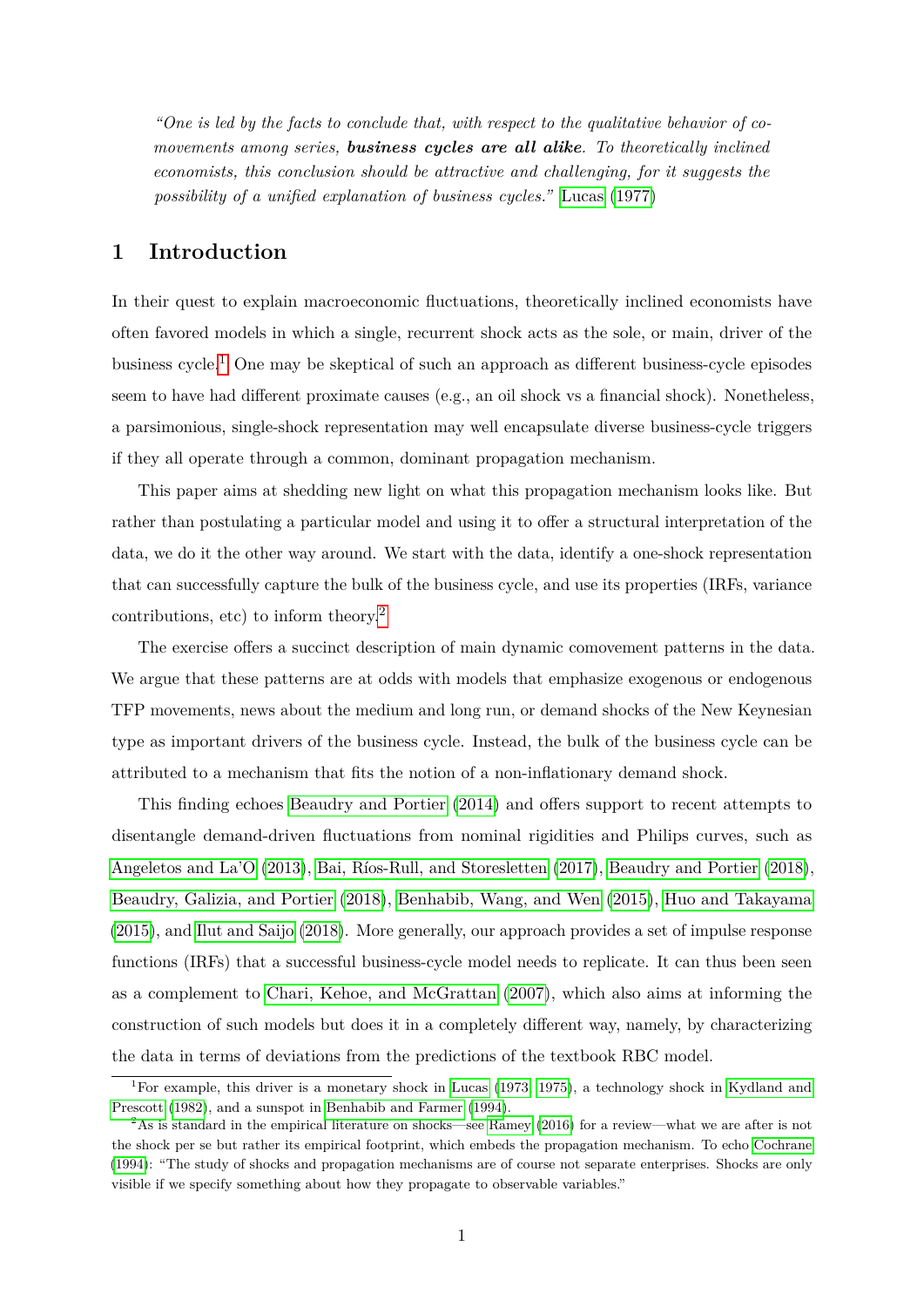*"One is led by the facts to conclude that, with respect to the qualitative behavior of comovements among series, business cycles are all alike. To theoretically inclined economists, this conclusion should be attractive and challenging, for it suggests the possibility of a unified explanation of business cycles."* [Lucas \(1977\)](#page-33-0)

## **1 Introduction**

In their quest to explain macroeconomic fluctuations, theoretically inclined economists have often favored models in which a single, recurrent shock acts as the sole, or main, driver of the business cycle.<sup>[1](#page-2-0)</sup> One may be skeptical of such an approach as different business-cycle episodes seem to have had different proximate causes (e.g., an oil shock vs a financial shock). Nonetheless, a parsimonious, single-shock representation may well encapsulate diverse business-cycle triggers if they all operate through a common, dominant propagation mechanism.

This paper aims at shedding new light on what this propagation mechanism looks like. But rather than postulating a particular model and using it to offer a structural interpretation of the data, we do it the other way around. We start with the data, identify a one-shock representation that can successfully capture the bulk of the business cycle, and use its properties (IRFs, variance contributions, etc) to inform theory.[2](#page-2-1)

The exercise offers a succinct description of main dynamic comovement patterns in the data. We argue that these patterns are at odds with models that emphasize exogenous or endogenous TFP movements, news about the medium and long run, or demand shocks of the New Keynesian type as important drivers of the business cycle. Instead, the bulk of the business cycle can be attributed to a mechanism that fits the notion of a non-inflationary demand shock.

This finding echoes [Beaudry and Portier \(2014\)](#page-31-0) and offers support to recent attempts to disentangle demand-driven fluctuations from nominal rigidities and Philips curves, such as [Angeletos and La'O \(2013\)](#page-30-0), Bai, Ríos-Rull, and Storesletten (2017), [Beaudry and Portier \(2018\)](#page-31-1), [Beaudry, Galizia, and Portier \(2018\)](#page-30-2), [Benhabib, Wang, and Wen \(2015\)](#page-31-2), [Huo and Takayama](#page-33-1) [\(2015\)](#page-33-1), and [Ilut and Saijo \(2018\)](#page-33-2). More generally, our approach provides a set of impulse response functions (IRFs) that a successful business-cycle model needs to replicate. It can thus been seen as a complement to [Chari, Kehoe, and McGrattan \(2007\)](#page-32-0), which also aims at informing the construction of such models but does it in a completely different way, namely, by characterizing the data in terms of deviations from the predictions of the textbook RBC model.

<span id="page-2-0"></span><sup>1</sup>For example, this driver is a monetary shock in [Lucas](#page-33-3) [\(1973,](#page-33-3) [1975\)](#page-33-4), a technology shock in [Kydland and](#page-33-5) [Prescott](#page-33-5) [\(1982\)](#page-33-5), and a sunspot in [Benhabib and Farmer](#page-31-3) [\(1994\)](#page-31-3).

<span id="page-2-1"></span> $^{2}$ As is standard in the empirical literature on shocks—see [Ramey](#page-34-0) [\(2016\)](#page-34-0) for a review—what we are after is not the shock per se but rather its empirical footprint, which embeds the propagation mechanism. To echo [Cochrane](#page-32-1) [\(1994\)](#page-32-1): "The study of shocks and propagation mechanisms are of course not separate enterprises. Shocks are only visible if we specify something about how they propagate to observable variables."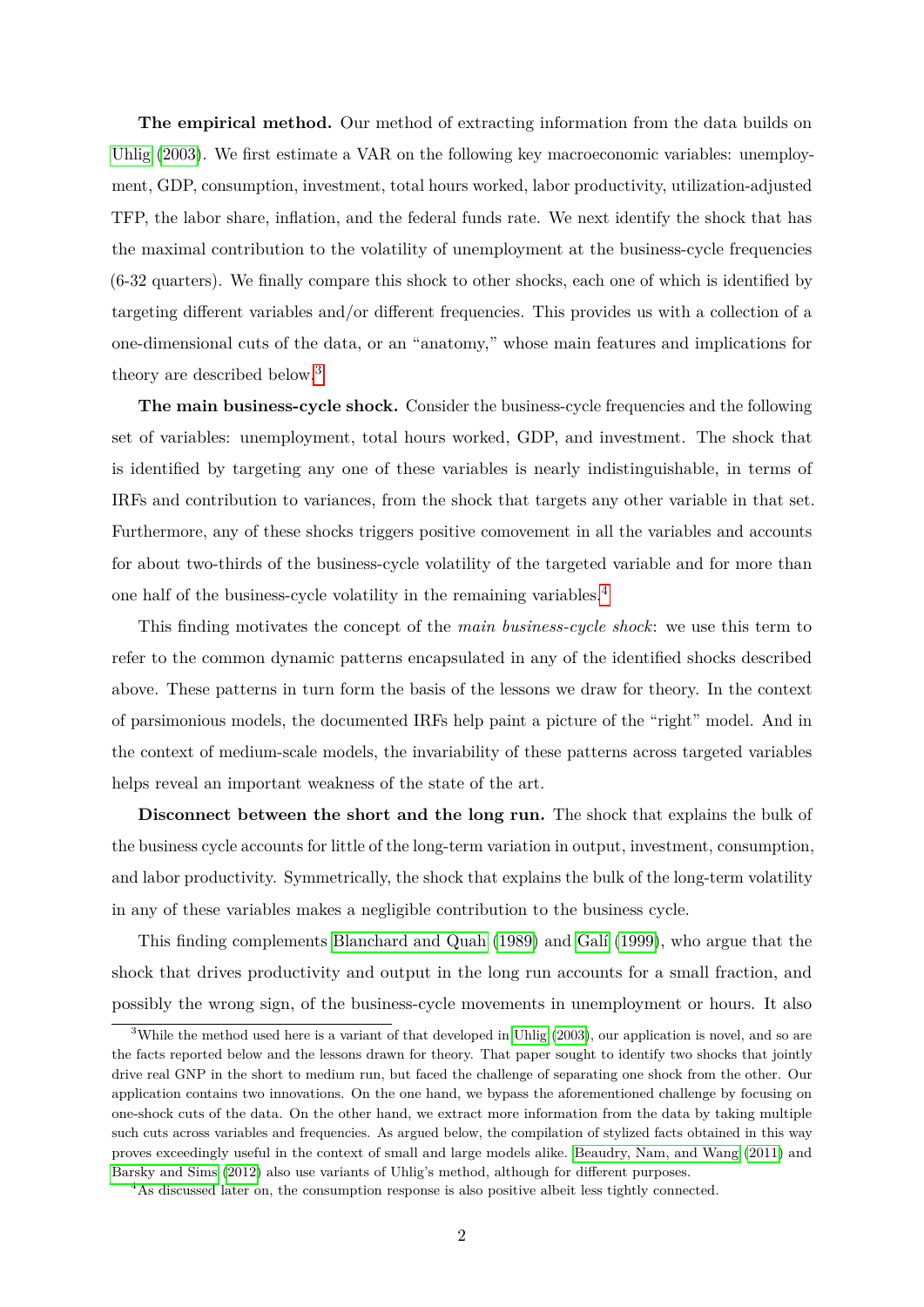**The empirical method.** Our method of extracting information from the data builds on [Uhlig \(2003\)](#page-34-1). We first estimate a VAR on the following key macroeconomic variables: unemployment, GDP, consumption, investment, total hours worked, labor productivity, utilization-adjusted TFP, the labor share, inflation, and the federal funds rate. We next identify the shock that has the maximal contribution to the volatility of unemployment at the business-cycle frequencies (6-32 quarters). We finally compare this shock to other shocks, each one of which is identified by targeting different variables and/or different frequencies. This provides us with a collection of a one-dimensional cuts of the data, or an "anatomy," whose main features and implications for theory are described below.<sup>[3](#page-3-0)</sup>

**The main business-cycle shock.** Consider the business-cycle frequencies and the following set of variables: unemployment, total hours worked, GDP, and investment. The shock that is identified by targeting any one of these variables is nearly indistinguishable, in terms of IRFs and contribution to variances, from the shock that targets any other variable in that set. Furthermore, any of these shocks triggers positive comovement in all the variables and accounts for about two-thirds of the business-cycle volatility of the targeted variable and for more than one half of the business-cycle volatility in the remaining variables.[4](#page-3-1)

This finding motivates the concept of the *main business-cycle shock*: we use this term to refer to the common dynamic patterns encapsulated in any of the identified shocks described above. These patterns in turn form the basis of the lessons we draw for theory. In the context of parsimonious models, the documented IRFs help paint a picture of the "right" model. And in the context of medium-scale models, the invariability of these patterns across targeted variables helps reveal an important weakness of the state of the art.

**Disconnect between the short and the long run.** The shock that explains the bulk of the business cycle accounts for little of the long-term variation in output, investment, consumption, and labor productivity. Symmetrically, the shock that explains the bulk of the long-term volatility in any of these variables makes a negligible contribution to the business cycle.

This finding complements [Blanchard and Quah \(1989\)](#page-31-4) and Galí (1999), who argue that the shock that drives productivity and output in the long run accounts for a small fraction, and possibly the wrong sign, of the business-cycle movements in unemployment or hours. It also

<span id="page-3-0"></span><sup>&</sup>lt;sup>3</sup>While the method used here is a variant of that developed in [Uhlig](#page-34-1) [\(2003\)](#page-34-1), our application is novel, and so are the facts reported below and the lessons drawn for theory. That paper sought to identify two shocks that jointly drive real GNP in the short to medium run, but faced the challenge of separating one shock from the other. Our application contains two innovations. On the one hand, we bypass the aforementioned challenge by focusing on one-shock cuts of the data. On the other hand, we extract more information from the data by taking multiple such cuts across variables and frequencies. As argued below, the compilation of stylized facts obtained in this way proves exceedingly useful in the context of small and large models alike. [Beaudry, Nam, and Wang](#page-30-3) [\(2011\)](#page-30-3) and [Barsky and Sims](#page-30-4) [\(2012\)](#page-30-4) also use variants of Uhlig's method, although for different purposes.

<span id="page-3-1"></span><sup>4</sup>As discussed later on, the consumption response is also positive albeit less tightly connected.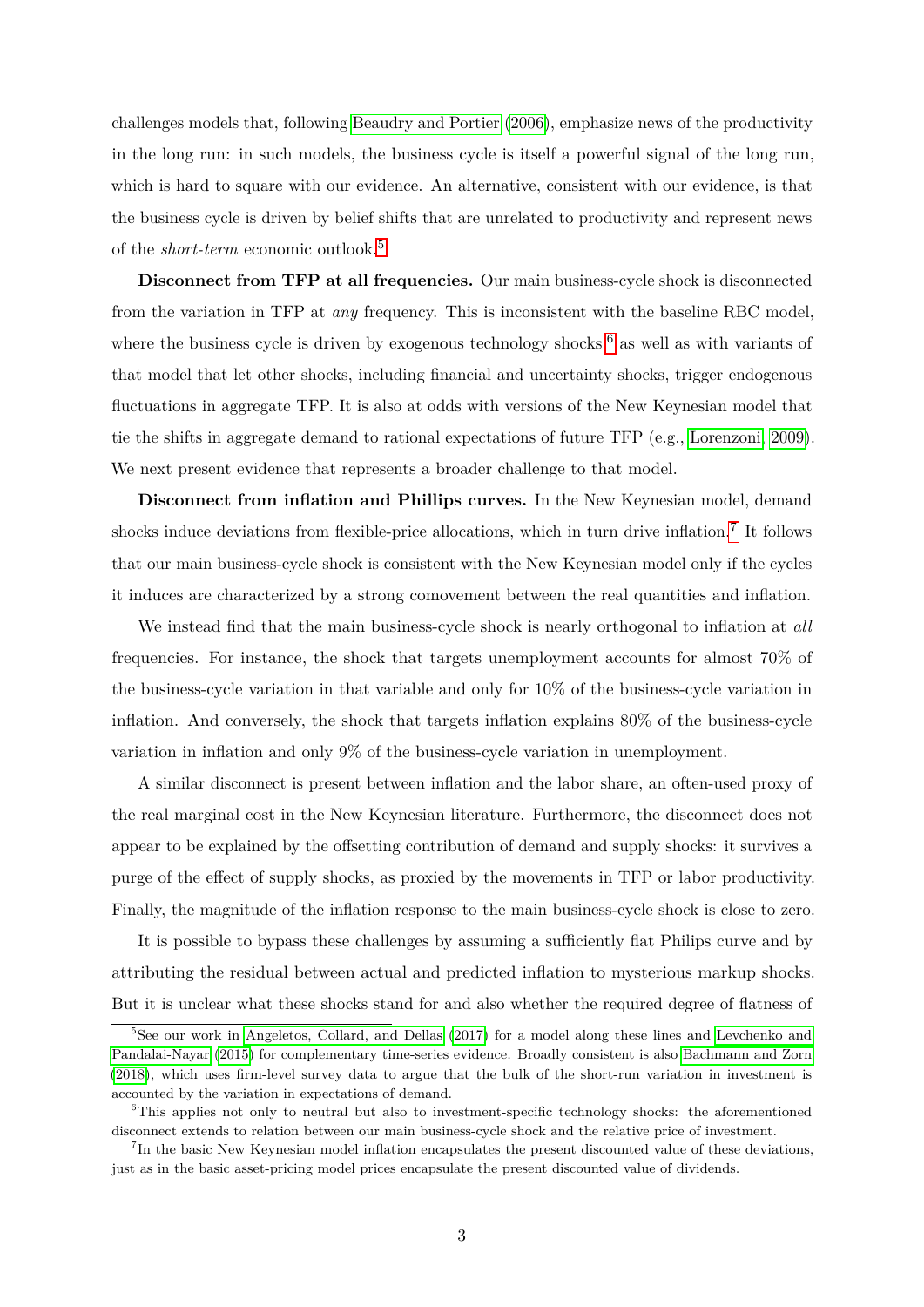challenges models that, following [Beaudry and Portier \(2006\)](#page-30-5), emphasize news of the productivity in the long run: in such models, the business cycle is itself a powerful signal of the long run, which is hard to square with our evidence. An alternative, consistent with our evidence, is that the business cycle is driven by belief shifts that are unrelated to productivity and represent news of the *short-term* economic outlook.[5](#page-4-0)

**Disconnect from TFP at all frequencies.** Our main business-cycle shock is disconnected from the variation in TFP at *any* frequency. This is inconsistent with the baseline RBC model, where the business cycle is driven by exogenous technology shocks,<sup>[6](#page-4-1)</sup> as well as with variants of that model that let other shocks, including financial and uncertainty shocks, trigger endogenous fluctuations in aggregate TFP. It is also at odds with versions of the New Keynesian model that tie the shifts in aggregate demand to rational expectations of future TFP (e.g., [Lorenzoni, 2009\)](#page-33-6). We next present evidence that represents a broader challenge to that model.

**Disconnect from inflation and Phillips curves.** In the New Keynesian model, demand shocks induce deviations from flexible-price allocations, which in turn drive inflation.<sup>[7](#page-4-2)</sup> It follows that our main business-cycle shock is consistent with the New Keynesian model only if the cycles it induces are characterized by a strong comovement between the real quantities and inflation.

We instead find that the main business-cycle shock is nearly orthogonal to inflation at *all* frequencies. For instance, the shock that targets unemployment accounts for almost 70% of the business-cycle variation in that variable and only for 10% of the business-cycle variation in inflation. And conversely, the shock that targets inflation explains 80% of the business-cycle variation in inflation and only 9% of the business-cycle variation in unemployment.

A similar disconnect is present between inflation and the labor share, an often-used proxy of the real marginal cost in the New Keynesian literature. Furthermore, the disconnect does not appear to be explained by the offsetting contribution of demand and supply shocks: it survives a purge of the effect of supply shocks, as proxied by the movements in TFP or labor productivity. Finally, the magnitude of the inflation response to the main business-cycle shock is close to zero.

It is possible to bypass these challenges by assuming a sufficiently flat Philips curve and by attributing the residual between actual and predicted inflation to mysterious markup shocks. But it is unclear what these shocks stand for and also whether the required degree of flatness of

<span id="page-4-0"></span><sup>5</sup>See our work in [Angeletos, Collard, and Dellas](#page-30-6) [\(2017\)](#page-30-6) for a model along these lines and [Levchenko and](#page-33-7) [Pandalai-Nayar](#page-33-7) [\(2015\)](#page-33-7) for complementary time-series evidence. Broadly consistent is also [Bachmann and Zorn](#page-30-7) [\(2018\)](#page-30-7), which uses firm-level survey data to argue that the bulk of the short-run variation in investment is accounted by the variation in expectations of demand.

<span id="page-4-1"></span><sup>&</sup>lt;sup>6</sup>This applies not only to neutral but also to investment-specific technology shocks: the aforementioned disconnect extends to relation between our main business-cycle shock and the relative price of investment.

<span id="page-4-2"></span><sup>7</sup> In the basic New Keynesian model inflation encapsulates the present discounted value of these deviations, just as in the basic asset-pricing model prices encapsulate the present discounted value of dividends.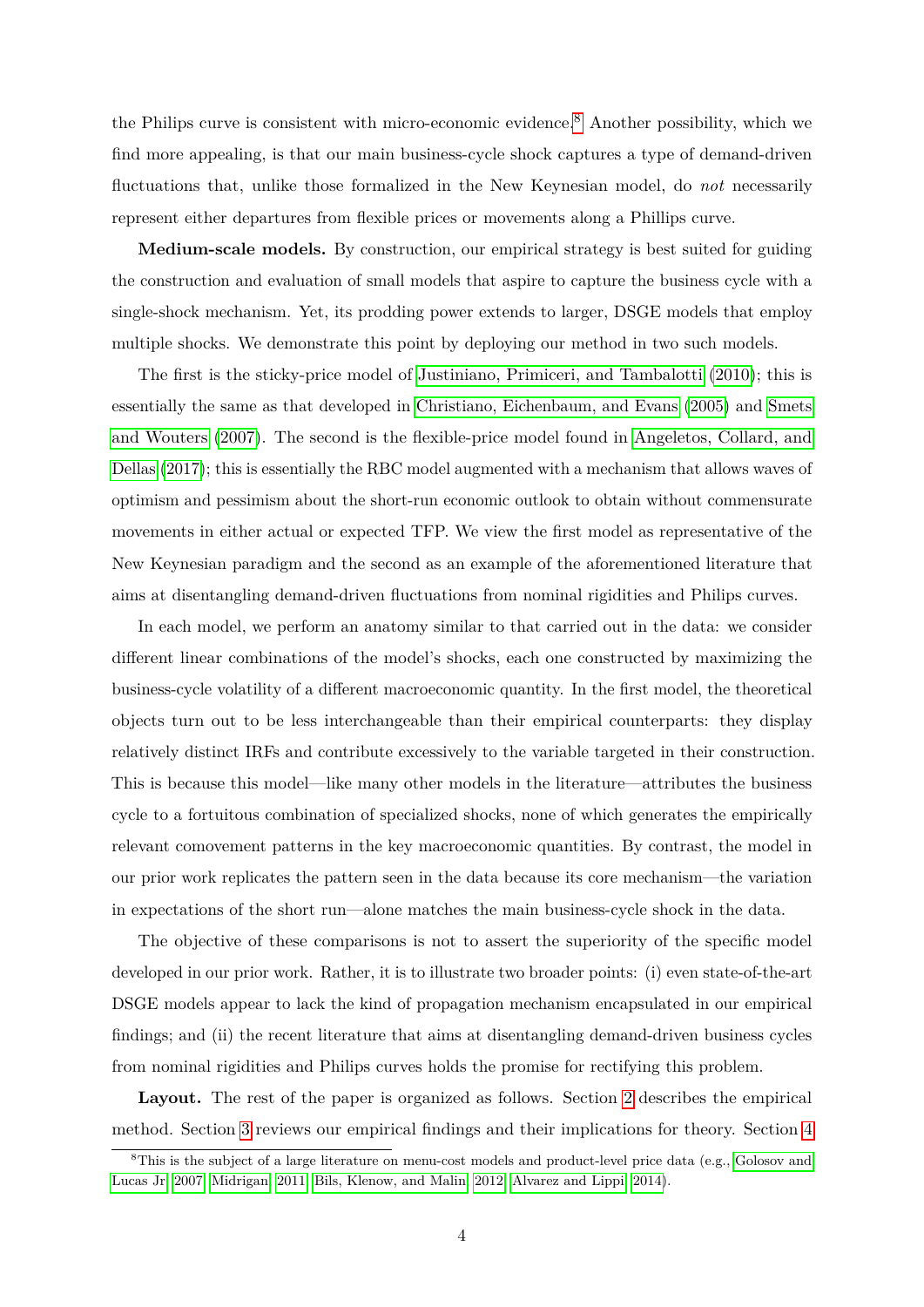the Philips curve is consistent with micro-economic evidence.<sup>[8](#page-5-0)</sup> Another possibility, which we find more appealing, is that our main business-cycle shock captures a type of demand-driven fluctuations that, unlike those formalized in the New Keynesian model, do *not* necessarily represent either departures from flexible prices or movements along a Phillips curve.

**Medium-scale models.** By construction, our empirical strategy is best suited for guiding the construction and evaluation of small models that aspire to capture the business cycle with a single-shock mechanism. Yet, its prodding power extends to larger, DSGE models that employ multiple shocks. We demonstrate this point by deploying our method in two such models.

The first is the sticky-price model of [Justiniano, Primiceri, and Tambalotti \(2010\)](#page-33-8); this is essentially the same as that developed in [Christiano, Eichenbaum, and Evans \(2005\)](#page-32-3) and [Smets](#page-34-2) [and Wouters \(2007\)](#page-34-2). The second is the flexible-price model found in [Angeletos, Collard, and](#page-30-6) [Dellas \(2017\)](#page-30-6); this is essentially the RBC model augmented with a mechanism that allows waves of optimism and pessimism about the short-run economic outlook to obtain without commensurate movements in either actual or expected TFP. We view the first model as representative of the New Keynesian paradigm and the second as an example of the aforementioned literature that aims at disentangling demand-driven fluctuations from nominal rigidities and Philips curves.

In each model, we perform an anatomy similar to that carried out in the data: we consider different linear combinations of the model's shocks, each one constructed by maximizing the business-cycle volatility of a different macroeconomic quantity. In the first model, the theoretical objects turn out to be less interchangeable than their empirical counterparts: they display relatively distinct IRFs and contribute excessively to the variable targeted in their construction. This is because this model—like many other models in the literature—attributes the business cycle to a fortuitous combination of specialized shocks, none of which generates the empirically relevant comovement patterns in the key macroeconomic quantities. By contrast, the model in our prior work replicates the pattern seen in the data because its core mechanism—the variation in expectations of the short run—alone matches the main business-cycle shock in the data.

The objective of these comparisons is not to assert the superiority of the specific model developed in our prior work. Rather, it is to illustrate two broader points: (i) even state-of-the-art DSGE models appear to lack the kind of propagation mechanism encapsulated in our empirical findings; and (ii) the recent literature that aims at disentangling demand-driven business cycles from nominal rigidities and Philips curves holds the promise for rectifying this problem.

**Layout.** The rest of the paper is organized as follows. Section [2](#page-6-0) describes the empirical method. Section [3](#page-9-0) reviews our empirical findings and their implications for theory. Section [4](#page-23-0)

<span id="page-5-0"></span><sup>&</sup>lt;sup>8</sup>This is the subject of a large literature on menu-cost models and product-level price data (e.g., [Golosov and](#page-32-4) [Lucas Jr, 2007;](#page-32-4) [Midrigan, 2011;](#page-34-3) [Bils, Klenow, and Malin, 2012;](#page-31-5) [Alvarez and Lippi, 2014\)](#page-30-8).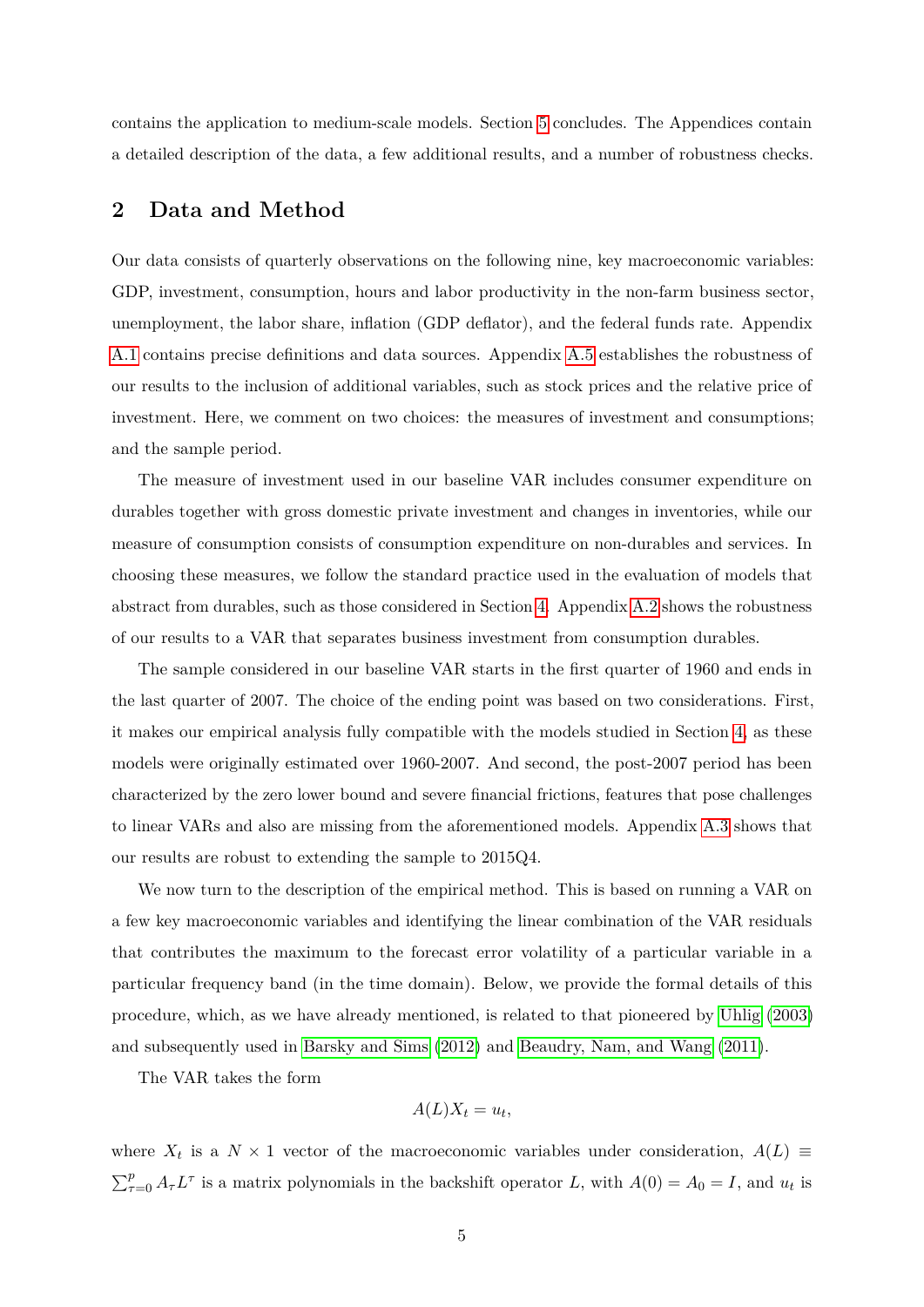contains the application to medium-scale models. Section [5](#page-28-0) concludes. The Appendices contain a detailed description of the data, a few additional results, and a number of robustness checks.

## <span id="page-6-0"></span>**2 Data and Method**

Our data consists of quarterly observations on the following nine, key macroeconomic variables: GDP, investment, consumption, hours and labor productivity in the non-farm business sector, unemployment, the labor share, inflation (GDP deflator), and the federal funds rate. Appendix [A.1](#page-35-0) contains precise definitions and data sources. Appendix [A.5](#page-40-0) establishes the robustness of our results to the inclusion of additional variables, such as stock prices and the relative price of investment. Here, we comment on two choices: the measures of investment and consumptions; and the sample period.

The measure of investment used in our baseline VAR includes consumer expenditure on durables together with gross domestic private investment and changes in inventories, while our measure of consumption consists of consumption expenditure on non-durables and services. In choosing these measures, we follow the standard practice used in the evaluation of models that abstract from durables, such as those considered in Section [4.](#page-23-0) Appendix [A.2](#page-37-0) shows the robustness of our results to a VAR that separates business investment from consumption durables.

The sample considered in our baseline VAR starts in the first quarter of 1960 and ends in the last quarter of 2007. The choice of the ending point was based on two considerations. First, it makes our empirical analysis fully compatible with the models studied in Section [4,](#page-23-0) as these models were originally estimated over 1960-2007. And second, the post-2007 period has been characterized by the zero lower bound and severe financial frictions, features that pose challenges to linear VARs and also are missing from the aforementioned models. Appendix [A.3](#page-38-0) shows that our results are robust to extending the sample to 2015Q4.

We now turn to the description of the empirical method. This is based on running a VAR on a few key macroeconomic variables and identifying the linear combination of the VAR residuals that contributes the maximum to the forecast error volatility of a particular variable in a particular frequency band (in the time domain). Below, we provide the formal details of this procedure, which, as we have already mentioned, is related to that pioneered by [Uhlig \(2003\)](#page-34-1) and subsequently used in [Barsky and Sims \(2012\)](#page-30-4) and [Beaudry, Nam, and Wang \(2011\)](#page-30-3).

The VAR takes the form

$$
A(L)X_t = u_t,
$$

where  $X_t$  is a  $N \times 1$  vector of the macroeconomic variables under consideration,  $A(L) \equiv$  $\sum_{\tau=0}^{p} A_{\tau} L^{\tau}$  is a matrix polynomials in the backshift operator *L*, with  $A(0) = A_0 = I$ , and  $u_t$  is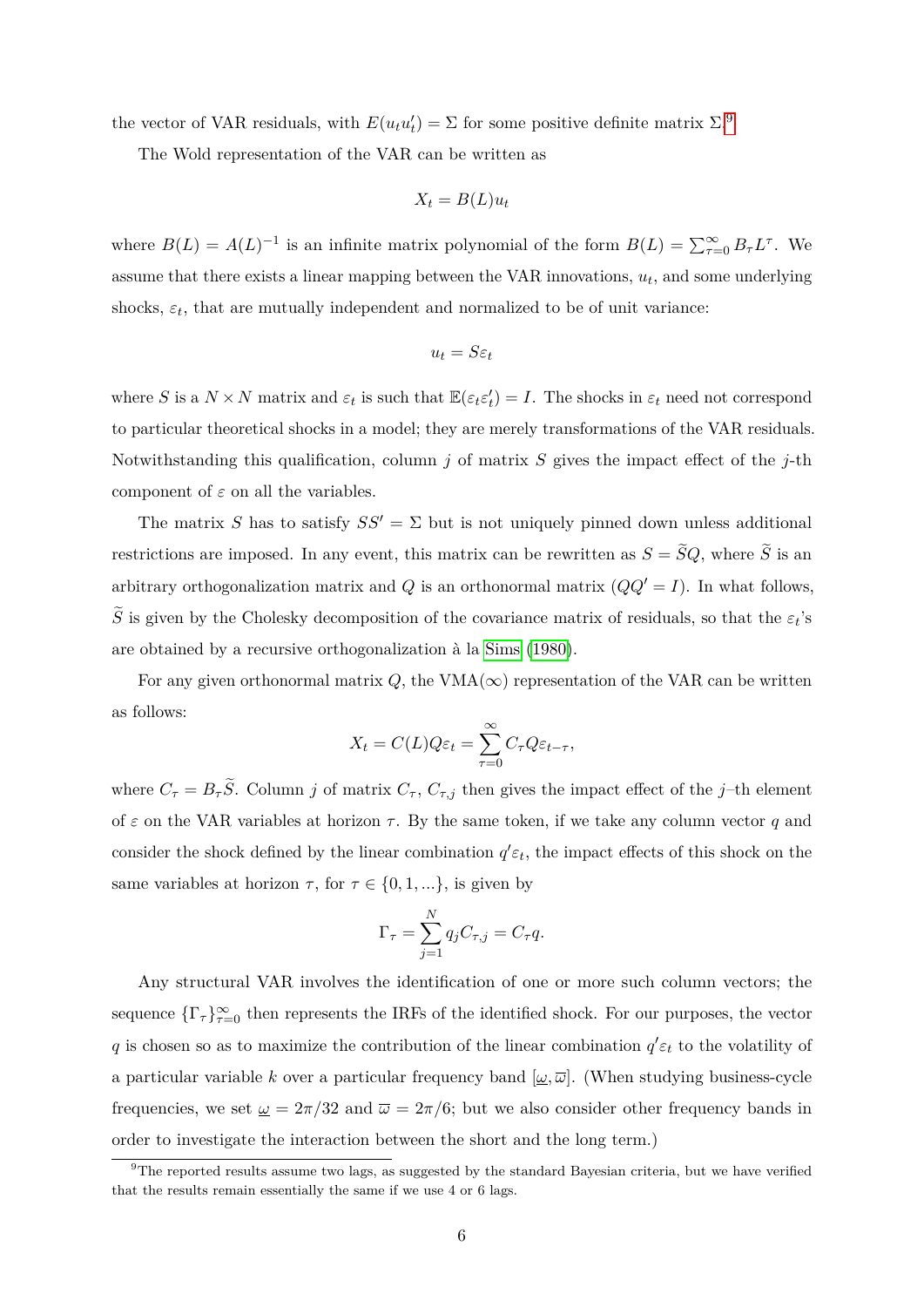the vector of VAR residuals, with  $E(u_t u'_t) = \Sigma$  for some positive definite matrix  $\Sigma$ .<sup>[9](#page-7-0)</sup>

The Wold representation of the VAR can be written as

$$
X_t = B(L)u_t
$$

where  $B(L) = A(L)^{-1}$  is an infinite matrix polynomial of the form  $B(L) = \sum_{\tau=0}^{\infty} B_{\tau} L^{\tau}$ . We assume that there exists a linear mapping between the VAR innovations,  $u_t$ , and some underlying shocks,  $\varepsilon_t$ , that are mutually independent and normalized to be of unit variance:

$$
u_t = S\varepsilon_t
$$

where *S* is a  $N \times N$  matrix and  $\varepsilon_t$  is such that  $\mathbb{E}(\varepsilon_t \varepsilon_t') = I$ . The shocks in  $\varepsilon_t$  need not correspond to particular theoretical shocks in a model; they are merely transformations of the VAR residuals. Notwithstanding this qualification, column *j* of matrix *S* gives the impact effect of the *j*-th component of  $\varepsilon$  on all the variables.

The matrix *S* has to satisfy  $SS' = \Sigma$  but is not uniquely pinned down unless additional restrictions are imposed. In any event, this matrix can be rewritten as  $S = \tilde{S}Q$ , where  $\tilde{S}$  is an arbitrary orthogonalization matrix and *Q* is an orthonormal matrix  $(QQ' = I)$ . In what follows, *S* is given by the Cholesky decomposition of the covariance matrix of residuals, so that the  $\varepsilon_t$ 's are obtained by a recursive orthogonalization à la [Sims \(1980\)](#page-34-4).

For any given orthonormal matrix  $Q$ , the VMA( $\infty$ ) representation of the VAR can be written as follows:

$$
X_t = C(L)Q\varepsilon_t = \sum_{\tau=0}^{\infty} C_{\tau} Q \varepsilon_{t-\tau},
$$

where  $C_{\tau} = B_{\tau} \tilde{S}$ . Column *j* of matrix  $C_{\tau}$ ,  $C_{\tau,j}$  then gives the impact effect of the *j*–th element of  $\varepsilon$  on the VAR variables at horizon  $\tau$ . By the same token, if we take any column vector  $q$  and consider the shock defined by the linear combination  $q' \varepsilon_t$ , the impact effects of this shock on the same variables at horizon  $\tau$ , for  $\tau \in \{0, 1, ...\}$ , is given by

$$
\Gamma_{\tau} = \sum_{j=1}^{N} q_j C_{\tau,j} = C_{\tau} q.
$$

Any structural VAR involves the identification of one or more such column vectors; the sequence  $\{\Gamma_{\tau}\}_{\tau=0}^{\infty}$  then represents the IRFs of the identified shock. For our purposes, the vector *q* is chosen so as to maximize the contribution of the linear combination  $q' \varepsilon_t$  to the volatility of a particular variable *k* over a particular frequency band  $[\omega, \overline{\omega}]$ . (When studying business-cycle frequencies, we set  $\omega = 2\pi/32$  and  $\overline{\omega} = 2\pi/6$ ; but we also consider other frequency bands in order to investigate the interaction between the short and the long term.)

<span id="page-7-0"></span><sup>&</sup>lt;sup>9</sup>The reported results assume two lags, as suggested by the standard Bayesian criteria, but we have verified that the results remain essentially the same if we use 4 or 6 lags.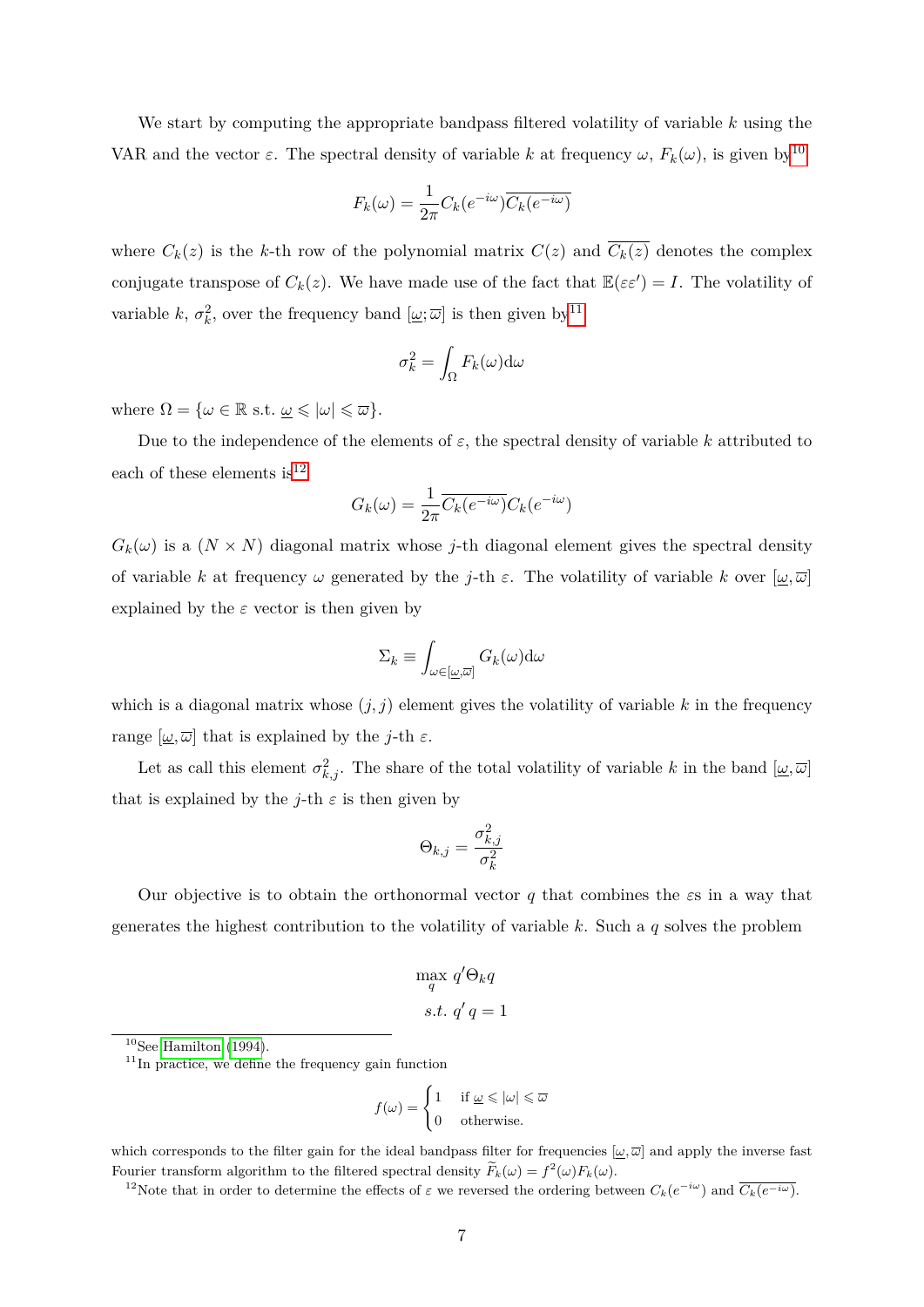We start by computing the appropriate bandpass filtered volatility of variable *k* using the VAR and the vector  $\varepsilon$ . The spectral density of variable *k* at frequency  $\omega$ ,  $F_k(\omega)$ , is given by<sup>[10](#page-8-0)</sup>

$$
F_k(\omega) = \frac{1}{2\pi} C_k(e^{-i\omega}) \overline{C_k(e^{-i\omega})}
$$

where  $C_k(z)$  is the *k*-th row of the polynomial matrix  $C(z)$  and  $\overline{C_k(z)}$  denotes the complex conjugate transpose of  $C_k(z)$ . We have made use of the fact that  $\mathbb{E}(\varepsilon \varepsilon') = I$ . The volatility of variable *k*,  $\sigma_k^2$ , over the frequency band  $[\underline{\omega}; \overline{\omega}]$  is then given by<sup>[11](#page-8-1)</sup>

$$
\sigma_k^2 = \int_{\Omega} F_k(\omega) \mathrm{d} \omega
$$

where  $\Omega = {\omega \in \mathbb{R} \text{ s.t. } \omega \leqslant |\omega| \leqslant \overline{\omega}}.$ 

Due to the independence of the elements of  $\varepsilon$ , the spectral density of variable  $k$  attributed to each of these elements is  $12$ 

$$
G_k(\omega) = \frac{1}{2\pi} \overline{C_k(e^{-i\omega})} C_k(e^{-i\omega})
$$

 $G_k(\omega)$  is a  $(N \times N)$  diagonal matrix whose *j*-th diagonal element gives the spectral density of variable *k* at frequency  $\omega$  generated by the *j*-th  $\varepsilon$ . The volatility of variable *k* over  $[\omega, \overline{\omega}]$ explained by the  $\varepsilon$  vector is then given by

$$
\Sigma_k \equiv \int_{\omega \in [\underline{\omega}, \overline{\omega}]} G_k(\omega) d\omega
$$

which is a diagonal matrix whose  $(j, j)$  element gives the volatility of variable k in the frequency range  $[\omega, \overline{\omega}]$  that is explained by the *j*-th  $\varepsilon$ .

Let as call this element  $\sigma_{k,j}^2$ . The share of the total volatility of variable *k* in the band  $[\underline{\omega}, \overline{\omega}]$ that is explained by the *j*-th  $\varepsilon$  is then given by

$$
\Theta_{k,j}=\frac{\sigma_{k,j}^2}{\sigma_k^2}
$$

Our objective is to obtain the orthonormal vector *q* that combines the *ε*s in a way that generates the highest contribution to the volatility of variable *k*. Such a *q* solves the problem

$$
\max_{q} q' \Theta_k q
$$
  
s.t.  $q'q = 1$ 

<span id="page-8-1"></span> $11$ In practice, we define the frequency gain function

$$
f(\omega) = \begin{cases} 1 & \text{if } \underline{\omega} \leq |\omega| \leq \overline{\omega} \\ 0 & \text{otherwise.} \end{cases}
$$

which corresponds to the filter gain for the ideal bandpass filter for frequencies  $[\omega,\overline{\omega}]$  and apply the inverse fast Fourier transform algorithm to the filtered spectral density  $\widetilde{F}_k(\omega) = f^2(\omega) F_k(\omega)$ .

<span id="page-8-2"></span><sup>12</sup>Note that in order to determine the effects of  $\varepsilon$  we reversed the ordering between  $C_k(e^{-i\omega})$  and  $\overline{C_k(e^{-i\omega})}$ .

<span id="page-8-0"></span> $10$ See [Hamilton](#page-33-9) [\(1994\)](#page-33-9).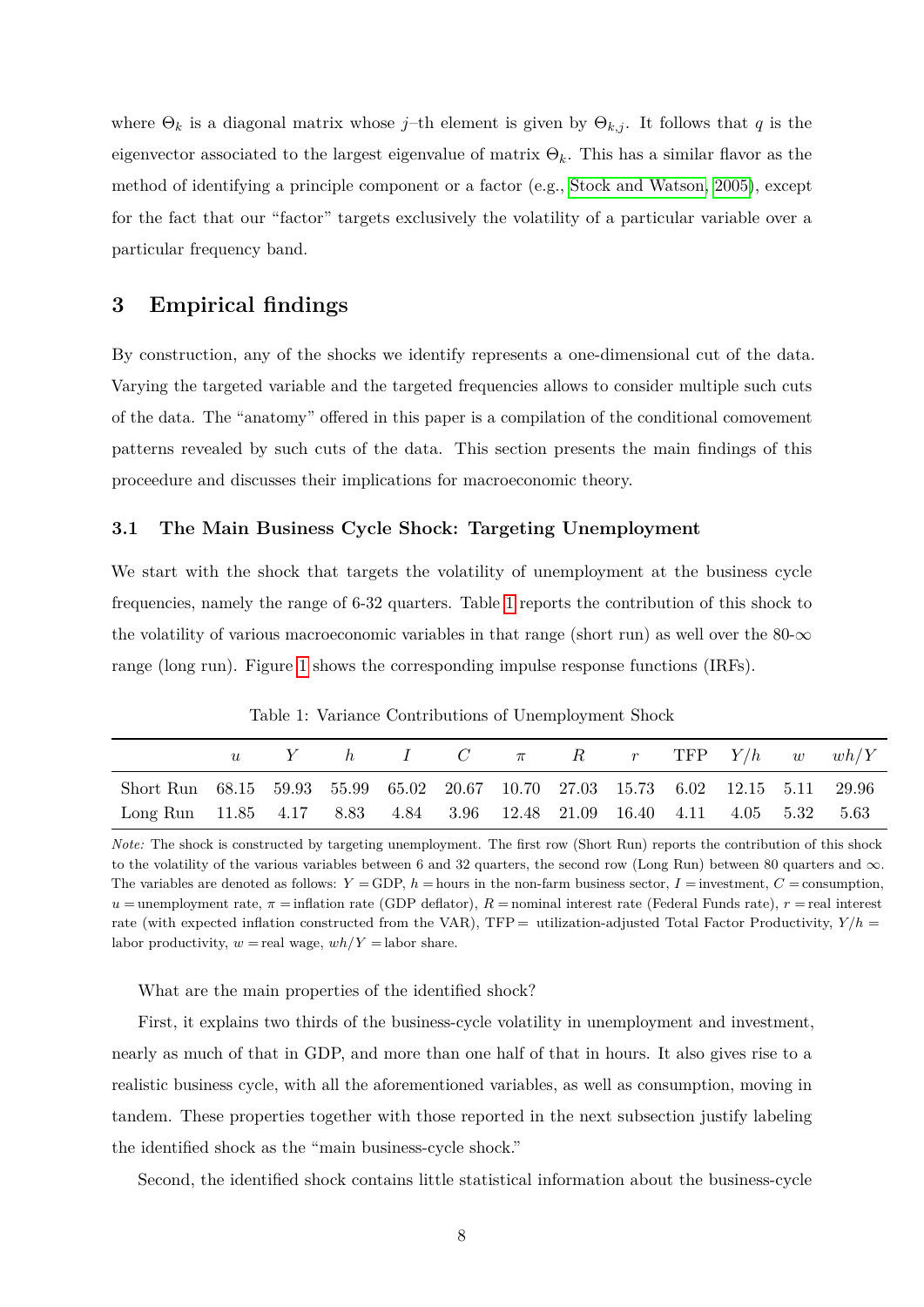where  $\Theta_k$  is a diagonal matrix whose *j*–th element is given by  $\Theta_{k,j}$ . It follows that *q* is the eigenvector associated to the largest eigenvalue of matrix Θ*k*. This has a similar flavor as the method of identifying a principle component or a factor (e.g., [Stock and Watson, 2005\)](#page-34-5), except for the fact that our "factor" targets exclusively the volatility of a particular variable over a particular frequency band.

# <span id="page-9-0"></span>**3 Empirical findings**

By construction, any of the shocks we identify represents a one-dimensional cut of the data. Varying the targeted variable and the targeted frequencies allows to consider multiple such cuts of the data. The "anatomy" offered in this paper is a compilation of the conditional comovement patterns revealed by such cuts of the data. This section presents the main findings of this proceedure and discusses their implications for macroeconomic theory.

#### **3.1 The Main Business Cycle Shock: Targeting Unemployment**

We start with the shock that targets the volatility of unemployment at the business cycle frequencies, namely the range of 6-32 quarters. Table [1](#page-9-1) reports the contribution of this shock to the volatility of various macroeconomic variables in that range (short run) as well over the  $80-\infty$ range (long run). Figure [1](#page-10-0) shows the corresponding impulse response functions (IRFs).

|                                                                                 |  |  |  |  |  | $Y$ h I C $\pi$ R r TFP $Y/h$ w $wh/Y$ |
|---------------------------------------------------------------------------------|--|--|--|--|--|----------------------------------------|
| Short Run 68.15 59.93 55.99 65.02 20.67 10.70 27.03 15.73 6.02 12.15 5.11 29.96 |  |  |  |  |  |                                        |
| Long Run 11.85 4.17 8.83 4.84 3.96 12.48 21.09 16.40 4.11 4.05 5.32 5.63        |  |  |  |  |  |                                        |

<span id="page-9-1"></span>Table 1: Variance Contributions of Unemployment Shock

*Note:* The shock is constructed by targeting unemployment. The first row (Short Run) reports the contribution of this shock to the volatility of the various variables between 6 and 32 quarters, the second row (Long Run) between 80 quarters and  $\infty$ . The variables are denoted as follows:  $Y = GDP$ ,  $h =$  hours in the non-farm business sector,  $I =$  investment,  $C =$  consumption,  $u =$ unemployment rate,  $\pi =$ inflation rate (GDP deflator),  $R =$ nominal interest rate (Federal Funds rate),  $r =$ real interest rate (with expected inflation constructed from the VAR),  $TFP =$  utilization-adjusted Total Factor Productivity,  $Y/h =$ labor productivity,  $w =$  real wage,  $wh/Y =$  labor share.

What are the main properties of the identified shock?

First, it explains two thirds of the business-cycle volatility in unemployment and investment, nearly as much of that in GDP, and more than one half of that in hours. It also gives rise to a realistic business cycle, with all the aforementioned variables, as well as consumption, moving in tandem. These properties together with those reported in the next subsection justify labeling the identified shock as the "main business-cycle shock."

Second, the identified shock contains little statistical information about the business-cycle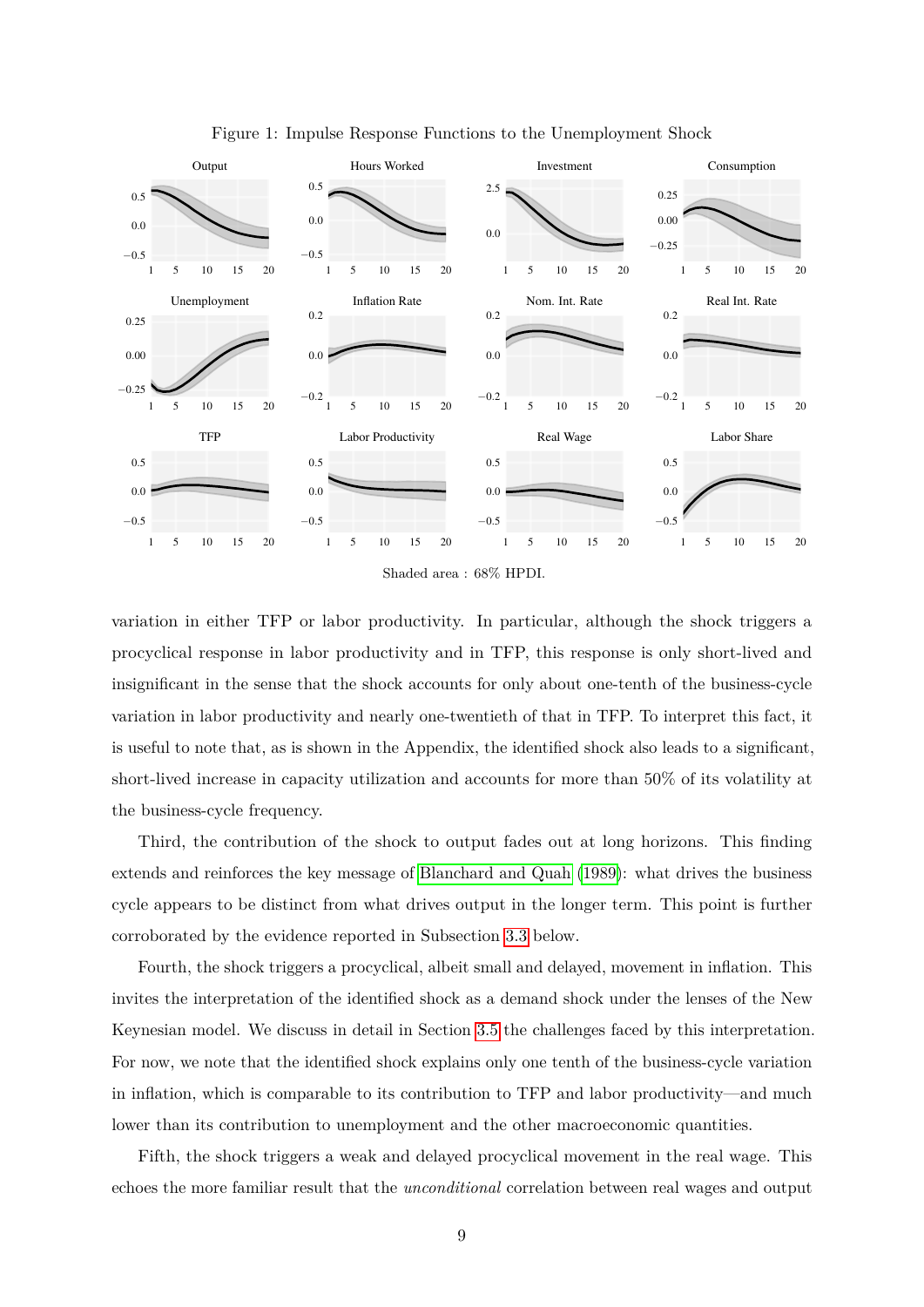

<span id="page-10-0"></span>Figure 1: Impulse Response Functions to the Unemployment Shock

variation in either TFP or labor productivity. In particular, although the shock triggers a procyclical response in labor productivity and in TFP, this response is only short-lived and insignificant in the sense that the shock accounts for only about one-tenth of the business-cycle variation in labor productivity and nearly one-twentieth of that in TFP. To interpret this fact, it is useful to note that, as is shown in the Appendix, the identified shock also leads to a significant, short-lived increase in capacity utilization and accounts for more than 50% of its volatility at the business-cycle frequency.

Third, the contribution of the shock to output fades out at long horizons. This finding extends and reinforces the key message of [Blanchard and Quah \(1989\)](#page-31-4): what drives the business cycle appears to be distinct from what drives output in the longer term. This point is further corroborated by the evidence reported in Subsection [3.3](#page-14-0) below.

Fourth, the shock triggers a procyclical, albeit small and delayed, movement in inflation. This invites the interpretation of the identified shock as a demand shock under the lenses of the New Keynesian model. We discuss in detail in Section [3.5](#page-19-0) the challenges faced by this interpretation. For now, we note that the identified shock explains only one tenth of the business-cycle variation in inflation, which is comparable to its contribution to TFP and labor productivity—and much lower than its contribution to unemployment and the other macroeconomic quantities.

Fifth, the shock triggers a weak and delayed procyclical movement in the real wage. This echoes the more familiar result that the *unconditional* correlation between real wages and output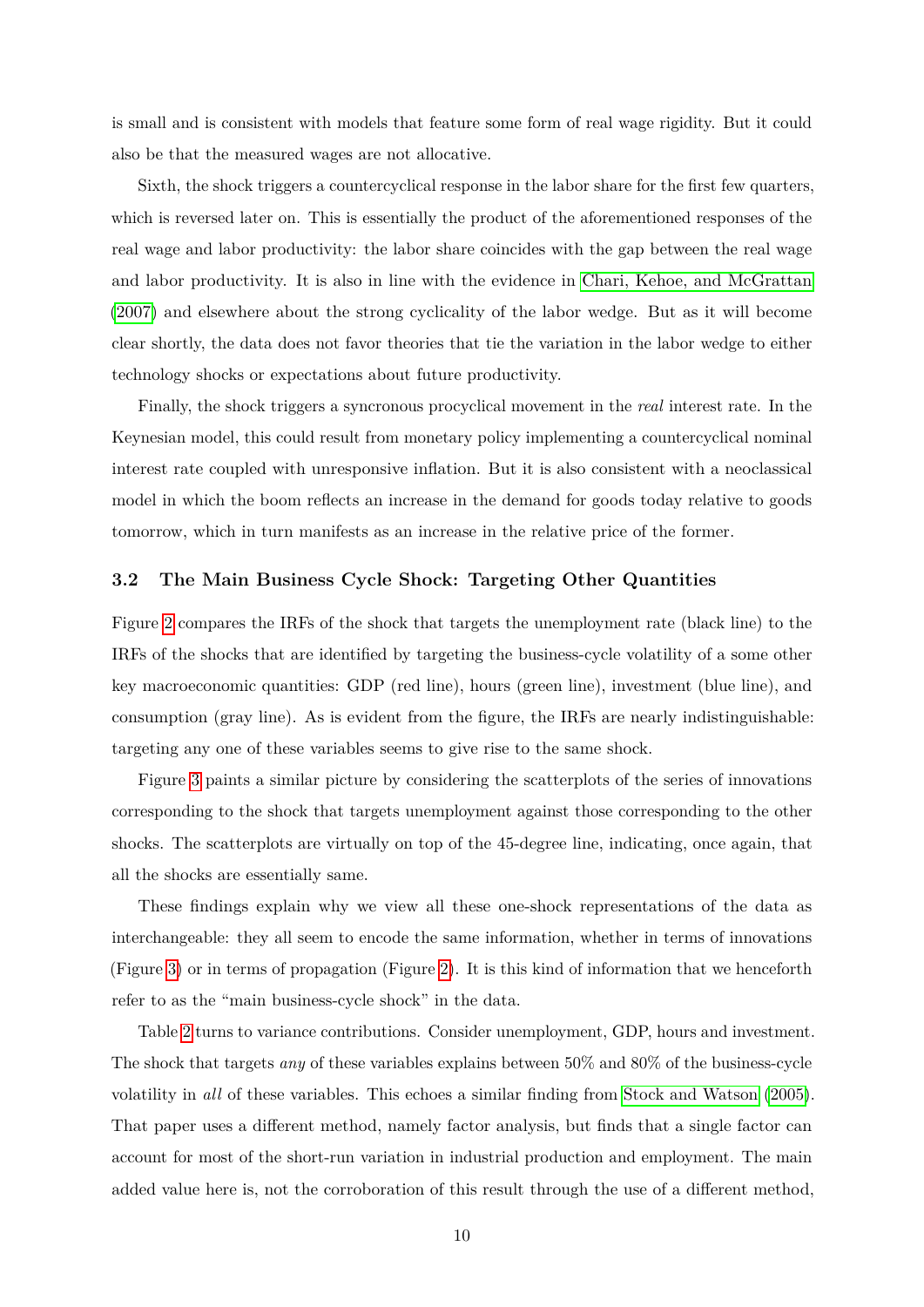is small and is consistent with models that feature some form of real wage rigidity. But it could also be that the measured wages are not allocative.

Sixth, the shock triggers a countercyclical response in the labor share for the first few quarters, which is reversed later on. This is essentially the product of the aforementioned responses of the real wage and labor productivity: the labor share coincides with the gap between the real wage and labor productivity. It is also in line with the evidence in [Chari, Kehoe, and McGrattan](#page-32-0) [\(2007\)](#page-32-0) and elsewhere about the strong cyclicality of the labor wedge. But as it will become clear shortly, the data does not favor theories that tie the variation in the labor wedge to either technology shocks or expectations about future productivity.

Finally, the shock triggers a syncronous procyclical movement in the *real* interest rate. In the Keynesian model, this could result from monetary policy implementing a countercyclical nominal interest rate coupled with unresponsive inflation. But it is also consistent with a neoclassical model in which the boom reflects an increase in the demand for goods today relative to goods tomorrow, which in turn manifests as an increase in the relative price of the former.

#### **3.2 The Main Business Cycle Shock: Targeting Other Quantities**

Figure [2](#page-12-0) compares the IRFs of the shock that targets the unemployment rate (black line) to the IRFs of the shocks that are identified by targeting the business-cycle volatility of a some other key macroeconomic quantities: GDP (red line), hours (green line), investment (blue line), and consumption (gray line). As is evident from the figure, the IRFs are nearly indistinguishable: targeting any one of these variables seems to give rise to the same shock.

Figure [3](#page-12-1) paints a similar picture by considering the scatterplots of the series of innovations corresponding to the shock that targets unemployment against those corresponding to the other shocks. The scatterplots are virtually on top of the 45-degree line, indicating, once again, that all the shocks are essentially same.

These findings explain why we view all these one-shock representations of the data as interchangeable: they all seem to encode the same information, whether in terms of innovations (Figure [3\)](#page-12-1) or in terms of propagation (Figure [2\)](#page-12-0). It is this kind of information that we henceforth refer to as the "main business-cycle shock" in the data.

Table [2](#page-13-0) turns to variance contributions. Consider unemployment, GDP, hours and investment. The shock that targets *any* of these variables explains between 50% and 80% of the business-cycle volatility in *all* of these variables. This echoes a similar finding from [Stock and Watson \(2005\)](#page-34-5). That paper uses a different method, namely factor analysis, but finds that a single factor can account for most of the short-run variation in industrial production and employment. The main added value here is, not the corroboration of this result through the use of a different method,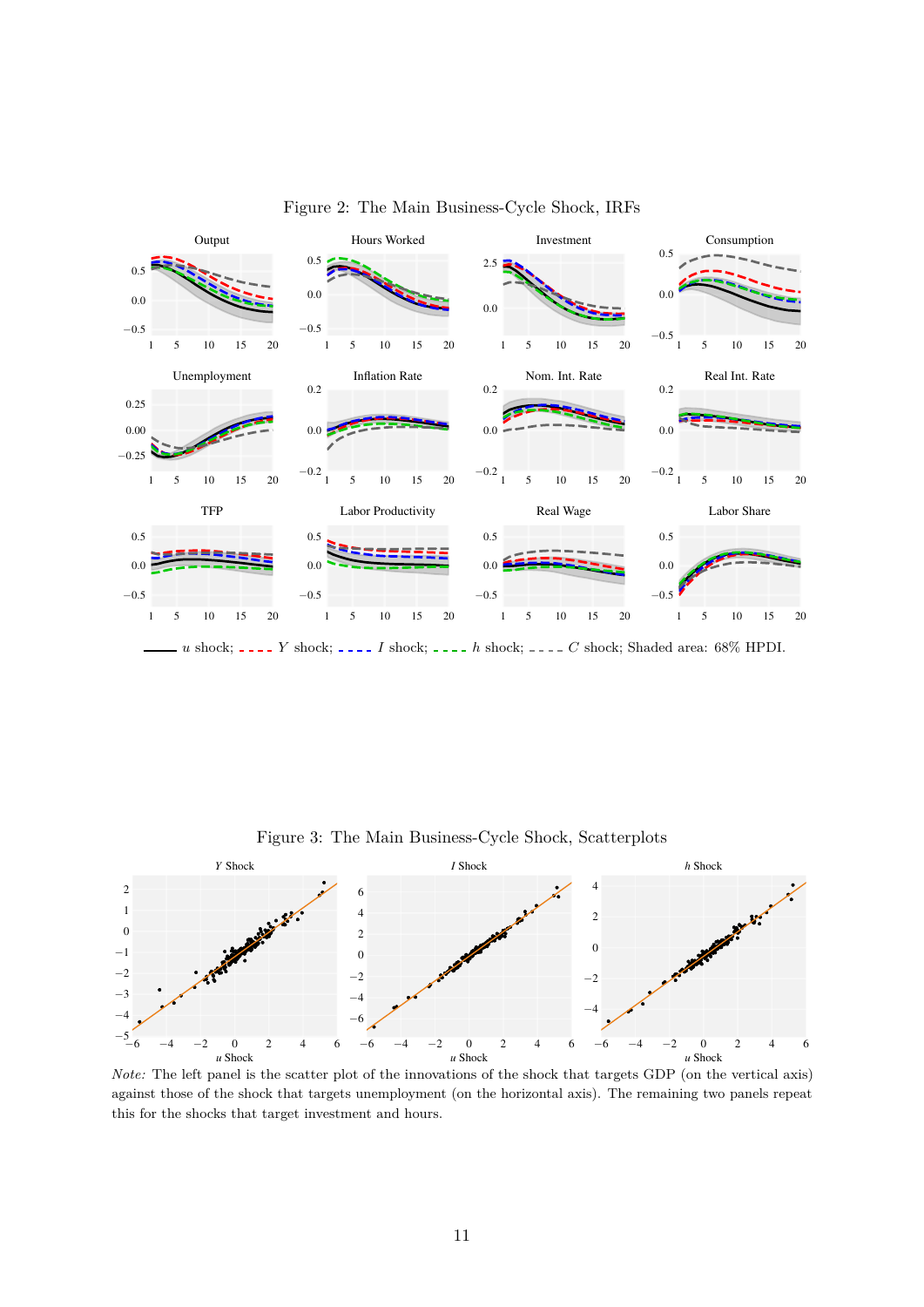

<span id="page-12-0"></span>Figure 2: The Main Business-Cycle Shock, IRFs

*u* shock; *\_\_\_\_Y* shock; *\_\_\_\_I* shock; *\_\_\_\_h* shock; *\_\_\_\_C* shock; Shaded area: 68% HPDI.



<span id="page-12-1"></span>Figure 3: The Main Business-Cycle Shock, Scatterplots

*Note:* The left panel is the scatter plot of the innovations of the shock that targets GDP (on the vertical axis) against those of the shock that targets unemployment (on the horizontal axis). The remaining two panels repeat this for the shocks that target investment and hours.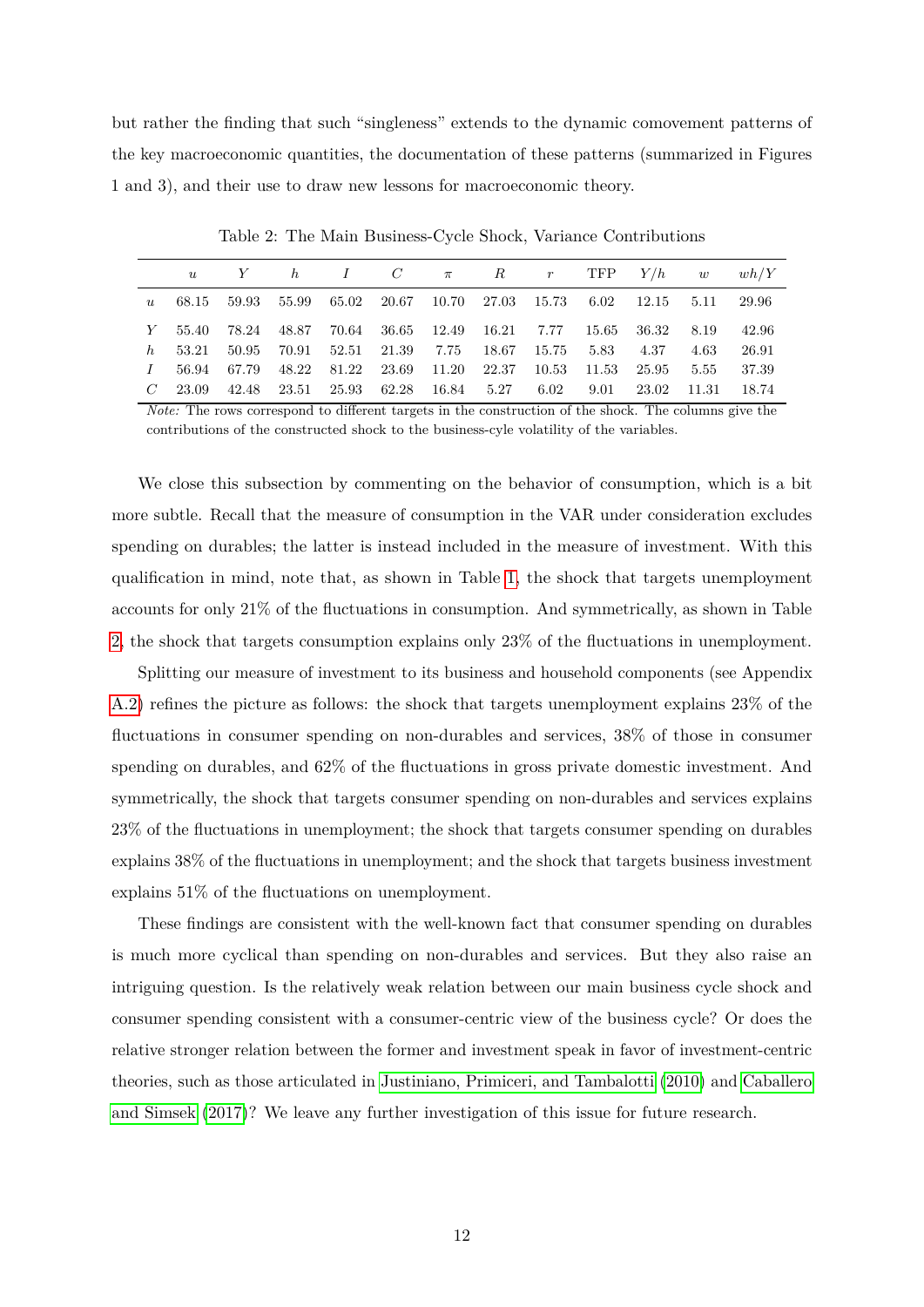but rather the finding that such "singleness" extends to the dynamic comovement patterns of the key macroeconomic quantities, the documentation of these patterns (summarized in Figures 1 and 3), and their use to draw new lessons for macroeconomic theory.

|  |                                                                         |  |  |  |                       |      | u Y h I C $\pi$ R r TFP $Y/h$ w $wh/Y$ |
|--|-------------------------------------------------------------------------|--|--|--|-----------------------|------|----------------------------------------|
|  | u 68.15 59.93 55.99 65.02 20.67 10.70 27.03 15.73 6.02 12.15 5.11 29.96 |  |  |  |                       |      |                                        |
|  | Y 55.40 78.24 48.87 70.64 36.65 12.49 16.21 7.77 15.65 36.32            |  |  |  |                       | 8.19 | 42.96                                  |
|  | h 53.21 50.95 70.91 52.51 21.39 7.75 18.67 15.75 5.83 4.37              |  |  |  |                       | 4.63 | 26.91                                  |
|  | 1 56.94 67.79 48.22 81.22 23.69 11.20 22.37 10.53 11.53 25.95           |  |  |  |                       | 5.55 | 37.39                                  |
|  | $C$ 23.09 42.48 23.51 25.93 62.28 16.84 5.27                            |  |  |  | 6.02 9.01 23.02 11.31 |      | 18.74                                  |

<span id="page-13-0"></span>Table 2: The Main Business-Cycle Shock, Variance Contributions

*Note:* The rows correspond to different targets in the construction of the shock. The columns give the contributions of the constructed shock to the business-cyle volatility of the variables.

We close this subsection by commenting on the behavior of consumption, which is a bit more subtle. Recall that the measure of consumption in the VAR under consideration excludes spending on durables; the latter is instead included in the measure of investment. With this qualification in mind, note that, as shown in Table [1,](#page-9-1) the shock that targets unemployment accounts for only 21% of the fluctuations in consumption. And symmetrically, as shown in Table [2,](#page-13-0) the shock that targets consumption explains only 23% of the fluctuations in unemployment.

Splitting our measure of investment to its business and household components (see Appendix [A.2\)](#page-37-0) refines the picture as follows: the shock that targets unemployment explains 23% of the fluctuations in consumer spending on non-durables and services, 38% of those in consumer spending on durables, and 62% of the fluctuations in gross private domestic investment. And symmetrically, the shock that targets consumer spending on non-durables and services explains 23% of the fluctuations in unemployment; the shock that targets consumer spending on durables explains 38% of the fluctuations in unemployment; and the shock that targets business investment explains 51% of the fluctuations on unemployment.

These findings are consistent with the well-known fact that consumer spending on durables is much more cyclical than spending on non-durables and services. But they also raise an intriguing question. Is the relatively weak relation between our main business cycle shock and consumer spending consistent with a consumer-centric view of the business cycle? Or does the relative stronger relation between the former and investment speak in favor of investment-centric theories, such as those articulated in [Justiniano, Primiceri, and Tambalotti \(2010\)](#page-33-8) and [Caballero](#page-31-6) [and Simsek \(2017\)](#page-31-6)? We leave any further investigation of this issue for future research.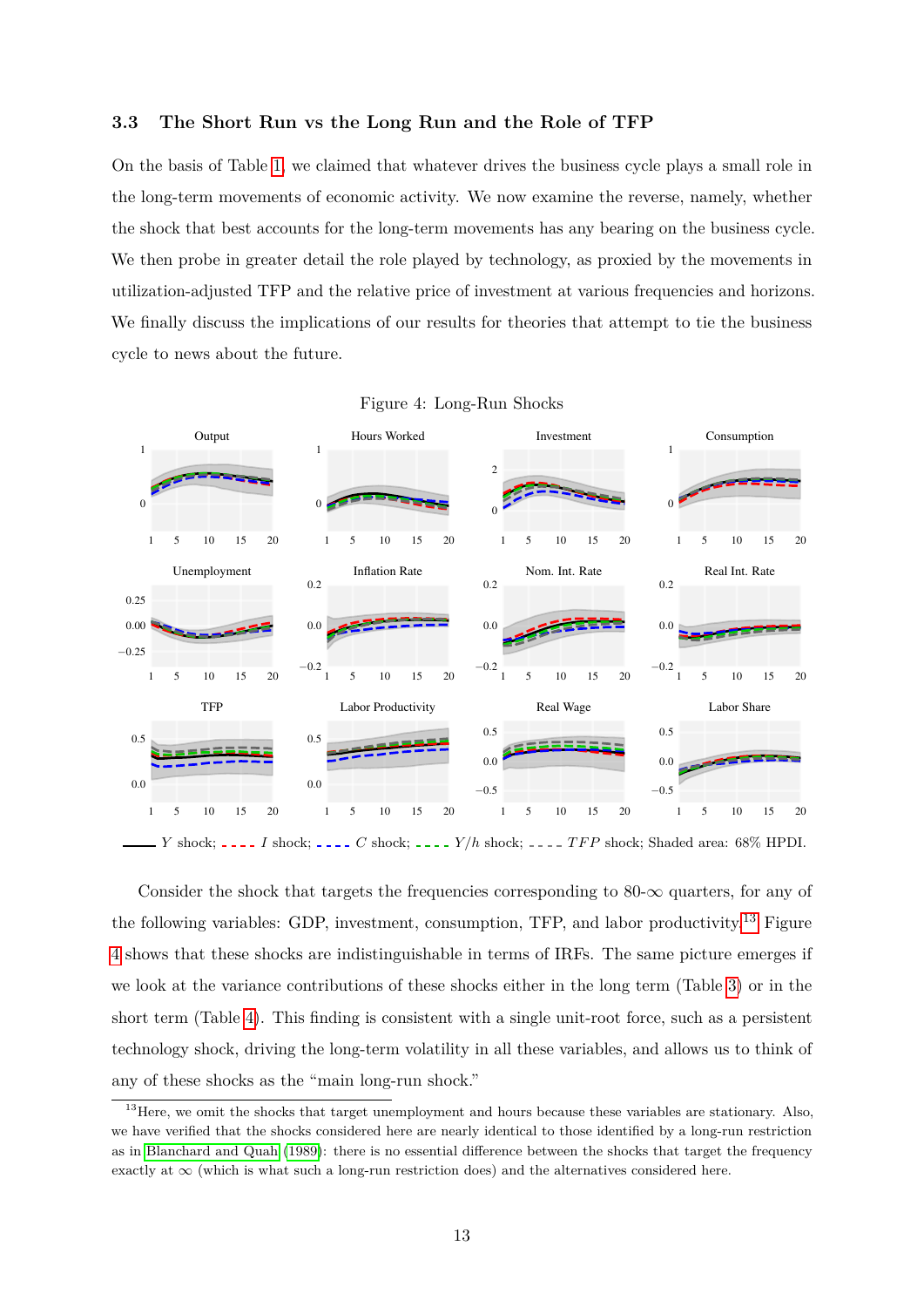#### <span id="page-14-0"></span>**3.3 The Short Run vs the Long Run and the Role of TFP**

On the basis of Table [1,](#page-9-1) we claimed that whatever drives the business cycle plays a small role in the long-term movements of economic activity. We now examine the reverse, namely, whether the shock that best accounts for the long-term movements has any bearing on the business cycle. We then probe in greater detail the role played by technology, as proxied by the movements in utilization-adjusted TFP and the relative price of investment at various frequencies and horizons. We finally discuss the implications of our results for theories that attempt to tie the business cycle to news about the future.



<span id="page-14-2"></span>

|  | Figure 4: Long-Run Shocks |  |
|--|---------------------------|--|
|  |                           |  |

*Y* shock; *I* shock; *I C* shock; *I C* shock; *I Z Z /h* shock; *I<i>Z TFP* shock; Shaded area: 68% HPDI.

Consider the shock that targets the frequencies corresponding to 80- $\infty$  quarters, for any of the following variables: GDP, investment, consumption, TFP, and labor productivity.[13](#page-14-1) Figure [4](#page-14-2) shows that these shocks are indistinguishable in terms of IRFs. The same picture emerges if we look at the variance contributions of these shocks either in the long term (Table [3\)](#page-15-0) or in the short term (Table [4\)](#page-15-1). This finding is consistent with a single unit-root force, such as a persistent technology shock, driving the long-term volatility in all these variables, and allows us to think of any of these shocks as the "main long-run shock."

<span id="page-14-1"></span> $13$  Here, we omit the shocks that target unemployment and hours because these variables are stationary. Also, we have verified that the shocks considered here are nearly identical to those identified by a long-run restriction as in [Blanchard and Quah](#page-31-4) [\(1989\)](#page-31-4): there is no essential difference between the shocks that target the frequency exactly at  $\infty$  (which is what such a long-run restriction does) and the alternatives considered here.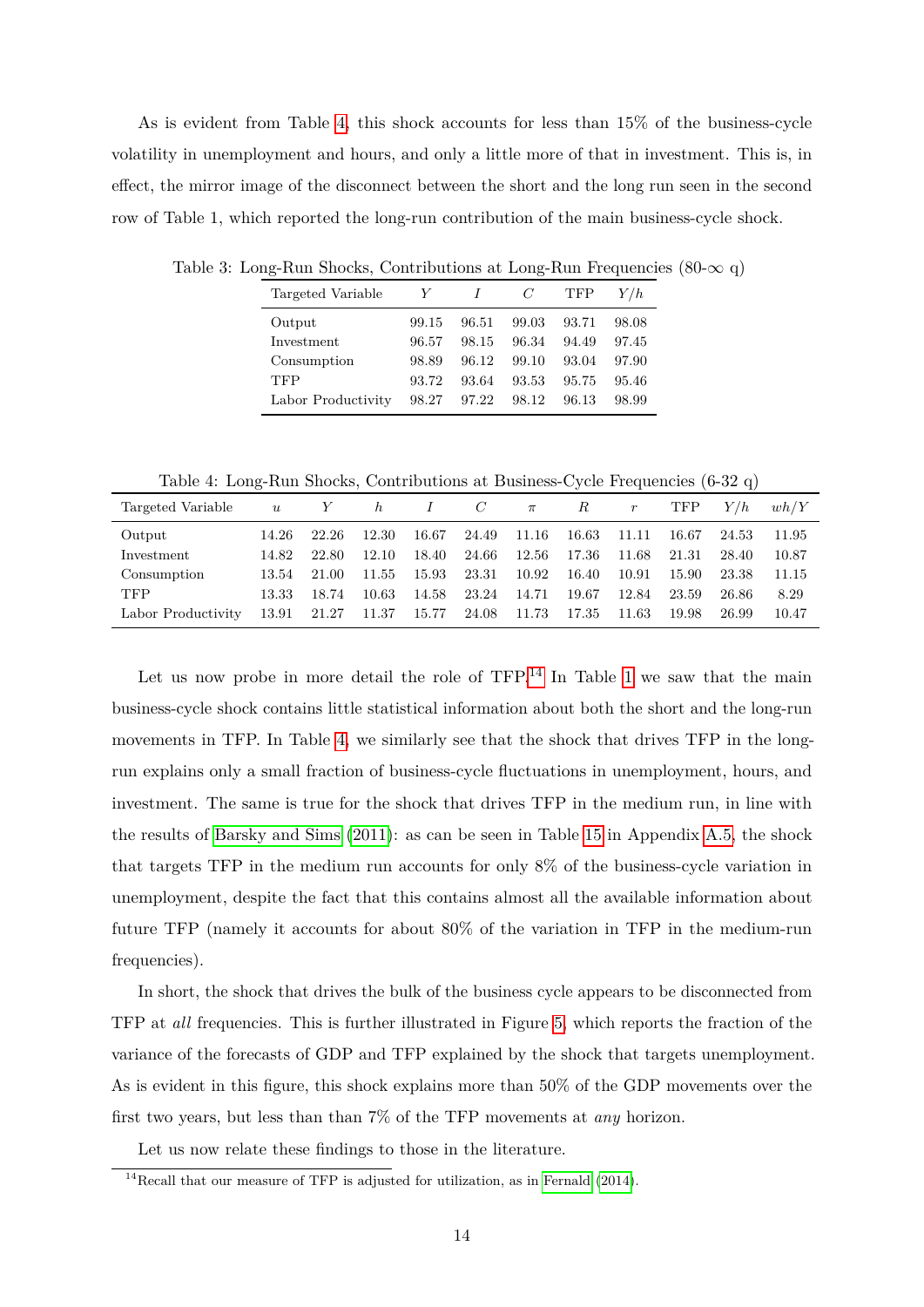As is evident from Table [4,](#page-15-1) this shock accounts for less than 15% of the business-cycle volatility in unemployment and hours, and only a little more of that in investment. This is, in effect, the mirror image of the disconnect between the short and the long run seen in the second row of Table 1, which reported the long-run contribution of the main business-cycle shock.

<span id="page-15-0"></span>

| Targeted Variable  | Y     |       | C     | TFP   | Y/h   |
|--------------------|-------|-------|-------|-------|-------|
| Output             | 99.15 | 96.51 | 99.03 | 93.71 | 98.08 |
| Investment         | 96.57 | 98.15 | 96.34 | 94.49 | 97.45 |
| Consumption        | 98.89 | 96.12 | 99.10 | 93.04 | 97.90 |
| <b>TFP</b>         | 93.72 | 93.64 | 93.53 | 95.75 | 95.46 |
| Labor Productivity | 98.27 | 97.22 | 98.12 | 96.13 | 98.99 |

Table 3: Long-Run Shocks, Contributions at Long-Run Frequencies (80- $\infty$  q)

<span id="page-15-1"></span>Table 4: Long-Run Shocks, Contributions at Business-Cycle Frequencies (6-32 q)

| Targeted Variable  | $\boldsymbol{u}$ | Y     | $\hbar$ | $\perp$ | C     | $\pi$ | R     | $\,r$ | TFP   | Y/h   | wh/Y  |
|--------------------|------------------|-------|---------|---------|-------|-------|-------|-------|-------|-------|-------|
| Output             | 14.26            | 22.26 | 12.30   | 16.67   | 24.49 | 11.16 | 16.63 | 11.11 | 16.67 | 24.53 | 11.95 |
| Investment         | 14.82            | 22.80 | 12.10   | 18.40   | 24.66 | 12.56 | 17.36 | 11.68 | 21.31 | 28.40 | 10.87 |
| Consumption        | 13.54            | 21.00 | 11.55   | 15.93   | 23.31 | 10.92 | 16.40 | 10.91 | 15.90 | 23.38 | 11.15 |
| <b>TFP</b>         | 13.33            | 18.74 | 10.63   | 14.58   | 23.24 | 14.71 | 19.67 | 12.84 | 23.59 | 26.86 | 8.29  |
| Labor Productivity | 13.91            | 21.27 | 11.37   | 15.77   | 24.08 | 11.73 | 17.35 | 11.63 | 19.98 | 26.99 | 10.47 |

Let us now probe in more detail the role of  $TFP<sup>14</sup>$  $TFP<sup>14</sup>$  $TFP<sup>14</sup>$  In Table [1](#page-9-1) we saw that the main business-cycle shock contains little statistical information about both the short and the long-run movements in TFP. In Table [4,](#page-15-1) we similarly see that the shock that drives TFP in the longrun explains only a small fraction of business-cycle fluctuations in unemployment, hours, and investment. The same is true for the shock that drives TFP in the medium run, in line with the results of [Barsky and Sims \(2011\)](#page-30-9): as can be seen in Table [15](#page-41-0) in Appendix [A.5,](#page-40-0) the shock that targets TFP in the medium run accounts for only 8% of the business-cycle variation in unemployment, despite the fact that this contains almost all the available information about future TFP (namely it accounts for about 80% of the variation in TFP in the medium-run frequencies).

In short, the shock that drives the bulk of the business cycle appears to be disconnected from TFP at *all* frequencies. This is further illustrated in Figure [5,](#page-16-0) which reports the fraction of the variance of the forecasts of GDP and TFP explained by the shock that targets unemployment. As is evident in this figure, this shock explains more than 50% of the GDP movements over the first two years, but less than than 7% of the TFP movements at *any* horizon.

Let us now relate these findings to those in the literature.

<span id="page-15-2"></span> $14$ Recall that our measure of TFP is adjusted for utilization, as in [Fernald](#page-32-5) [\(2014\)](#page-32-5).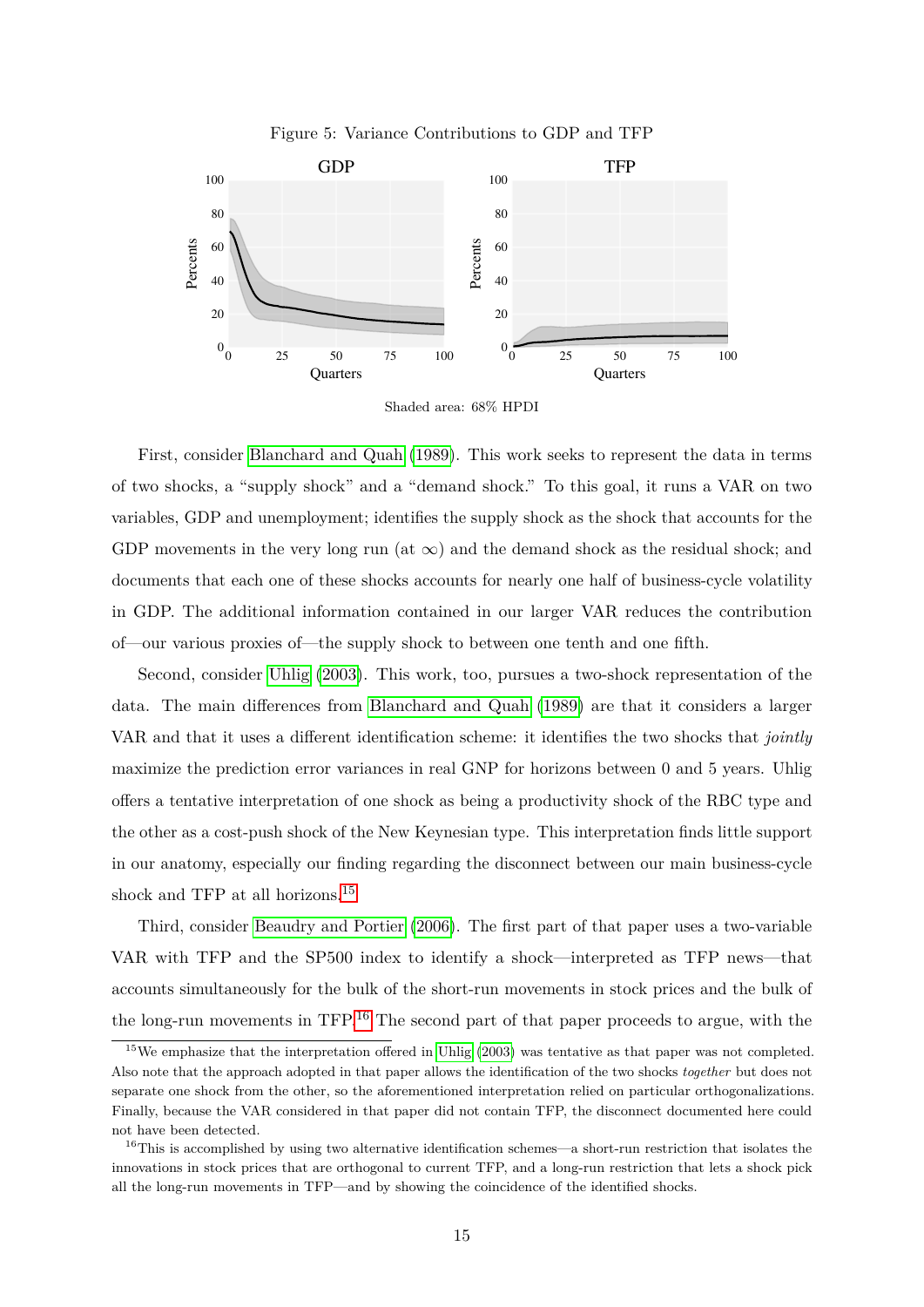<span id="page-16-0"></span>



Shaded area: 68% HPDI

First, consider [Blanchard and Quah \(1989\)](#page-31-4). This work seeks to represent the data in terms of two shocks, a "supply shock" and a "demand shock." To this goal, it runs a VAR on two variables, GDP and unemployment; identifies the supply shock as the shock that accounts for the GDP movements in the very long run (at  $\infty$ ) and the demand shock as the residual shock; and documents that each one of these shocks accounts for nearly one half of business-cycle volatility in GDP. The additional information contained in our larger VAR reduces the contribution of—our various proxies of—the supply shock to between one tenth and one fifth.

Second, consider [Uhlig \(2003\)](#page-34-1). This work, too, pursues a two-shock representation of the data. The main differences from [Blanchard and Quah \(1989\)](#page-31-4) are that it considers a larger VAR and that it uses a different identification scheme: it identifies the two shocks that *jointly* maximize the prediction error variances in real GNP for horizons between 0 and 5 years. Uhlig offers a tentative interpretation of one shock as being a productivity shock of the RBC type and the other as a cost-push shock of the New Keynesian type. This interpretation finds little support in our anatomy, especially our finding regarding the disconnect between our main business-cycle shock and TFP at all horizons.[15](#page-16-1)

Third, consider [Beaudry and Portier \(2006\)](#page-30-5). The first part of that paper uses a two-variable VAR with TFP and the SP500 index to identify a shock—interpreted as TFP news—that accounts simultaneously for the bulk of the short-run movements in stock prices and the bulk of the long-run movements in TFP.[16](#page-16-2) The second part of that paper proceeds to argue, with the

<span id="page-16-1"></span><sup>&</sup>lt;sup>15</sup>We emphasize that the interpretation offered in [Uhlig](#page-34-1) [\(2003\)](#page-34-1) was tentative as that paper was not completed. Also note that the approach adopted in that paper allows the identification of the two shocks *together* but does not separate one shock from the other, so the aforementioned interpretation relied on particular orthogonalizations. Finally, because the VAR considered in that paper did not contain TFP, the disconnect documented here could not have been detected.

<span id="page-16-2"></span> $16$ This is accomplished by using two alternative identification schemes—a short-run restriction that isolates the innovations in stock prices that are orthogonal to current TFP, and a long-run restriction that lets a shock pick all the long-run movements in TFP—and by showing the coincidence of the identified shocks.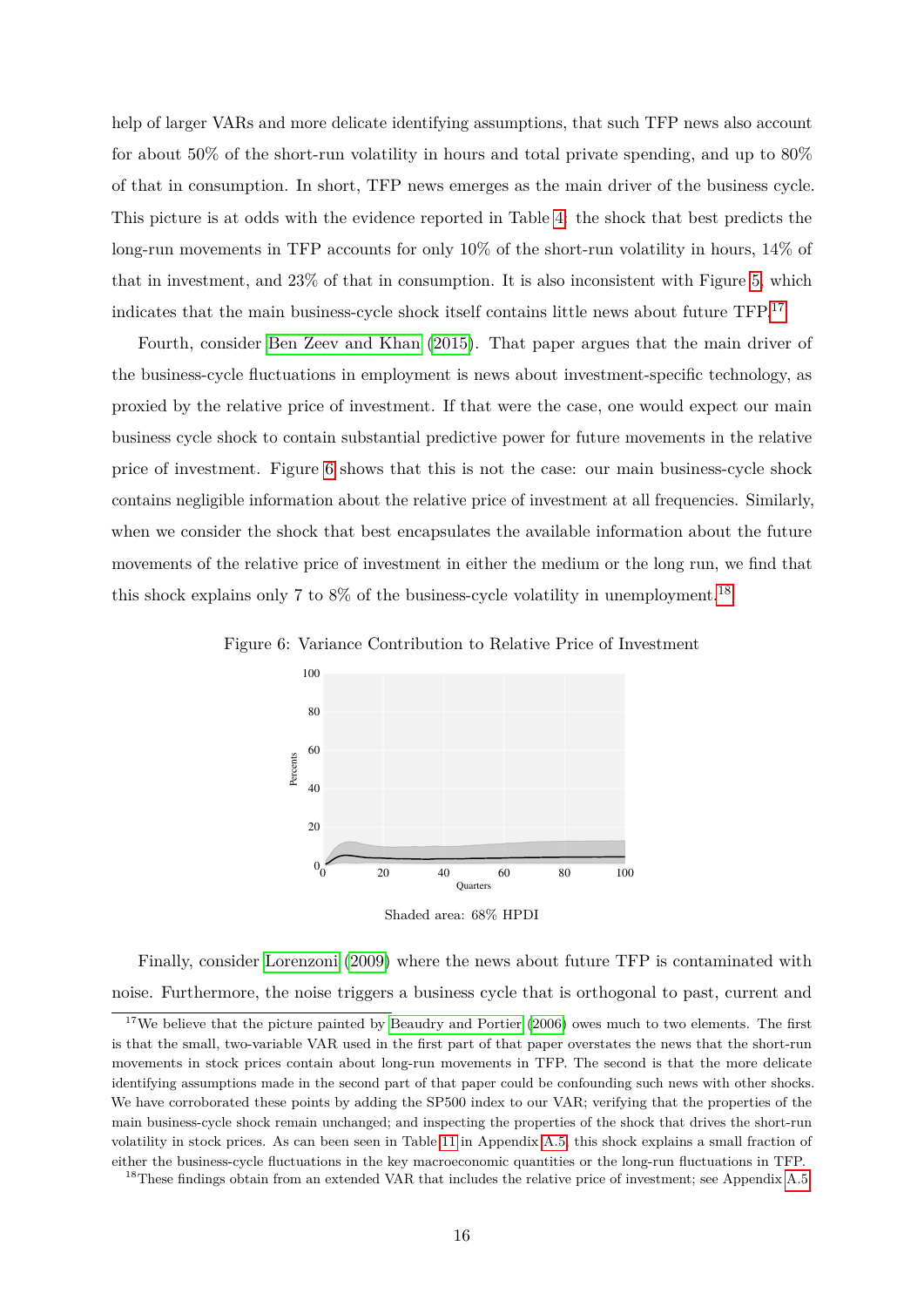help of larger VARs and more delicate identifying assumptions, that such TFP news also account for about 50% of the short-run volatility in hours and total private spending, and up to 80% of that in consumption. In short, TFP news emerges as the main driver of the business cycle. This picture is at odds with the evidence reported in Table [4:](#page-15-1) the shock that best predicts the long-run movements in TFP accounts for only 10% of the short-run volatility in hours, 14% of that in investment, and 23% of that in consumption. It is also inconsistent with Figure [5,](#page-16-0) which indicates that the main business-cycle shock itself contains little news about future TFP.[17](#page-17-0)

Fourth, consider [Ben Zeev and Khan \(2015\)](#page-31-7). That paper argues that the main driver of the business-cycle fluctuations in employment is news about investment-specific technology, as proxied by the relative price of investment. If that were the case, one would expect our main business cycle shock to contain substantial predictive power for future movements in the relative price of investment. Figure [6](#page-17-1) shows that this is not the case: our main business-cycle shock contains negligible information about the relative price of investment at all frequencies. Similarly, when we consider the shock that best encapsulates the available information about the future movements of the relative price of investment in either the medium or the long run, we find that this shock explains only 7 to  $8\%$  of the business-cycle volatility in unemployment.<sup>[18](#page-17-2)</sup>

<span id="page-17-1"></span>

Figure 6: Variance Contribution to Relative Price of Investment

Shaded area: 68% HPDI

Finally, consider [Lorenzoni \(2009\)](#page-33-6) where the news about future TFP is contaminated with noise. Furthermore, the noise triggers a business cycle that is orthogonal to past, current and

<span id="page-17-0"></span><sup>&</sup>lt;sup>17</sup>We believe that the picture painted by [Beaudry and Portier](#page-30-5)  $(2006)$  owes much to two elements. The first is that the small, two-variable VAR used in the first part of that paper overstates the news that the short-run movements in stock prices contain about long-run movements in TFP. The second is that the more delicate identifying assumptions made in the second part of that paper could be confounding such news with other shocks. We have corroborated these points by adding the SP500 index to our VAR; verifying that the properties of the main business-cycle shock remain unchanged; and inspecting the properties of the shock that drives the short-run volatility in stock prices. As can been seen in Table [11](#page-37-1) in Appendix [A.5,](#page-40-0) this shock explains a small fraction of either the business-cycle fluctuations in the key macroeconomic quantities or the long-run fluctuations in TFP.

<span id="page-17-2"></span><sup>&</sup>lt;sup>18</sup>These findings obtain from an extended VAR that includes the relative price of investment; see Appendix [A.5.](#page-40-0)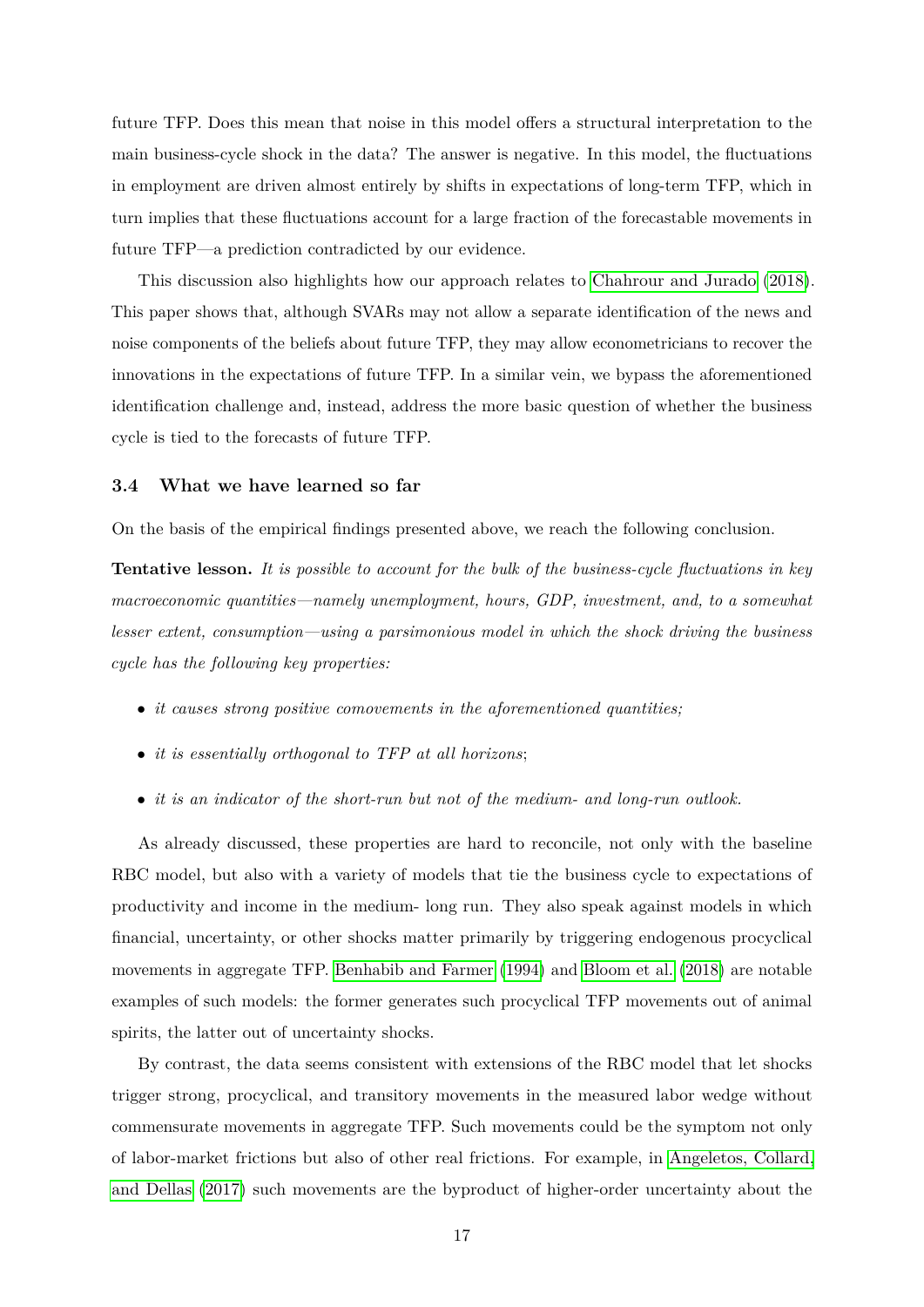future TFP. Does this mean that noise in this model offers a structural interpretation to the main business-cycle shock in the data? The answer is negative. In this model, the fluctuations in employment are driven almost entirely by shifts in expectations of long-term TFP, which in turn implies that these fluctuations account for a large fraction of the forecastable movements in future TFP—a prediction contradicted by our evidence.

This discussion also highlights how our approach relates to [Chahrour and Jurado \(2018\)](#page-31-8). This paper shows that, although SVARs may not allow a separate identification of the news and noise components of the beliefs about future TFP, they may allow econometricians to recover the innovations in the expectations of future TFP. In a similar vein, we bypass the aforementioned identification challenge and, instead, address the more basic question of whether the business cycle is tied to the forecasts of future TFP.

#### **3.4 What we have learned so far**

On the basis of the empirical findings presented above, we reach the following conclusion.

**Tentative lesson.** *It is possible to account for the bulk of the business-cycle fluctuations in key macroeconomic quantities—namely unemployment, hours, GDP, investment, and, to a somewhat lesser extent, consumption—using a parsimonious model in which the shock driving the business cycle has the following key properties:*

- *it causes strong positive comovements in the aforementioned quantities;*
- *it is essentially orthogonal to TFP at all horizons*;
- *it is an indicator of the short-run but not of the medium- and long-run outlook.*

As already discussed, these properties are hard to reconcile, not only with the baseline RBC model, but also with a variety of models that tie the business cycle to expectations of productivity and income in the medium- long run. They also speak against models in which financial, uncertainty, or other shocks matter primarily by triggering endogenous procyclical movements in aggregate TFP. [Benhabib and Farmer \(1994\)](#page-31-3) and [Bloom et al. \(2018\)](#page-31-9) are notable examples of such models: the former generates such procyclical TFP movements out of animal spirits, the latter out of uncertainty shocks.

By contrast, the data seems consistent with extensions of the RBC model that let shocks trigger strong, procyclical, and transitory movements in the measured labor wedge without commensurate movements in aggregate TFP. Such movements could be the symptom not only of labor-market frictions but also of other real frictions. For example, in [Angeletos, Collard,](#page-30-6) [and Dellas \(2017\)](#page-30-6) such movements are the byproduct of higher-order uncertainty about the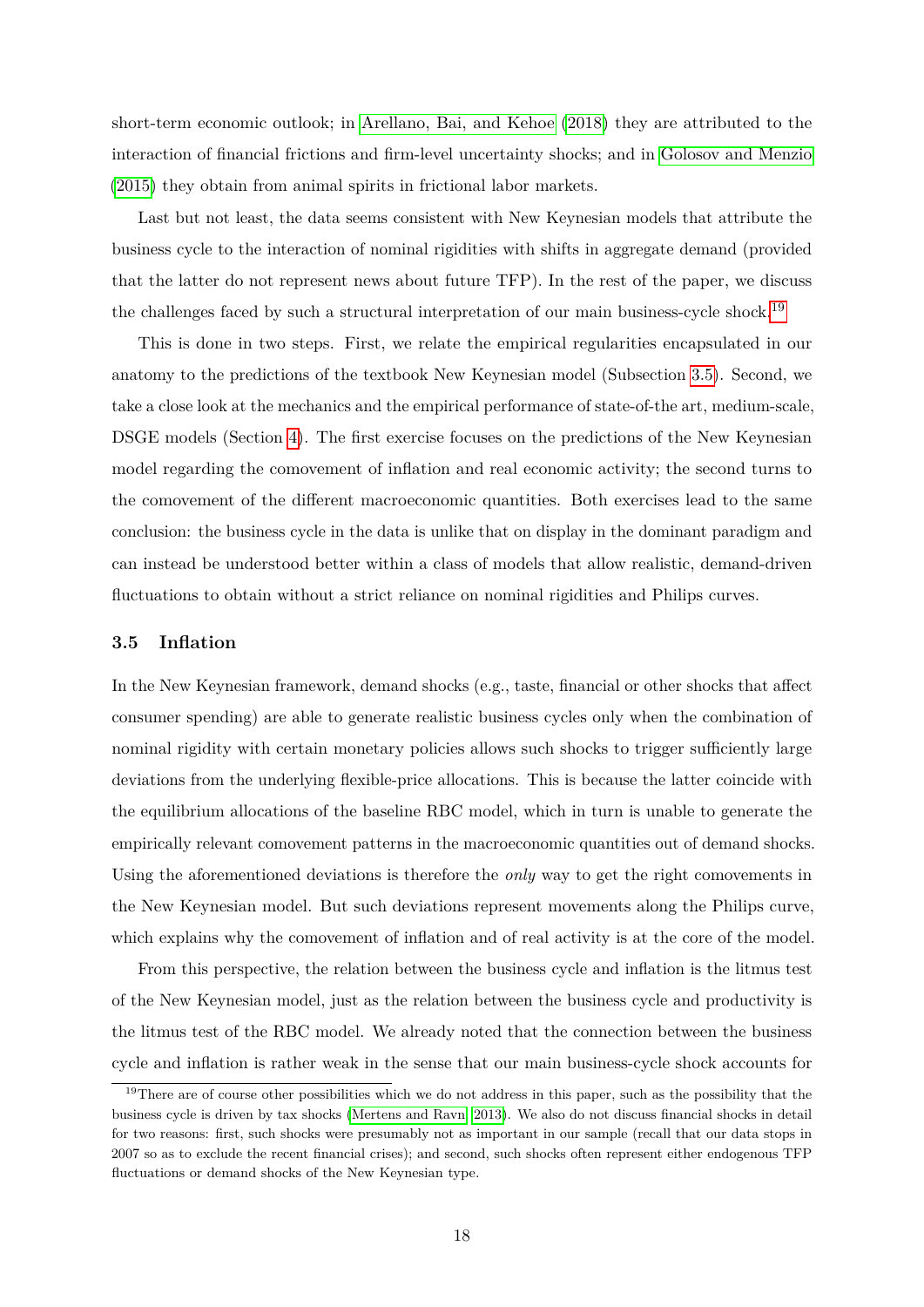short-term economic outlook; in [Arellano, Bai, and Kehoe \(2018\)](#page-30-10) they are attributed to the interaction of financial frictions and firm-level uncertainty shocks; and in [Golosov and Menzio](#page-33-10) [\(2015\)](#page-33-10) they obtain from animal spirits in frictional labor markets.

Last but not least, the data seems consistent with New Keynesian models that attribute the business cycle to the interaction of nominal rigidities with shifts in aggregate demand (provided that the latter do not represent news about future TFP). In the rest of the paper, we discuss the challenges faced by such a structural interpretation of our main business-cycle shock.<sup>[19](#page-19-1)</sup>

This is done in two steps. First, we relate the empirical regularities encapsulated in our anatomy to the predictions of the textbook New Keynesian model (Subsection [3.5\)](#page-19-0). Second, we take a close look at the mechanics and the empirical performance of state-of-the art, medium-scale, DSGE models (Section [4\)](#page-23-0). The first exercise focuses on the predictions of the New Keynesian model regarding the comovement of inflation and real economic activity; the second turns to the comovement of the different macroeconomic quantities. Both exercises lead to the same conclusion: the business cycle in the data is unlike that on display in the dominant paradigm and can instead be understood better within a class of models that allow realistic, demand-driven fluctuations to obtain without a strict reliance on nominal rigidities and Philips curves.

#### <span id="page-19-0"></span>**3.5 Inflation**

In the New Keynesian framework, demand shocks (e.g., taste, financial or other shocks that affect consumer spending) are able to generate realistic business cycles only when the combination of nominal rigidity with certain monetary policies allows such shocks to trigger sufficiently large deviations from the underlying flexible-price allocations. This is because the latter coincide with the equilibrium allocations of the baseline RBC model, which in turn is unable to generate the empirically relevant comovement patterns in the macroeconomic quantities out of demand shocks. Using the aforementioned deviations is therefore the *only* way to get the right comovements in the New Keynesian model. But such deviations represent movements along the Philips curve, which explains why the comovement of inflation and of real activity is at the core of the model.

From this perspective, the relation between the business cycle and inflation is the litmus test of the New Keynesian model, just as the relation between the business cycle and productivity is the litmus test of the RBC model. We already noted that the connection between the business cycle and inflation is rather weak in the sense that our main business-cycle shock accounts for

<span id="page-19-1"></span><sup>&</sup>lt;sup>19</sup>There are of course other possibilities which we do not address in this paper, such as the possibility that the business cycle is driven by tax shocks [\(Mertens and Ravn, 2013\)](#page-34-6). We also do not discuss financial shocks in detail for two reasons: first, such shocks were presumably not as important in our sample (recall that our data stops in 2007 so as to exclude the recent financial crises); and second, such shocks often represent either endogenous TFP fluctuations or demand shocks of the New Keynesian type.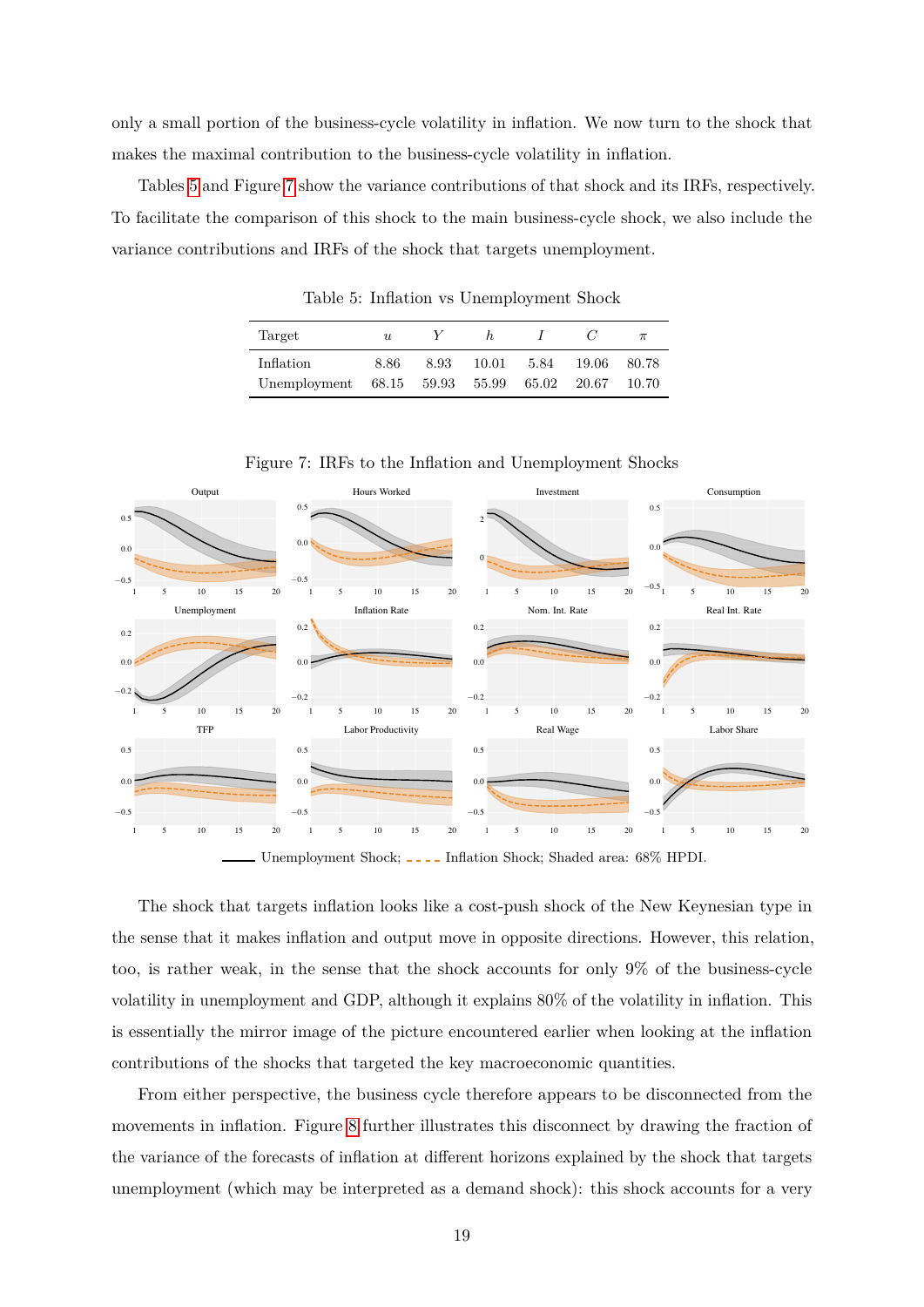only a small portion of the business-cycle volatility in inflation. We now turn to the shock that makes the maximal contribution to the business-cycle volatility in inflation.

Tables [5](#page-20-0) and Figure [7](#page-20-1) show the variance contributions of that shock and its IRFs, respectively. To facilitate the comparison of this shock to the main business-cycle shock, we also include the variance contributions and IRFs of the shock that targets unemployment.

| Target                         | $\boldsymbol{u}$ |      | h.    |       |        | $\pi$ |
|--------------------------------|------------------|------|-------|-------|--------|-------|
| Inflation                      | 8.86             | 8.93 | 10.01 | 5.84  | -19.06 | 80.78 |
| Unemployment 68.15 59.93 55.99 |                  |      |       | 65.02 | 20.67  | 10.70 |

<span id="page-20-0"></span>Table 5: Inflation vs Unemployment Shock



<span id="page-20-1"></span>Figure 7: IRFs to the Inflation and Unemployment Shocks

Unemployment Shock;  $\overline{\phantom{a}}$  Inflation Shock; Shaded area: 68% HPDI.

The shock that targets inflation looks like a cost-push shock of the New Keynesian type in the sense that it makes inflation and output move in opposite directions. However, this relation, too, is rather weak, in the sense that the shock accounts for only 9% of the business-cycle volatility in unemployment and GDP, although it explains 80% of the volatility in inflation. This is essentially the mirror image of the picture encountered earlier when looking at the inflation contributions of the shocks that targeted the key macroeconomic quantities.

From either perspective, the business cycle therefore appears to be disconnected from the movements in inflation. Figure [8](#page-21-0) further illustrates this disconnect by drawing the fraction of the variance of the forecasts of inflation at different horizons explained by the shock that targets unemployment (which may be interpreted as a demand shock): this shock accounts for a very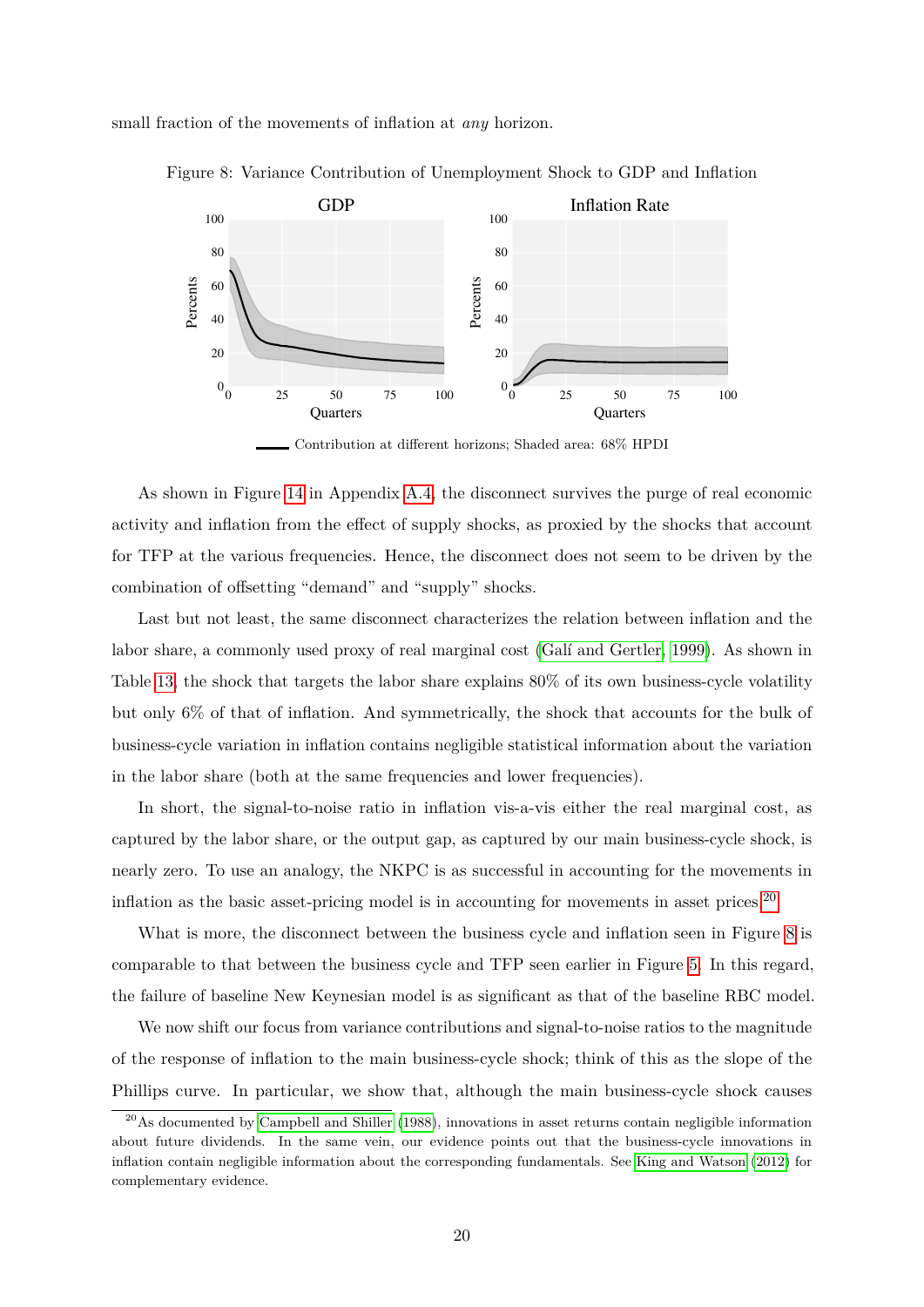small fraction of the movements of inflation at *any* horizon.

<span id="page-21-0"></span>

Figure 8: Variance Contribution of Unemployment Shock to GDP and Inflation

Contribution at different horizons; Shaded area: 68% HPDI

As shown in Figure [14](#page-39-0) in Appendix [A.4,](#page-39-1) the disconnect survives the purge of real economic activity and inflation from the effect of supply shocks, as proxied by the shocks that account for TFP at the various frequencies. Hence, the disconnect does not seem to be driven by the combination of offsetting "demand" and "supply" shocks.

Last but not least, the same disconnect characterizes the relation between inflation and the labor share, a commonly used proxy of real marginal cost (Galí and Gertler, 1999). As shown in Table [13,](#page-39-2) the shock that targets the labor share explains 80% of its own business-cycle volatility but only 6% of that of inflation. And symmetrically, the shock that accounts for the bulk of business-cycle variation in inflation contains negligible statistical information about the variation in the labor share (both at the same frequencies and lower frequencies).

In short, the signal-to-noise ratio in inflation vis-a-vis either the real marginal cost, as captured by the labor share, or the output gap, as captured by our main business-cycle shock, is nearly zero. To use an analogy, the NKPC is as successful in accounting for the movements in inflation as the basic asset-pricing model is in accounting for movements in asset prices. $20$ 

What is more, the disconnect between the business cycle and inflation seen in Figure [8](#page-21-0) is comparable to that between the business cycle and TFP seen earlier in Figure [5.](#page-16-0) In this regard, the failure of baseline New Keynesian model is as significant as that of the baseline RBC model.

We now shift our focus from variance contributions and signal-to-noise ratios to the magnitude of the response of inflation to the main business-cycle shock; think of this as the slope of the Phillips curve. In particular, we show that, although the main business-cycle shock causes

<span id="page-21-1"></span><sup>&</sup>lt;sup>20</sup>As documented by [Campbell and Shiller](#page-31-10) [\(1988\)](#page-31-10), innovations in asset returns contain negligible information about future dividends. In the same vein, our evidence points out that the business-cycle innovations in inflation contain negligible information about the corresponding fundamentals. See [King and Watson](#page-33-11) [\(2012\)](#page-33-11) for complementary evidence.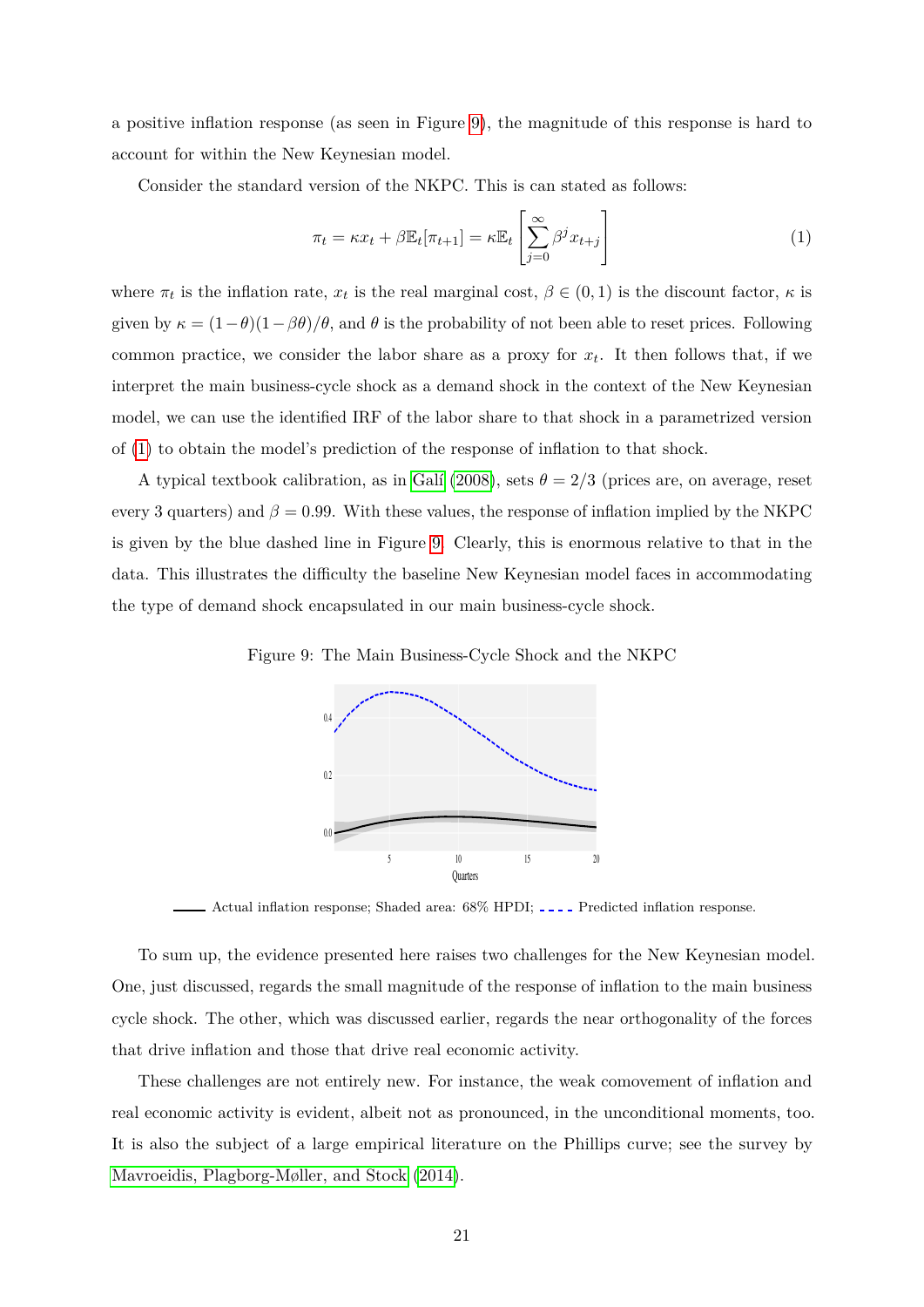a positive inflation response (as seen in Figure [9\)](#page-22-0), the magnitude of this response is hard to account for within the New Keynesian model.

Consider the standard version of the NKPC. This is can stated as follows:

<span id="page-22-1"></span>
$$
\pi_t = \kappa x_t + \beta \mathbb{E}_t[\pi_{t+1}] = \kappa \mathbb{E}_t\left[\sum_{j=0}^{\infty} \beta^j x_{t+j}\right]
$$
\n(1)

where  $\pi_t$  is the inflation rate,  $x_t$  is the real marginal cost,  $\beta \in (0,1)$  is the discount factor,  $\kappa$  is given by  $\kappa = (1-\theta)(1-\beta\theta)/\theta$ , and  $\theta$  is the probability of not been able to reset prices. Following common practice, we consider the labor share as a proxy for  $x_t$ . It then follows that, if we interpret the main business-cycle shock as a demand shock in the context of the New Keynesian model, we can use the identified IRF of the labor share to that shock in a parametrized version of [\(1\)](#page-22-1) to obtain the model's prediction of the response of inflation to that shock.

A typical textbook calibration, as in Galí (2008), sets  $\theta = 2/3$  (prices are, on average, reset every 3 quarters) and  $\beta = 0.99$ . With these values, the response of inflation implied by the NKPC is given by the blue dashed line in Figure [9.](#page-22-0) Clearly, this is enormous relative to that in the data. This illustrates the difficulty the baseline New Keynesian model faces in accommodating the type of demand shock encapsulated in our main business-cycle shock.

Figure 9: The Main Business-Cycle Shock and the NKPC

<span id="page-22-0"></span>

- Actual inflation response; Shaded area:  $68\%$  HPDI; .... Predicted inflation response.

To sum up, the evidence presented here raises two challenges for the New Keynesian model. One, just discussed, regards the small magnitude of the response of inflation to the main business cycle shock. The other, which was discussed earlier, regards the near orthogonality of the forces that drive inflation and those that drive real economic activity.

These challenges are not entirely new. For instance, the weak comovement of inflation and real economic activity is evident, albeit not as pronounced, in the unconditional moments, too. It is also the subject of a large empirical literature on the Phillips curve; see the survey by [Mavroeidis, Plagborg-Møller, and Stock \(2014\)](#page-33-12).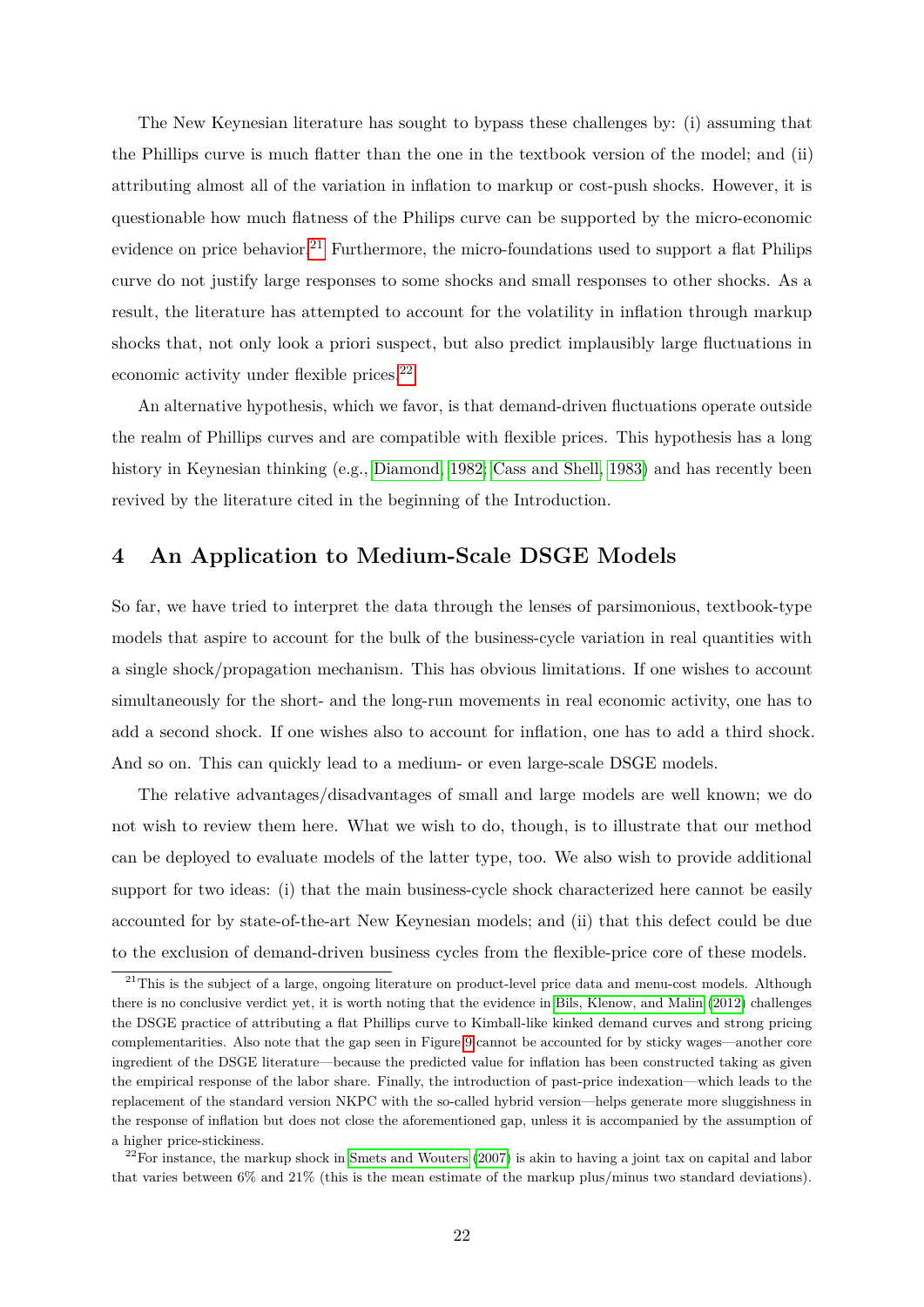The New Keynesian literature has sought to bypass these challenges by: (i) assuming that the Phillips curve is much flatter than the one in the textbook version of the model; and (ii) attributing almost all of the variation in inflation to markup or cost-push shocks. However, it is questionable how much flatness of the Philips curve can be supported by the micro-economic evidence on price behavior.<sup>[21](#page-23-1)</sup> Furthermore, the micro-foundations used to support a flat Philips curve do not justify large responses to some shocks and small responses to other shocks. As a result, the literature has attempted to account for the volatility in inflation through markup shocks that, not only look a priori suspect, but also predict implausibly large fluctuations in economic activity under flexible prices.<sup>[22](#page-23-2)</sup>

An alternative hypothesis, which we favor, is that demand-driven fluctuations operate outside the realm of Phillips curves and are compatible with flexible prices. This hypothesis has a long history in Keynesian thinking (e.g., [Diamond, 1982;](#page-32-8) [Cass and Shell, 1983\)](#page-31-11) and has recently been revived by the literature cited in the beginning of the Introduction.

# <span id="page-23-0"></span>**4 An Application to Medium-Scale DSGE Models**

So far, we have tried to interpret the data through the lenses of parsimonious, textbook-type models that aspire to account for the bulk of the business-cycle variation in real quantities with a single shock/propagation mechanism. This has obvious limitations. If one wishes to account simultaneously for the short- and the long-run movements in real economic activity, one has to add a second shock. If one wishes also to account for inflation, one has to add a third shock. And so on. This can quickly lead to a medium- or even large-scale DSGE models.

The relative advantages/disadvantages of small and large models are well known; we do not wish to review them here. What we wish to do, though, is to illustrate that our method can be deployed to evaluate models of the latter type, too. We also wish to provide additional support for two ideas: (i) that the main business-cycle shock characterized here cannot be easily accounted for by state-of-the-art New Keynesian models; and (ii) that this defect could be due to the exclusion of demand-driven business cycles from the flexible-price core of these models.

<span id="page-23-1"></span> $21$ This is the subject of a large, ongoing literature on product-level price data and menu-cost models. Although there is no conclusive verdict yet, it is worth noting that the evidence in [Bils, Klenow, and Malin](#page-31-5) [\(2012\)](#page-31-5) challenges the DSGE practice of attributing a flat Phillips curve to Kimball-like kinked demand curves and strong pricing complementarities. Also note that the gap seen in Figure [9](#page-22-0) cannot be accounted for by sticky wages—another core ingredient of the DSGE literature—because the predicted value for inflation has been constructed taking as given the empirical response of the labor share. Finally, the introduction of past-price indexation—which leads to the replacement of the standard version NKPC with the so-called hybrid version—helps generate more sluggishness in the response of inflation but does not close the aforementioned gap, unless it is accompanied by the assumption of a higher price-stickiness.

<span id="page-23-2"></span> $22$ For instance, the markup shock in [Smets and Wouters](#page-34-2) [\(2007\)](#page-34-2) is akin to having a joint tax on capital and labor that varies between 6% and 21% (this is the mean estimate of the markup plus/minus two standard deviations).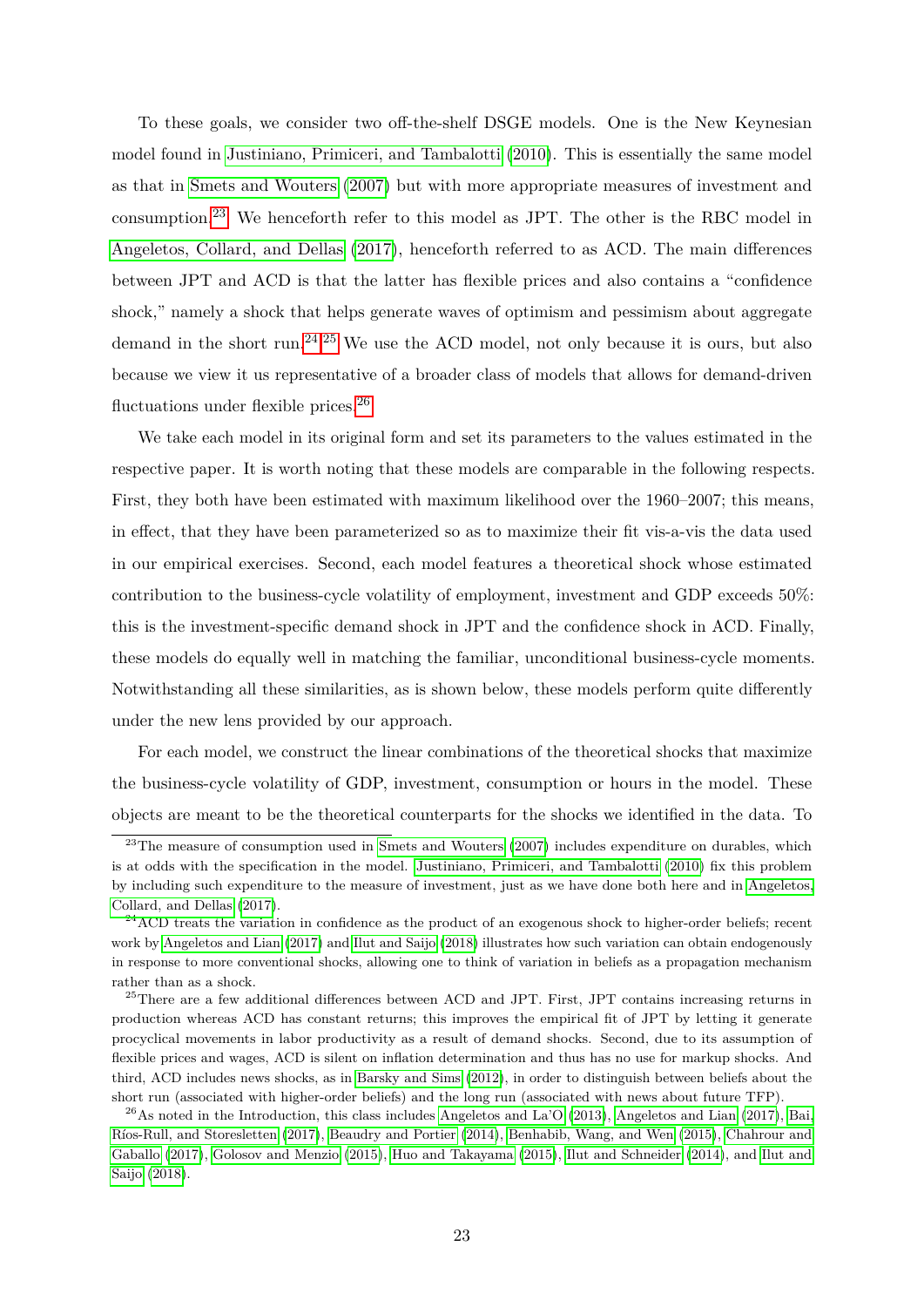To these goals, we consider two off-the-shelf DSGE models. One is the New Keynesian model found in [Justiniano, Primiceri, and Tambalotti \(2010\)](#page-33-8). This is essentially the same model as that in [Smets and Wouters \(2007\)](#page-34-2) but with more appropriate measures of investment and consumption.[23](#page-24-0) We henceforth refer to this model as JPT. The other is the RBC model in [Angeletos, Collard, and Dellas \(2017\)](#page-30-6), henceforth referred to as ACD. The main differences between JPT and ACD is that the latter has flexible prices and also contains a "confidence shock," namely a shock that helps generate waves of optimism and pessimism about aggregate demand in the short run.[24](#page-24-1)*,*[25](#page-24-2) We use the ACD model, not only because it is ours, but also because we view it us representative of a broader class of models that allows for demand-driven fluctuations under flexible prices.<sup>[26](#page-24-3)</sup>

We take each model in its original form and set its parameters to the values estimated in the respective paper. It is worth noting that these models are comparable in the following respects. First, they both have been estimated with maximum likelihood over the 1960–2007; this means, in effect, that they have been parameterized so as to maximize their fit vis-a-vis the data used in our empirical exercises. Second, each model features a theoretical shock whose estimated contribution to the business-cycle volatility of employment, investment and GDP exceeds 50%: this is the investment-specific demand shock in JPT and the confidence shock in ACD. Finally, these models do equally well in matching the familiar, unconditional business-cycle moments. Notwithstanding all these similarities, as is shown below, these models perform quite differently under the new lens provided by our approach.

For each model, we construct the linear combinations of the theoretical shocks that maximize the business-cycle volatility of GDP, investment, consumption or hours in the model. These objects are meant to be the theoretical counterparts for the shocks we identified in the data. To

<span id="page-24-0"></span> $^{23}$ The measure of consumption used in [Smets and Wouters](#page-34-2) [\(2007\)](#page-34-2) includes expenditure on durables, which is at odds with the specification in the model. [Justiniano, Primiceri, and Tambalotti](#page-33-8) [\(2010\)](#page-33-8) fix this problem by including such expenditure to the measure of investment, just as we have done both here and in [Angeletos,](#page-30-6) [Collard, and Dellas](#page-30-6) [\(2017\)](#page-30-6).

<span id="page-24-1"></span> $^{24}$ ACD treats the variation in confidence as the product of an exogenous shock to higher-order beliefs; recent work by [Angeletos and Lian](#page-30-11) [\(2017\)](#page-30-11) and [Ilut and Saijo](#page-33-2) [\(2018\)](#page-33-2) illustrates how such variation can obtain endogenously in response to more conventional shocks, allowing one to think of variation in beliefs as a propagation mechanism rather than as a shock.

<span id="page-24-2"></span><sup>&</sup>lt;sup>25</sup>There are a few additional differences between ACD and JPT. First, JPT contains increasing returns in production whereas ACD has constant returns; this improves the empirical fit of JPT by letting it generate procyclical movements in labor productivity as a result of demand shocks. Second, due to its assumption of flexible prices and wages, ACD is silent on inflation determination and thus has no use for markup shocks. And third, ACD includes news shocks, as in [Barsky and Sims](#page-30-4) [\(2012\)](#page-30-4), in order to distinguish between beliefs about the short run (associated with higher-order beliefs) and the long run (associated with news about future TFP).

<span id="page-24-3"></span> $^{26}$ As noted in the Introduction, this class includes [Angeletos and La'O](#page-30-0) [\(2013\)](#page-30-0), [Angeletos and Lian](#page-30-11) [\(2017\)](#page-30-11), [Bai,](#page-30-1) [R´ıos-Rull, and Storesletten](#page-30-1) [\(2017\)](#page-30-1), [Beaudry and Portier](#page-31-0) [\(2014\)](#page-31-0), [Benhabib, Wang, and Wen](#page-31-2) [\(2015\)](#page-31-2), [Chahrour and](#page-31-12) [Gaballo](#page-31-12) [\(2017\)](#page-31-12), [Golosov and Menzio](#page-33-10) [\(2015\)](#page-33-10), [Huo and Takayama](#page-33-1) [\(2015\)](#page-33-1), [Ilut and Schneider](#page-33-13) [\(2014\)](#page-33-13), and [Ilut and](#page-33-2) [Saijo](#page-33-2) [\(2018\)](#page-33-2).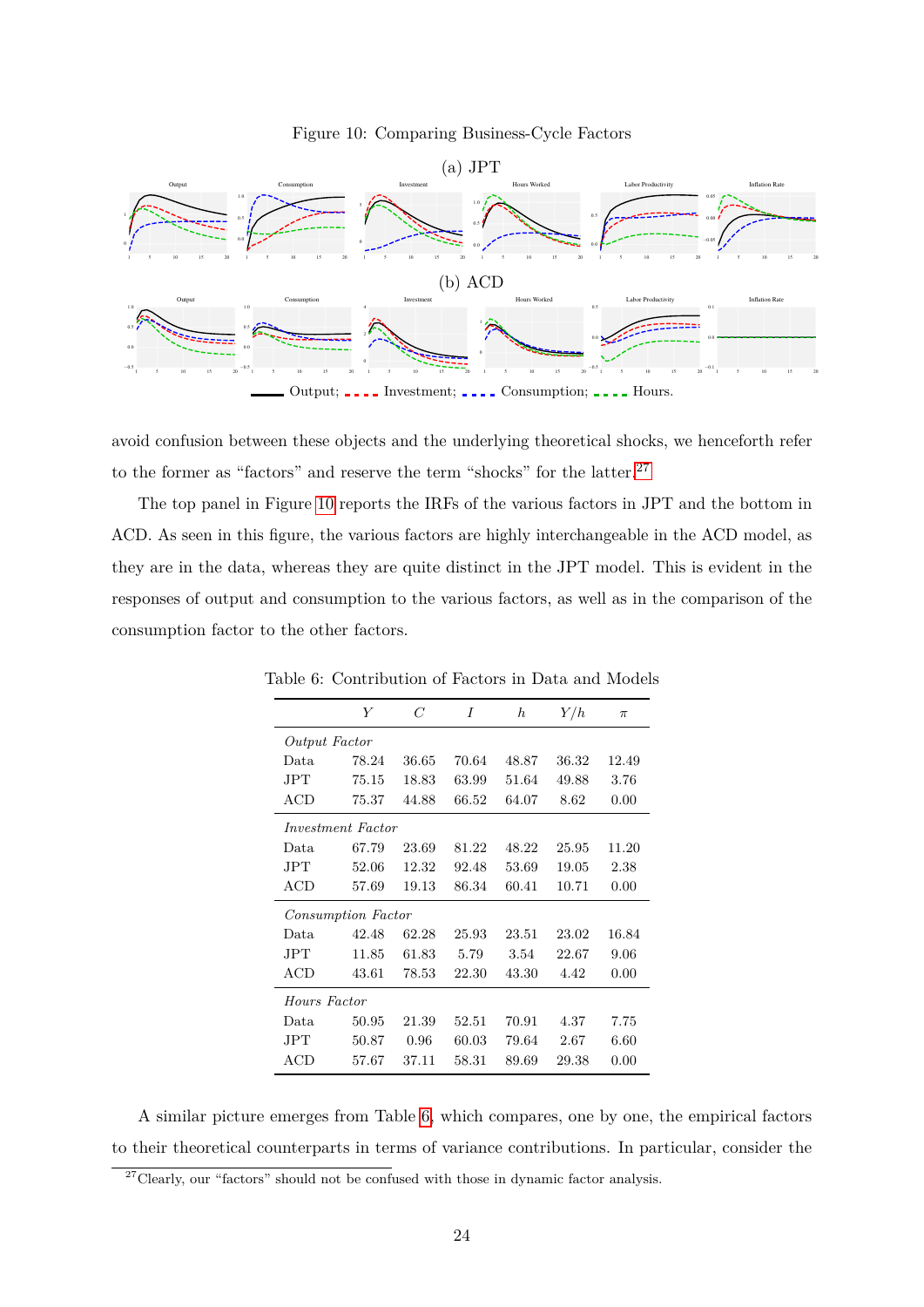#### <span id="page-25-1"></span>Figure 10: Comparing Business-Cycle Factors



avoid confusion between these objects and the underlying theoretical shocks, we henceforth refer to the former as "factors" and reserve the term "shocks" for the latter.<sup>[27](#page-25-0)</sup>

The top panel in Figure [10](#page-25-1) reports the IRFs of the various factors in JPT and the bottom in ACD. As seen in this figure, the various factors are highly interchangeable in the ACD model, as they are in the data, whereas they are quite distinct in the JPT model. This is evident in the responses of output and consumption to the various factors, as well as in the comparison of the consumption factor to the other factors.

|                          | Y     | C     | I     | $\boldsymbol{h}$ | Y/h   | $\pi$ |
|--------------------------|-------|-------|-------|------------------|-------|-------|
| Output Factor            |       |       |       |                  |       |       |
| Data                     | 78.24 | 36.65 | 70.64 | 48.87            | 36.32 | 12.49 |
| JPT.                     | 75.15 | 18.83 | 63.99 | 51.64            | 49.88 | 3.76  |
| ACD                      | 75.37 | 44.88 | 66.52 | 64.07            | 8.62  | 0.00  |
| <i>Investment Factor</i> |       |       |       |                  |       |       |
| Data.                    | 67.79 | 23.69 | 81.22 | 48.22            | 25.95 | 11.20 |
| JPT                      | 52.06 | 12.32 | 92.48 | 53.69            | 19.05 | 2.38  |
| ACD                      | 57.69 | 19.13 | 86.34 | 60.41            | 10.71 | 0.00  |
| Consumption Factor       |       |       |       |                  |       |       |
| Data                     | 42.48 | 62.28 | 25.93 | 23.51            | 23.02 | 16.84 |
| $_{\rm JPT}$             | 11.85 | 61.83 | 5.79  | 3.54             | 22.67 | 9.06  |
| ACD                      | 43.61 | 78.53 | 22.30 | 43.30            | 4.42  | 0.00  |
| Hours Factor             |       |       |       |                  |       |       |
| Data.                    | 50.95 | 21.39 | 52.51 | 70.91            | 4.37  | 7.75  |
| JPT                      | 50.87 | 0.96  | 60.03 | 79.64            | 2.67  | 6.60  |
| ACD                      | 57.67 | 37.11 | 58.31 | 89.69            | 29.38 | 0.00  |

<span id="page-25-2"></span>Table 6: Contribution of Factors in Data and Models

A similar picture emerges from Table [6,](#page-25-2) which compares, one by one, the empirical factors to their theoretical counterparts in terms of variance contributions. In particular, consider the

<span id="page-25-0"></span> $27$ Clearly, our "factors" should not be confused with those in dynamic factor analysis.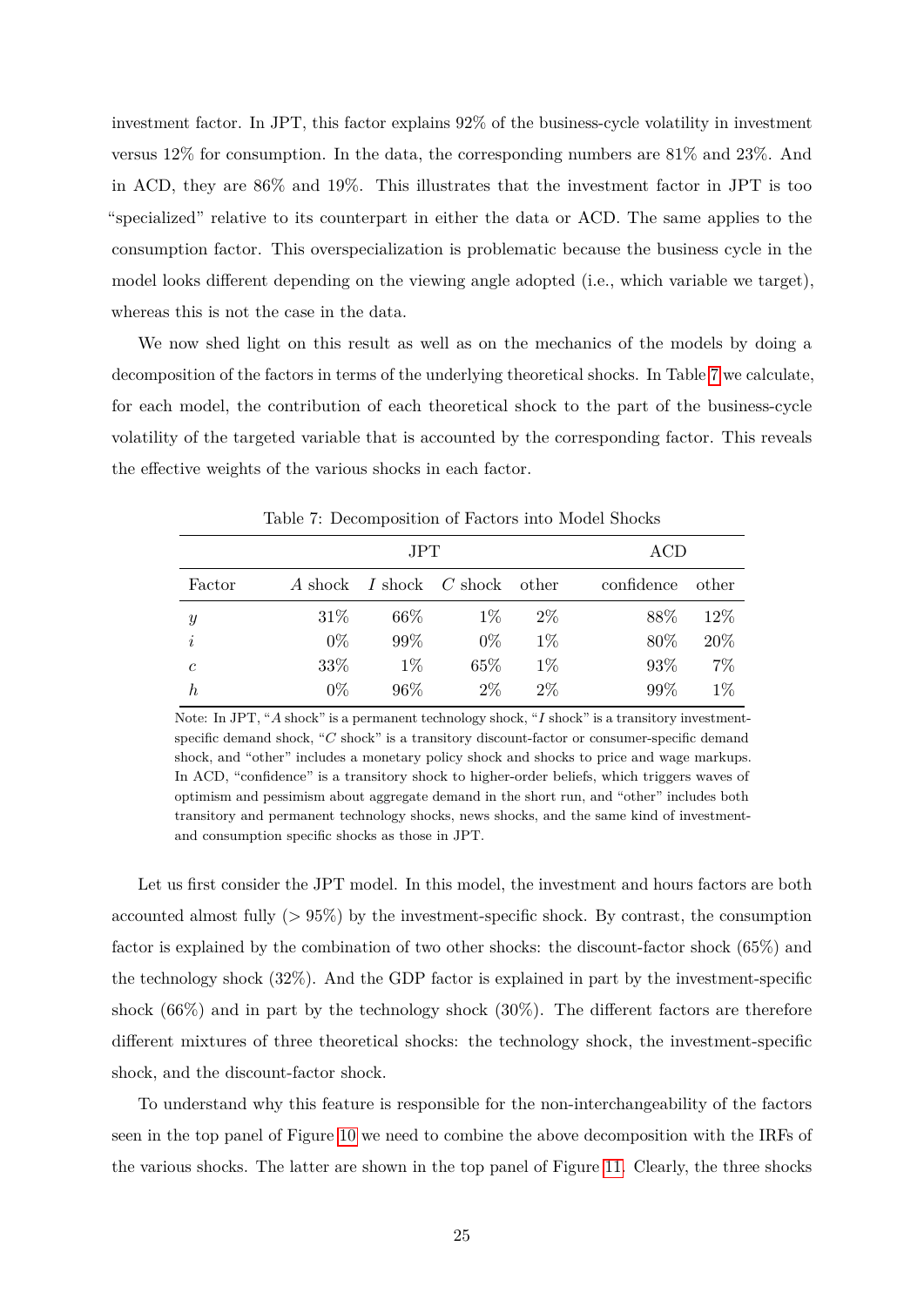investment factor. In JPT, this factor explains 92% of the business-cycle volatility in investment versus 12% for consumption. In the data, the corresponding numbers are 81% and 23%. And in ACD, they are 86% and 19%. This illustrates that the investment factor in JPT is too "specialized" relative to its counterpart in either the data or ACD. The same applies to the consumption factor. This overspecialization is problematic because the business cycle in the model looks different depending on the viewing angle adopted (i.e., which variable we target), whereas this is not the case in the data.

We now shed light on this result as well as on the mechanics of the models by doing a decomposition of the factors in terms of the underlying theoretical shocks. In Table [7](#page-26-0) we calculate, for each model, the contribution of each theoretical shock to the part of the business-cycle volatility of the targeted variable that is accounted by the corresponding factor. This reveals the effective weights of the various shocks in each factor.

|               |       | <b>JPT</b> |                               |       | ACD        |       |  |  |
|---------------|-------|------------|-------------------------------|-------|------------|-------|--|--|
| Factor        |       |            | A shock I shock C shock other |       | confidence | other |  |  |
| $\mathcal{Y}$ | 31\%  | $66\%$     | $1\%$                         | $2\%$ | 88\%       | 12%   |  |  |
| $\dot{i}$     | $0\%$ | 99%        | $0\%$                         | $1\%$ | 80%        | 20%   |  |  |
| $\mathfrak c$ | 33%   | $1\%$      | 65\%                          | $1\%$ | 93%        | $7\%$ |  |  |
| $_{h}$        | $0\%$ | 96%        | $2\%$                         | $2\%$ | 99%        | $1\%$ |  |  |

<span id="page-26-0"></span>Table 7: Decomposition of Factors into Model Shocks

Note: In JPT, "*A* shock" is a permanent technology shock, "*I* shock" is a transitory investmentspecific demand shock, "*C* shock" is a transitory discount-factor or consumer-specific demand shock, and "other" includes a monetary policy shock and shocks to price and wage markups. In ACD, "confidence" is a transitory shock to higher-order beliefs, which triggers waves of optimism and pessimism about aggregate demand in the short run, and "other" includes both transitory and permanent technology shocks, news shocks, and the same kind of investmentand consumption specific shocks as those in JPT.

Let us first consider the JPT model. In this model, the investment and hours factors are both accounted almost fully (*>* 95%) by the investment-specific shock. By contrast, the consumption factor is explained by the combination of two other shocks: the discount-factor shock (65%) and the technology shock (32%). And the GDP factor is explained in part by the investment-specific shock (66%) and in part by the technology shock (30%). The different factors are therefore different mixtures of three theoretical shocks: the technology shock, the investment-specific shock, and the discount-factor shock.

To understand why this feature is responsible for the non-interchangeability of the factors seen in the top panel of Figure [10](#page-25-1) we need to combine the above decomposition with the IRFs of the various shocks. The latter are shown in the top panel of Figure [11.](#page-27-0) Clearly, the three shocks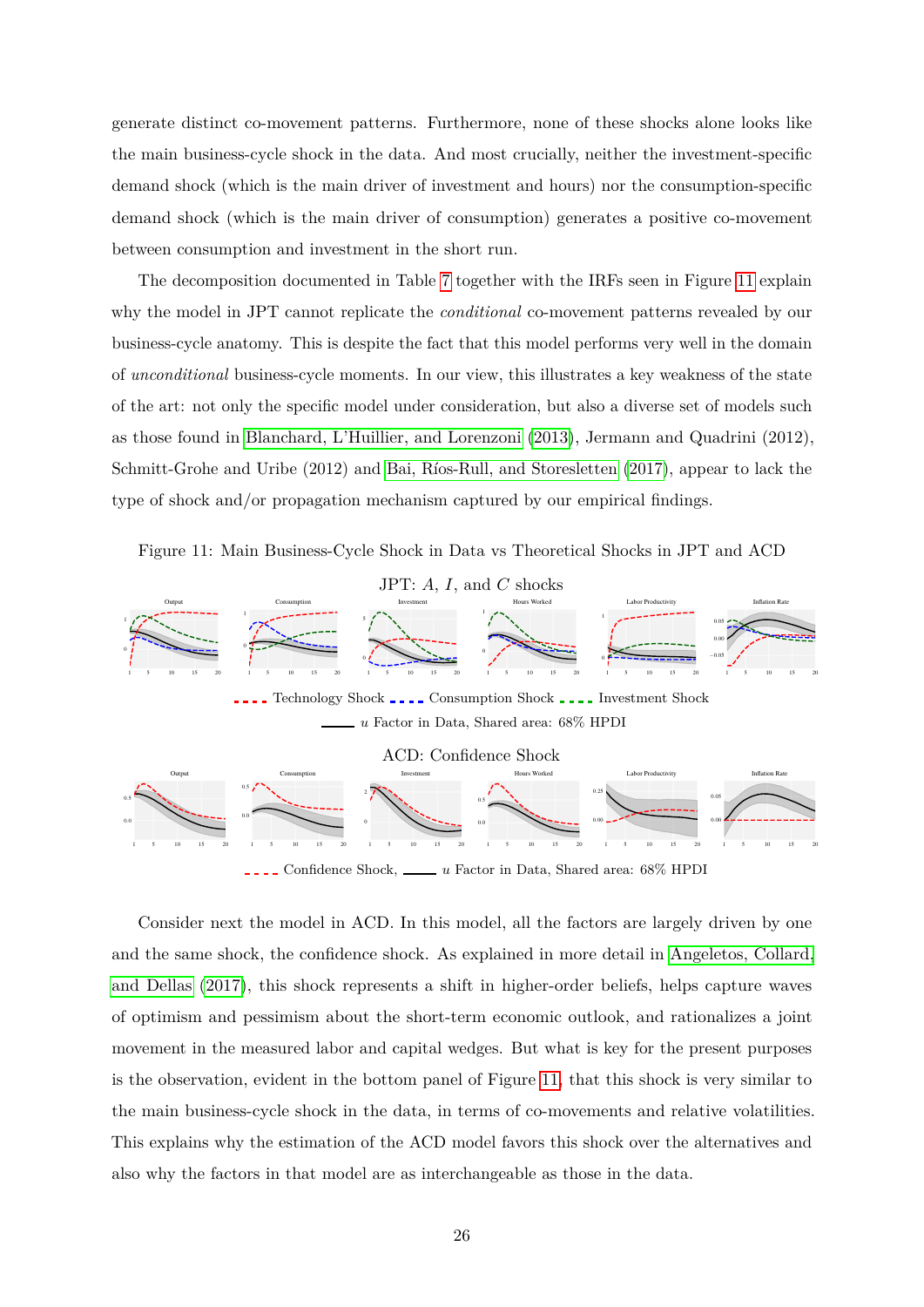generate distinct co-movement patterns. Furthermore, none of these shocks alone looks like the main business-cycle shock in the data. And most crucially, neither the investment-specific demand shock (which is the main driver of investment and hours) nor the consumption-specific demand shock (which is the main driver of consumption) generates a positive co-movement between consumption and investment in the short run.

The decomposition documented in Table [7](#page-26-0) together with the IRFs seen in Figure [11](#page-27-0) explain why the model in JPT cannot replicate the *conditional* co-movement patterns revealed by our business-cycle anatomy. This is despite the fact that this model performs very well in the domain of *unconditional* business-cycle moments. In our view, this illustrates a key weakness of the state of the art: not only the specific model under consideration, but also a diverse set of models such as those found in [Blanchard, L'Huillier, and Lorenzoni \(2013\)](#page-31-13), Jermann and Quadrini (2012), Schmitt-Grohe and Uribe (2012) and Bai, Ríos-Rull, and Storesletten (2017), appear to lack the type of shock and/or propagation mechanism captured by our empirical findings.

<span id="page-27-0"></span>Figure 11: Main Business-Cycle Shock in Data vs Theoretical Shocks in JPT and ACD



Confidence Shock, <u>under a Factor</u> in Data, Shared area: 68% HPDI

0.0

1 5 10 15 20

1 5 10 15 20

1 5 10 15 20

0.00

0.00

1 5 10 15 20

0

1 5 10 15 20

1 5 10 15 20

0.0

0.0

Consider next the model in ACD. In this model, all the factors are largely driven by one and the same shock, the confidence shock. As explained in more detail in [Angeletos, Collard,](#page-30-6) [and Dellas \(2017\)](#page-30-6), this shock represents a shift in higher-order beliefs, helps capture waves of optimism and pessimism about the short-term economic outlook, and rationalizes a joint movement in the measured labor and capital wedges. But what is key for the present purposes is the observation, evident in the bottom panel of Figure [11,](#page-27-0) that this shock is very similar to the main business-cycle shock in the data, in terms of co-movements and relative volatilities. This explains why the estimation of the ACD model favors this shock over the alternatives and also why the factors in that model are as interchangeable as those in the data.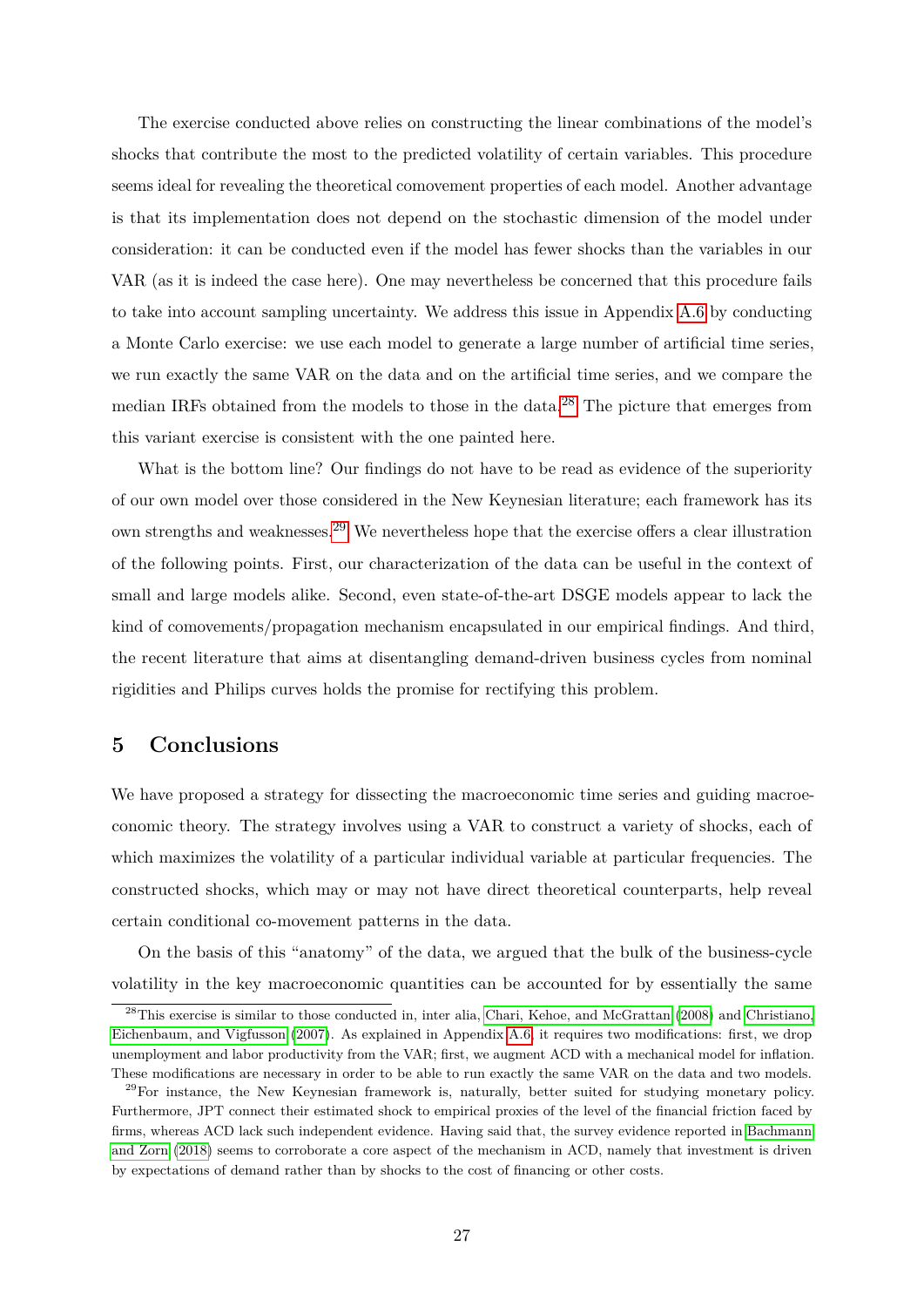The exercise conducted above relies on constructing the linear combinations of the model's shocks that contribute the most to the predicted volatility of certain variables. This procedure seems ideal for revealing the theoretical comovement properties of each model. Another advantage is that its implementation does not depend on the stochastic dimension of the model under consideration: it can be conducted even if the model has fewer shocks than the variables in our VAR (as it is indeed the case here). One may nevertheless be concerned that this procedure fails to take into account sampling uncertainty. We address this issue in Appendix [A.6](#page-42-0) by conducting a Monte Carlo exercise: we use each model to generate a large number of artificial time series, we run exactly the same VAR on the data and on the artificial time series, and we compare the median IRFs obtained from the models to those in the data.[28](#page-28-1) The picture that emerges from this variant exercise is consistent with the one painted here.

What is the bottom line? Our findings do not have to be read as evidence of the superiority of our own model over those considered in the New Keynesian literature; each framework has its own strengths and weaknesses.[29](#page-28-2) We nevertheless hope that the exercise offers a clear illustration of the following points. First, our characterization of the data can be useful in the context of small and large models alike. Second, even state-of-the-art DSGE models appear to lack the kind of comovements/propagation mechanism encapsulated in our empirical findings. And third, the recent literature that aims at disentangling demand-driven business cycles from nominal rigidities and Philips curves holds the promise for rectifying this problem.

# <span id="page-28-0"></span>**5 Conclusions**

We have proposed a strategy for dissecting the macroeconomic time series and guiding macroeconomic theory. The strategy involves using a VAR to construct a variety of shocks, each of which maximizes the volatility of a particular individual variable at particular frequencies. The constructed shocks, which may or may not have direct theoretical counterparts, help reveal certain conditional co-movement patterns in the data.

On the basis of this "anatomy" of the data, we argued that the bulk of the business-cycle volatility in the key macroeconomic quantities can be accounted for by essentially the same

<span id="page-28-1"></span><sup>&</sup>lt;sup>28</sup>This exercise is similar to those conducted in, inter alia, [Chari, Kehoe, and McGrattan](#page-32-9) [\(2008\)](#page-32-9) and [Christiano,](#page-32-10) [Eichenbaum, and Vigfusson](#page-32-10) [\(2007\)](#page-32-10). As explained in Appendix [A.6,](#page-42-0) it requires two modifications: first, we drop unemployment and labor productivity from the VAR; first, we augment ACD with a mechanical model for inflation. These modifications are necessary in order to be able to run exactly the same VAR on the data and two models.

<span id="page-28-2"></span> $29$ For instance, the New Keynesian framework is, naturally, better suited for studying monetary policy. Furthermore, JPT connect their estimated shock to empirical proxies of the level of the financial friction faced by firms, whereas ACD lack such independent evidence. Having said that, the survey evidence reported in [Bachmann](#page-30-7) [and Zorn](#page-30-7) [\(2018\)](#page-30-7) seems to corroborate a core aspect of the mechanism in ACD, namely that investment is driven by expectations of demand rather than by shocks to the cost of financing or other costs.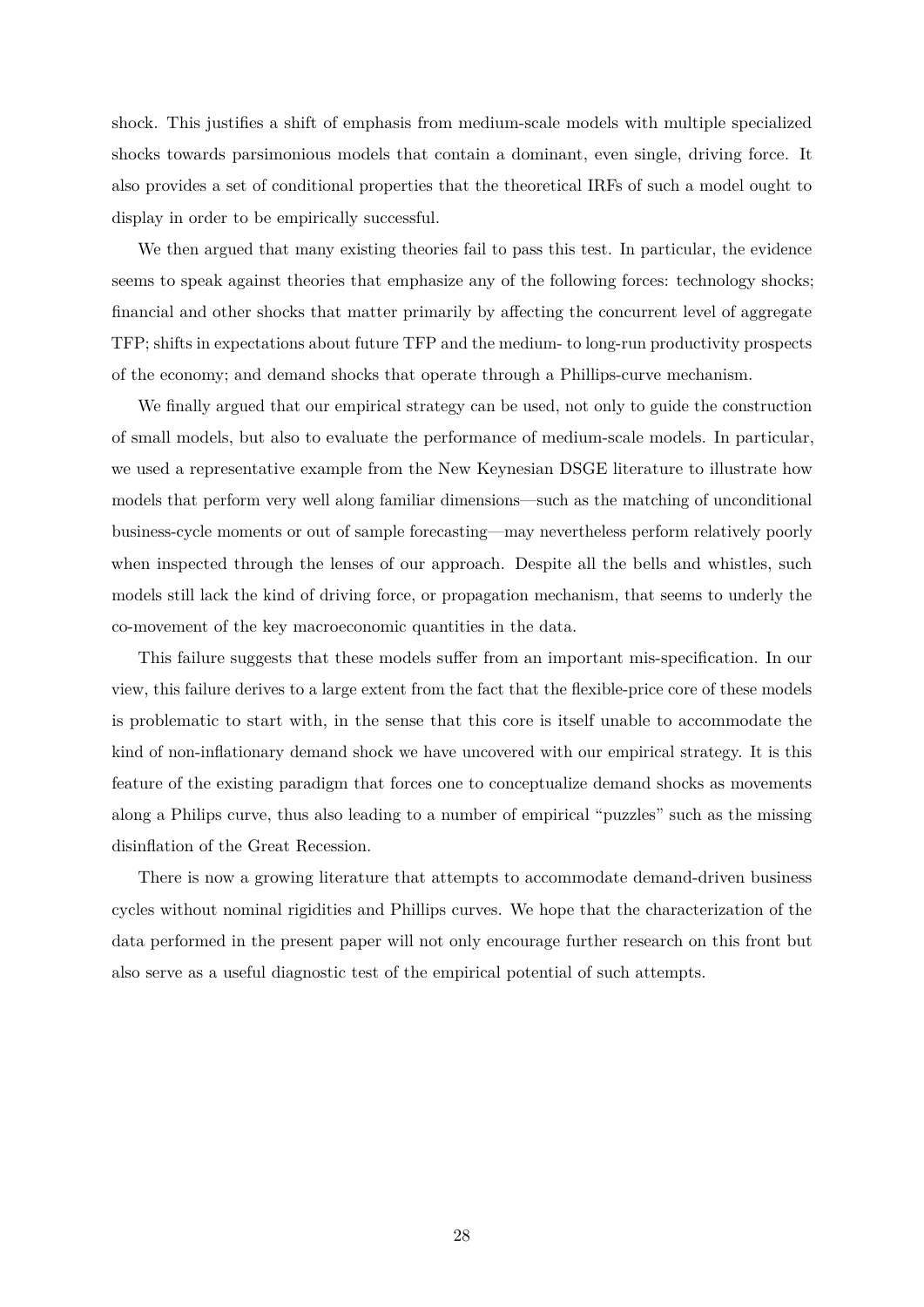shock. This justifies a shift of emphasis from medium-scale models with multiple specialized shocks towards parsimonious models that contain a dominant, even single, driving force. It also provides a set of conditional properties that the theoretical IRFs of such a model ought to display in order to be empirically successful.

We then argued that many existing theories fail to pass this test. In particular, the evidence seems to speak against theories that emphasize any of the following forces: technology shocks; financial and other shocks that matter primarily by affecting the concurrent level of aggregate TFP; shifts in expectations about future TFP and the medium- to long-run productivity prospects of the economy; and demand shocks that operate through a Phillips-curve mechanism.

We finally argued that our empirical strategy can be used, not only to guide the construction of small models, but also to evaluate the performance of medium-scale models. In particular, we used a representative example from the New Keynesian DSGE literature to illustrate how models that perform very well along familiar dimensions—such as the matching of unconditional business-cycle moments or out of sample forecasting—may nevertheless perform relatively poorly when inspected through the lenses of our approach. Despite all the bells and whistles, such models still lack the kind of driving force, or propagation mechanism, that seems to underly the co-movement of the key macroeconomic quantities in the data.

This failure suggests that these models suffer from an important mis-specification. In our view, this failure derives to a large extent from the fact that the flexible-price core of these models is problematic to start with, in the sense that this core is itself unable to accommodate the kind of non-inflationary demand shock we have uncovered with our empirical strategy. It is this feature of the existing paradigm that forces one to conceptualize demand shocks as movements along a Philips curve, thus also leading to a number of empirical "puzzles" such as the missing disinflation of the Great Recession.

There is now a growing literature that attempts to accommodate demand-driven business cycles without nominal rigidities and Phillips curves. We hope that the characterization of the data performed in the present paper will not only encourage further research on this front but also serve as a useful diagnostic test of the empirical potential of such attempts.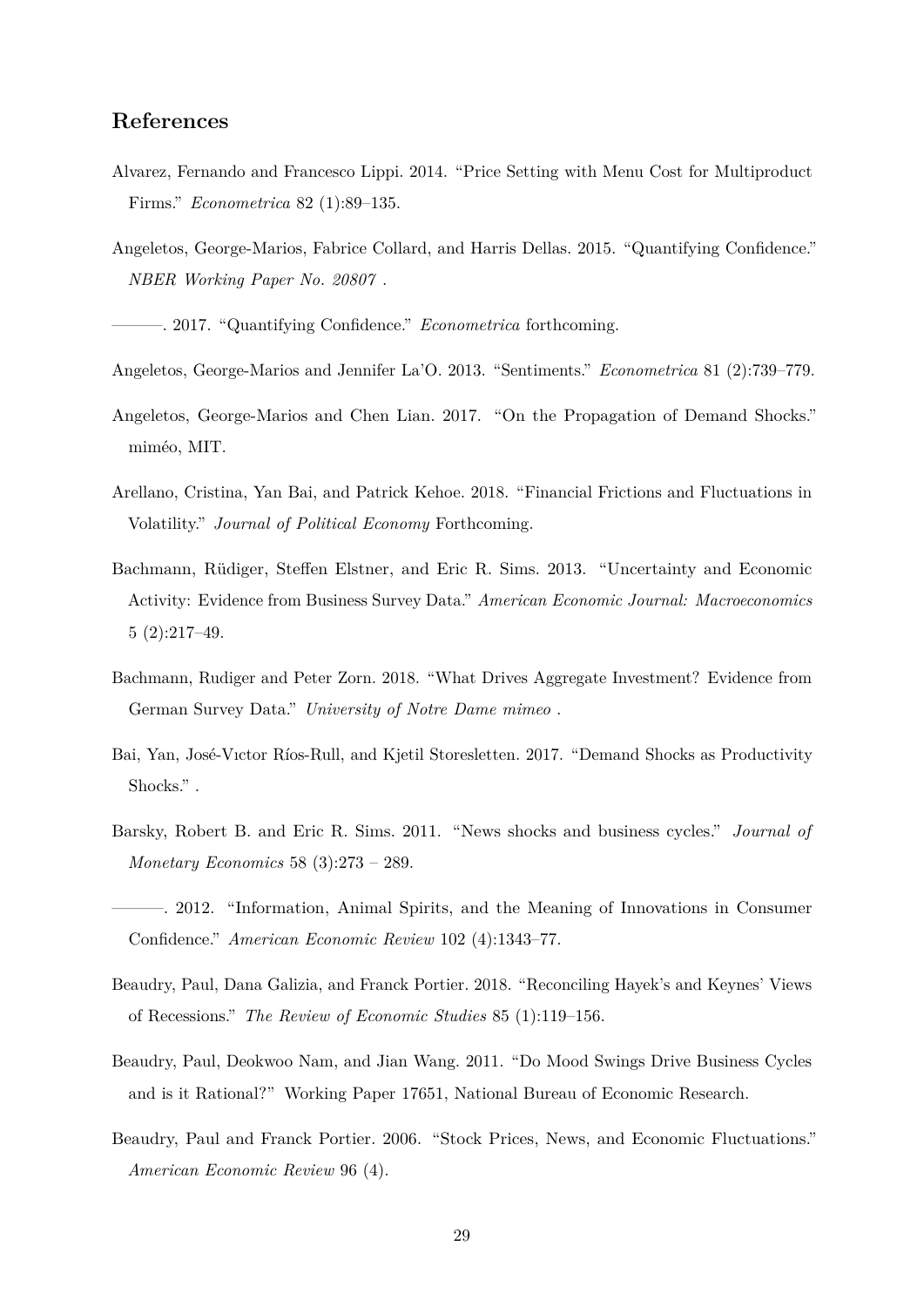# **References**

- <span id="page-30-8"></span>Alvarez, Fernando and Francesco Lippi. 2014. "Price Setting with Menu Cost for Multiproduct Firms." *Econometrica* 82 (1):89–135.
- Angeletos, George-Marios, Fabrice Collard, and Harris Dellas. 2015. "Quantifying Confidence." *NBER Working Paper No. 20807* .
- <span id="page-30-6"></span>———. 2017. "Quantifying Confidence." *Econometrica* forthcoming.
- <span id="page-30-0"></span>Angeletos, George-Marios and Jennifer La'O. 2013. "Sentiments." *Econometrica* 81 (2):739–779.
- <span id="page-30-11"></span>Angeletos, George-Marios and Chen Lian. 2017. "On the Propagation of Demand Shocks." miméo, MIT.
- <span id="page-30-10"></span>Arellano, Cristina, Yan Bai, and Patrick Kehoe. 2018. "Financial Frictions and Fluctuations in Volatility." *Journal of Political Economy* Forthcoming.
- <span id="page-30-12"></span>Bachmann, Rüdiger, Steffen Elstner, and Eric R. Sims. 2013. "Uncertainty and Economic Activity: Evidence from Business Survey Data." *American Economic Journal: Macroeconomics* 5 (2):217–49.
- <span id="page-30-7"></span>Bachmann, Rudiger and Peter Zorn. 2018. "What Drives Aggregate Investment? Evidence from German Survey Data." *University of Notre Dame mimeo* .
- <span id="page-30-1"></span>Bai, Yan, José-Vıctor Ríos-Rull, and Kjetil Storesletten. 2017. "Demand Shocks as Productivity Shocks." .
- <span id="page-30-9"></span>Barsky, Robert B. and Eric R. Sims. 2011. "News shocks and business cycles." *Journal of Monetary Economics* 58 (3):273 – 289.
- <span id="page-30-4"></span>———. 2012. "Information, Animal Spirits, and the Meaning of Innovations in Consumer Confidence." *American Economic Review* 102 (4):1343–77.
- <span id="page-30-2"></span>Beaudry, Paul, Dana Galizia, and Franck Portier. 2018. "Reconciling Hayek's and Keynes' Views of Recessions." *The Review of Economic Studies* 85 (1):119–156.
- <span id="page-30-3"></span>Beaudry, Paul, Deokwoo Nam, and Jian Wang. 2011. "Do Mood Swings Drive Business Cycles and is it Rational?" Working Paper 17651, National Bureau of Economic Research.
- <span id="page-30-5"></span>Beaudry, Paul and Franck Portier. 2006. "Stock Prices, News, and Economic Fluctuations." *American Economic Review* 96 (4).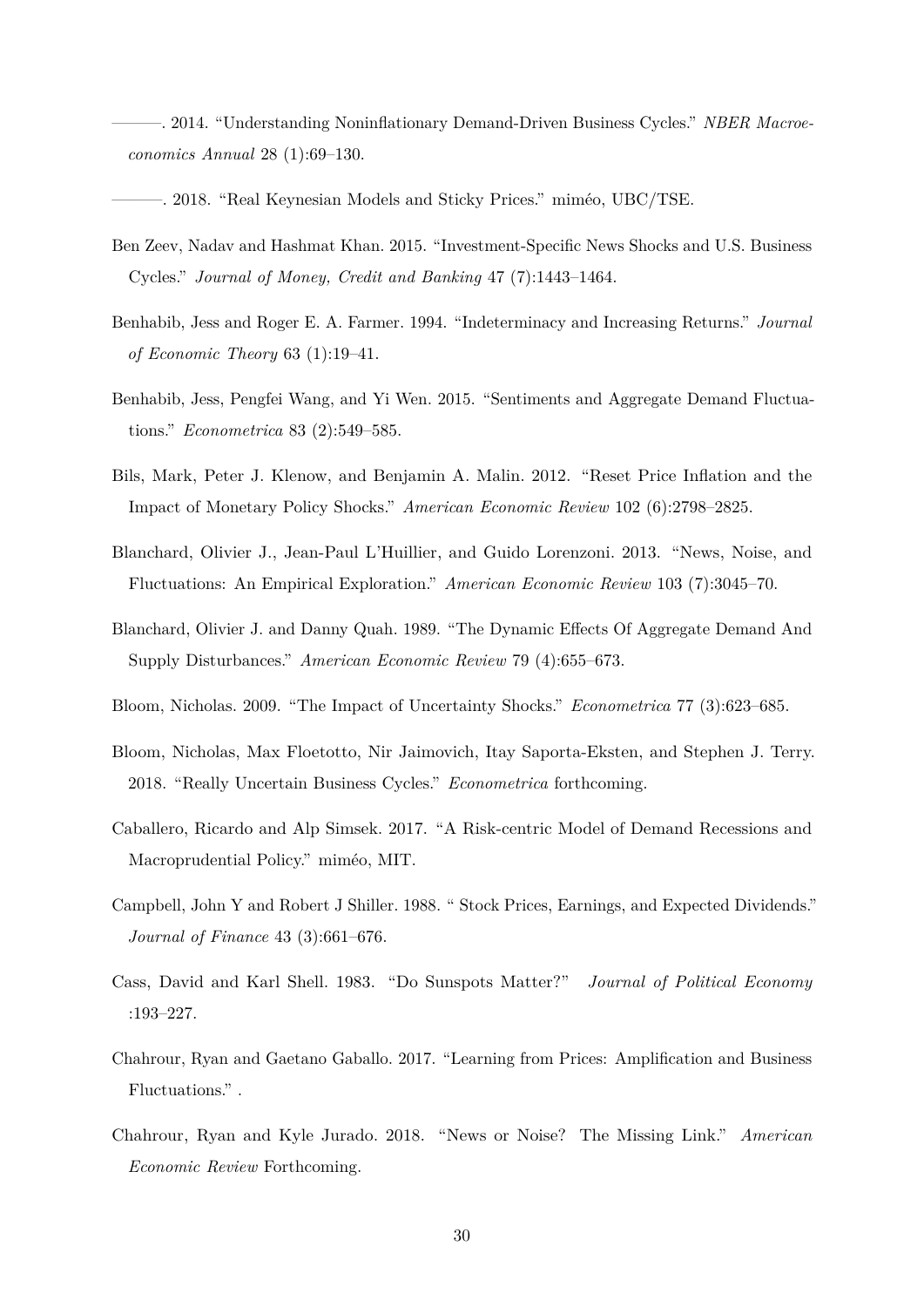<span id="page-31-0"></span>- 2014. "Understanding Noninflationary Demand-Driven Business Cycles." *NBER Macroeconomics Annual* 28 (1):69–130.

<span id="page-31-1"></span>-. 2018. "Real Keynesian Models and Sticky Prices." miméo, UBC/TSE.

- <span id="page-31-7"></span>Ben Zeev, Nadav and Hashmat Khan. 2015. "Investment-Specific News Shocks and U.S. Business Cycles." *Journal of Money, Credit and Banking* 47 (7):1443–1464.
- <span id="page-31-3"></span>Benhabib, Jess and Roger E. A. Farmer. 1994. "Indeterminacy and Increasing Returns." *Journal of Economic Theory* 63 (1):19–41.
- <span id="page-31-2"></span>Benhabib, Jess, Pengfei Wang, and Yi Wen. 2015. "Sentiments and Aggregate Demand Fluctuations." *Econometrica* 83 (2):549–585.
- <span id="page-31-5"></span>Bils, Mark, Peter J. Klenow, and Benjamin A. Malin. 2012. "Reset Price Inflation and the Impact of Monetary Policy Shocks." *American Economic Review* 102 (6):2798–2825.
- <span id="page-31-13"></span>Blanchard, Olivier J., Jean-Paul L'Huillier, and Guido Lorenzoni. 2013. "News, Noise, and Fluctuations: An Empirical Exploration." *American Economic Review* 103 (7):3045–70.
- <span id="page-31-4"></span>Blanchard, Olivier J. and Danny Quah. 1989. "The Dynamic Effects Of Aggregate Demand And Supply Disturbances." *American Economic Review* 79 (4):655–673.
- <span id="page-31-14"></span>Bloom, Nicholas. 2009. "The Impact of Uncertainty Shocks." *Econometrica* 77 (3):623–685.
- <span id="page-31-9"></span>Bloom, Nicholas, Max Floetotto, Nir Jaimovich, Itay Saporta-Eksten, and Stephen J. Terry. 2018. "Really Uncertain Business Cycles." *Econometrica* forthcoming.
- <span id="page-31-6"></span>Caballero, Ricardo and Alp Simsek. 2017. "A Risk-centric Model of Demand Recessions and Macroprudential Policy." miméo, MIT.
- <span id="page-31-10"></span>Campbell, John Y and Robert J Shiller. 1988. " Stock Prices, Earnings, and Expected Dividends." *Journal of Finance* 43 (3):661–676.
- <span id="page-31-11"></span>Cass, David and Karl Shell. 1983. "Do Sunspots Matter?" *Journal of Political Economy* :193–227.
- <span id="page-31-12"></span>Chahrour, Ryan and Gaetano Gaballo. 2017. "Learning from Prices: Amplification and Business Fluctuations." .
- <span id="page-31-8"></span>Chahrour, Ryan and Kyle Jurado. 2018. "News or Noise? The Missing Link." *American Economic Review* Forthcoming.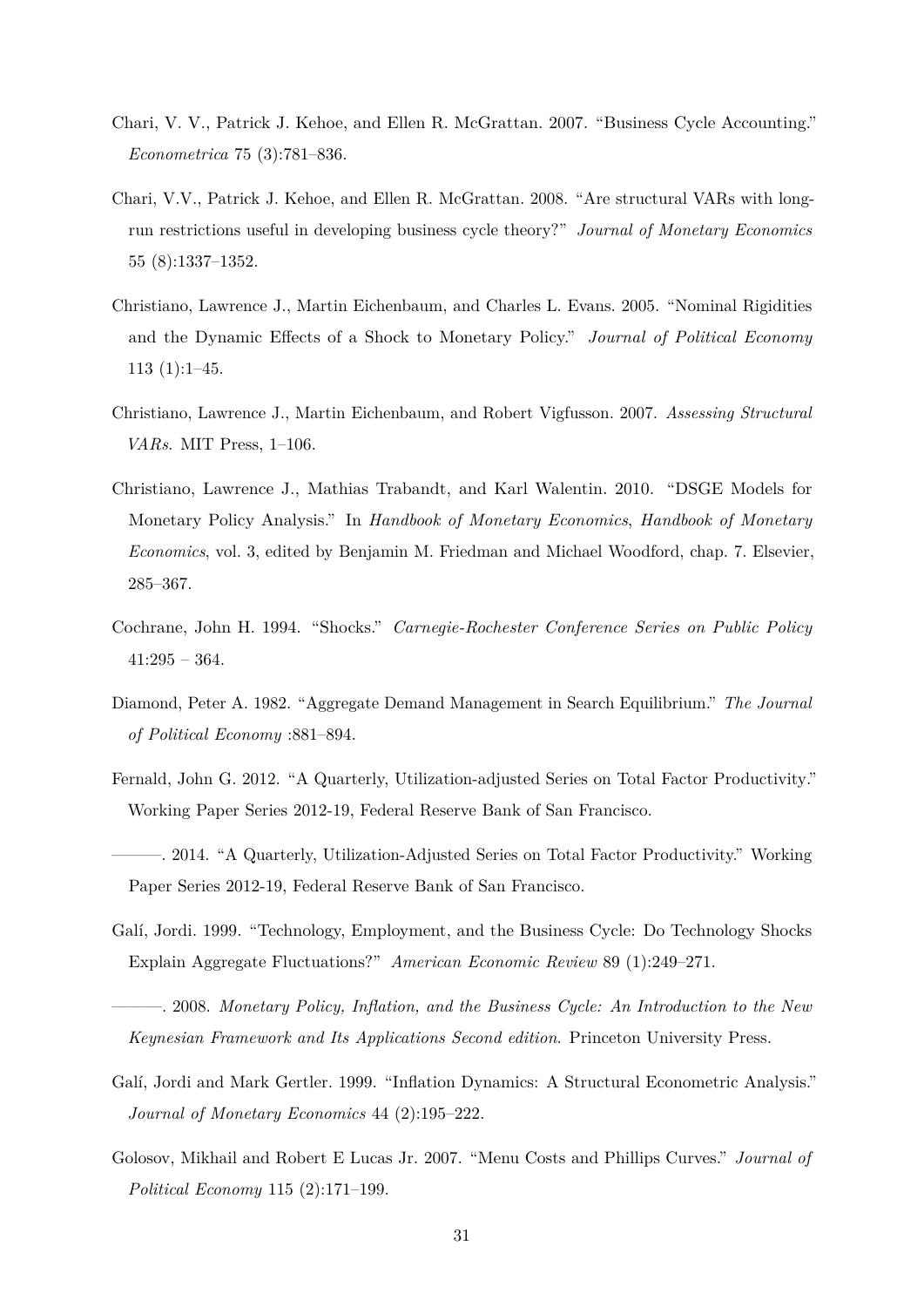- <span id="page-32-0"></span>Chari, V. V., Patrick J. Kehoe, and Ellen R. McGrattan. 2007. "Business Cycle Accounting." *Econometrica* 75 (3):781–836.
- <span id="page-32-9"></span>Chari, V.V., Patrick J. Kehoe, and Ellen R. McGrattan. 2008. "Are structural VARs with longrun restrictions useful in developing business cycle theory?" *Journal of Monetary Economics* 55 (8):1337–1352.
- <span id="page-32-3"></span>Christiano, Lawrence J., Martin Eichenbaum, and Charles L. Evans. 2005. "Nominal Rigidities and the Dynamic Effects of a Shock to Monetary Policy." *Journal of Political Economy* 113 (1):1–45.
- <span id="page-32-10"></span>Christiano, Lawrence J., Martin Eichenbaum, and Robert Vigfusson. 2007. *Assessing Structural VARs*. MIT Press, 1–106.
- <span id="page-32-12"></span>Christiano, Lawrence J., Mathias Trabandt, and Karl Walentin. 2010. "DSGE Models for Monetary Policy Analysis." In *Handbook of Monetary Economics*, *Handbook of Monetary Economics*, vol. 3, edited by Benjamin M. Friedman and Michael Woodford, chap. 7. Elsevier, 285–367.
- <span id="page-32-1"></span>Cochrane, John H. 1994. "Shocks." *Carnegie-Rochester Conference Series on Public Policy* 41:295 – 364.
- <span id="page-32-8"></span>Diamond, Peter A. 1982. "Aggregate Demand Management in Search Equilibrium." *The Journal of Political Economy* :881–894.
- <span id="page-32-11"></span>Fernald, John G. 2012. "A Quarterly, Utilization-adjusted Series on Total Factor Productivity." Working Paper Series 2012-19, Federal Reserve Bank of San Francisco.
- <span id="page-32-5"></span>———. 2014. "A Quarterly, Utilization-Adjusted Series on Total Factor Productivity." Working Paper Series 2012-19, Federal Reserve Bank of San Francisco.
- <span id="page-32-2"></span>Galí, Jordi. 1999. "Technology, Employment, and the Business Cycle: Do Technology Shocks Explain Aggregate Fluctuations?" *American Economic Review* 89 (1):249–271.
- <span id="page-32-7"></span>———. 2008. *Monetary Policy, Inflation, and the Business Cycle: An Introduction to the New Keynesian Framework and Its Applications Second edition*. Princeton University Press.
- <span id="page-32-6"></span>Galí, Jordi and Mark Gertler. 1999. "Inflation Dynamics: A Structural Econometric Analysis." *Journal of Monetary Economics* 44 (2):195–222.
- <span id="page-32-4"></span>Golosov, Mikhail and Robert E Lucas Jr. 2007. "Menu Costs and Phillips Curves." *Journal of Political Economy* 115 (2):171–199.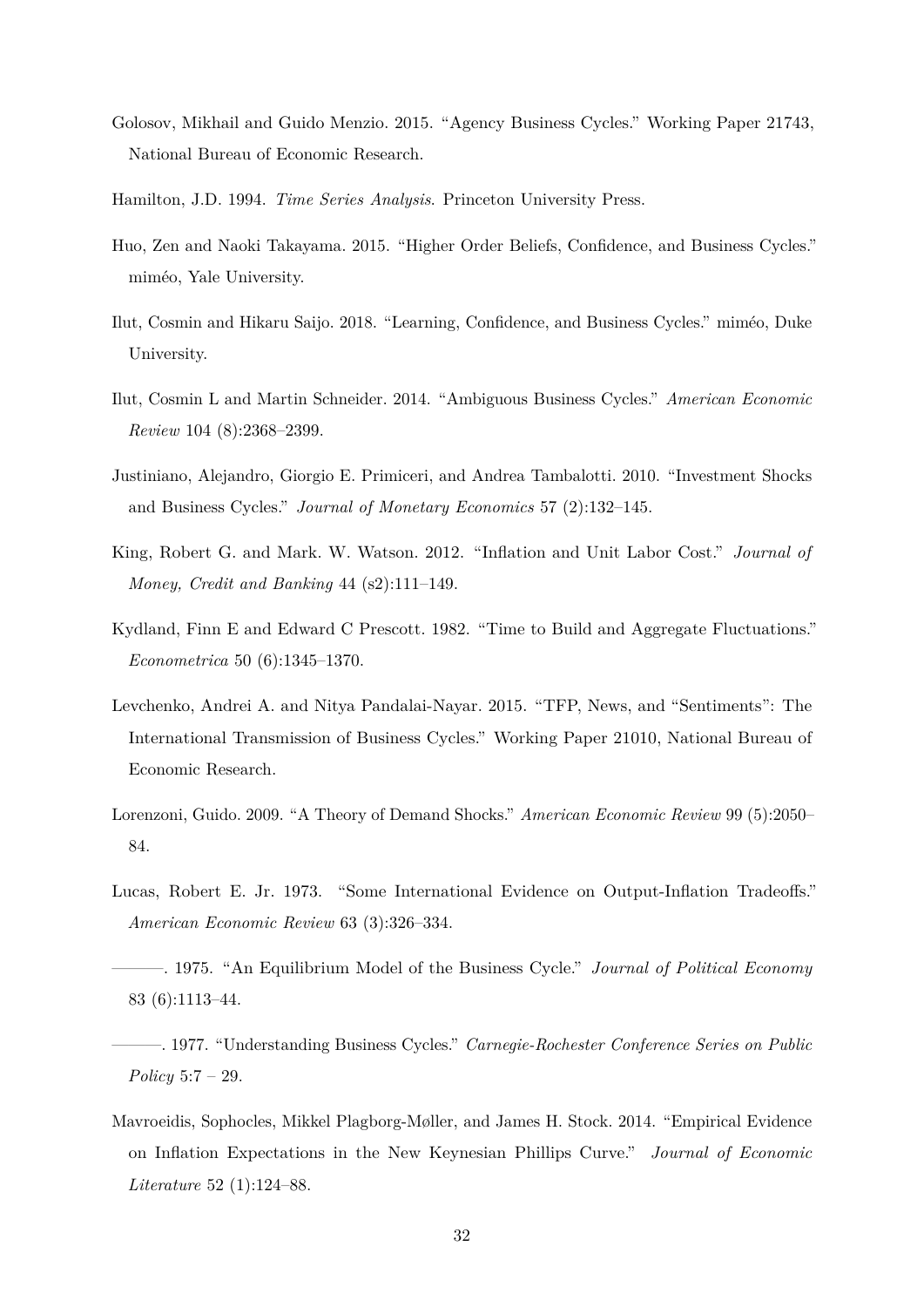- <span id="page-33-10"></span>Golosov, Mikhail and Guido Menzio. 2015. "Agency Business Cycles." Working Paper 21743, National Bureau of Economic Research.
- <span id="page-33-9"></span>Hamilton, J.D. 1994. *Time Series Analysis*. Princeton University Press.
- <span id="page-33-1"></span>Huo, Zen and Naoki Takayama. 2015. "Higher Order Beliefs, Confidence, and Business Cycles." miméo, Yale University.
- <span id="page-33-2"></span>Ilut, Cosmin and Hikaru Saijo. 2018. "Learning, Confidence, and Business Cycles." miméo, Duke University.
- <span id="page-33-13"></span>Ilut, Cosmin L and Martin Schneider. 2014. "Ambiguous Business Cycles." *American Economic Review* 104 (8):2368–2399.
- <span id="page-33-8"></span>Justiniano, Alejandro, Giorgio E. Primiceri, and Andrea Tambalotti. 2010. "Investment Shocks and Business Cycles." *Journal of Monetary Economics* 57 (2):132–145.
- <span id="page-33-11"></span>King, Robert G. and Mark. W. Watson. 2012. "Inflation and Unit Labor Cost." *Journal of Money, Credit and Banking* 44 (s2):111–149.
- <span id="page-33-5"></span>Kydland, Finn E and Edward C Prescott. 1982. "Time to Build and Aggregate Fluctuations." *Econometrica* 50 (6):1345–1370.
- <span id="page-33-7"></span>Levchenko, Andrei A. and Nitya Pandalai-Nayar. 2015. "TFP, News, and "Sentiments": The International Transmission of Business Cycles." Working Paper 21010, National Bureau of Economic Research.
- <span id="page-33-6"></span>Lorenzoni, Guido. 2009. "A Theory of Demand Shocks." *American Economic Review* 99 (5):2050– 84.
- <span id="page-33-3"></span>Lucas, Robert E. Jr. 1973. "Some International Evidence on Output-Inflation Tradeoffs." *American Economic Review* 63 (3):326–334.
- <span id="page-33-4"></span>———. 1975. "An Equilibrium Model of the Business Cycle." *Journal of Political Economy* 83 (6):1113–44.
- <span id="page-33-0"></span>———. 1977. "Understanding Business Cycles." *Carnegie-Rochester Conference Series on Public Policy* 5:7 – 29.
- <span id="page-33-12"></span>Mavroeidis, Sophocles, Mikkel Plagborg-Møller, and James H. Stock. 2014. "Empirical Evidence on Inflation Expectations in the New Keynesian Phillips Curve." *Journal of Economic Literature* 52 (1):124–88.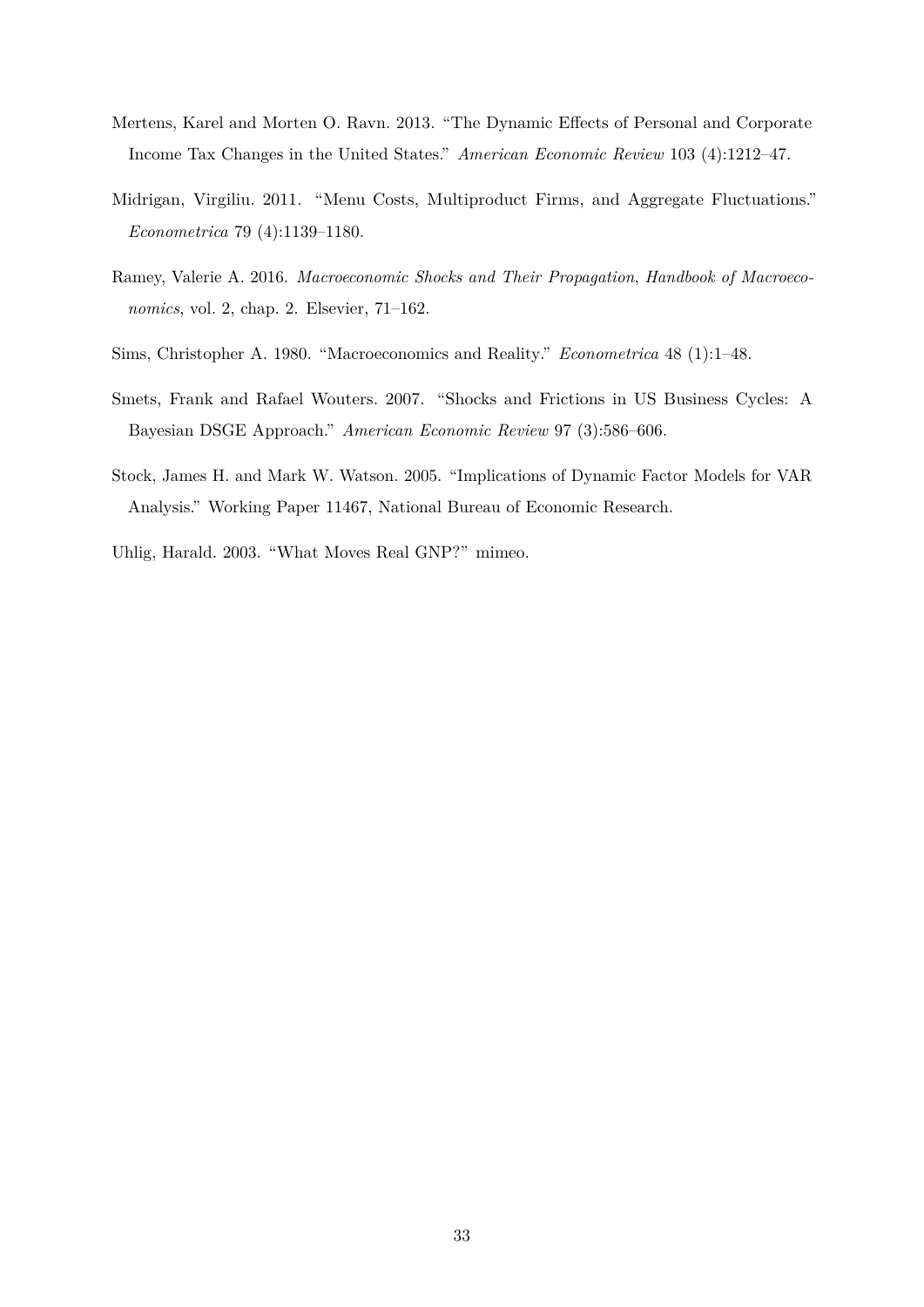- <span id="page-34-6"></span>Mertens, Karel and Morten O. Ravn. 2013. "The Dynamic Effects of Personal and Corporate Income Tax Changes in the United States." *American Economic Review* 103 (4):1212–47.
- <span id="page-34-3"></span>Midrigan, Virgiliu. 2011. "Menu Costs, Multiproduct Firms, and Aggregate Fluctuations." *Econometrica* 79 (4):1139–1180.
- <span id="page-34-0"></span>Ramey, Valerie A. 2016. *Macroeconomic Shocks and Their Propagation*, *Handbook of Macroeconomics*, vol. 2, chap. 2. Elsevier, 71–162.
- <span id="page-34-4"></span>Sims, Christopher A. 1980. "Macroeconomics and Reality." *Econometrica* 48 (1):1–48.
- <span id="page-34-2"></span>Smets, Frank and Rafael Wouters. 2007. "Shocks and Frictions in US Business Cycles: A Bayesian DSGE Approach." *American Economic Review* 97 (3):586–606.
- <span id="page-34-5"></span>Stock, James H. and Mark W. Watson. 2005. "Implications of Dynamic Factor Models for VAR Analysis." Working Paper 11467, National Bureau of Economic Research.
- <span id="page-34-1"></span>Uhlig, Harald. 2003. "What Moves Real GNP?" mimeo.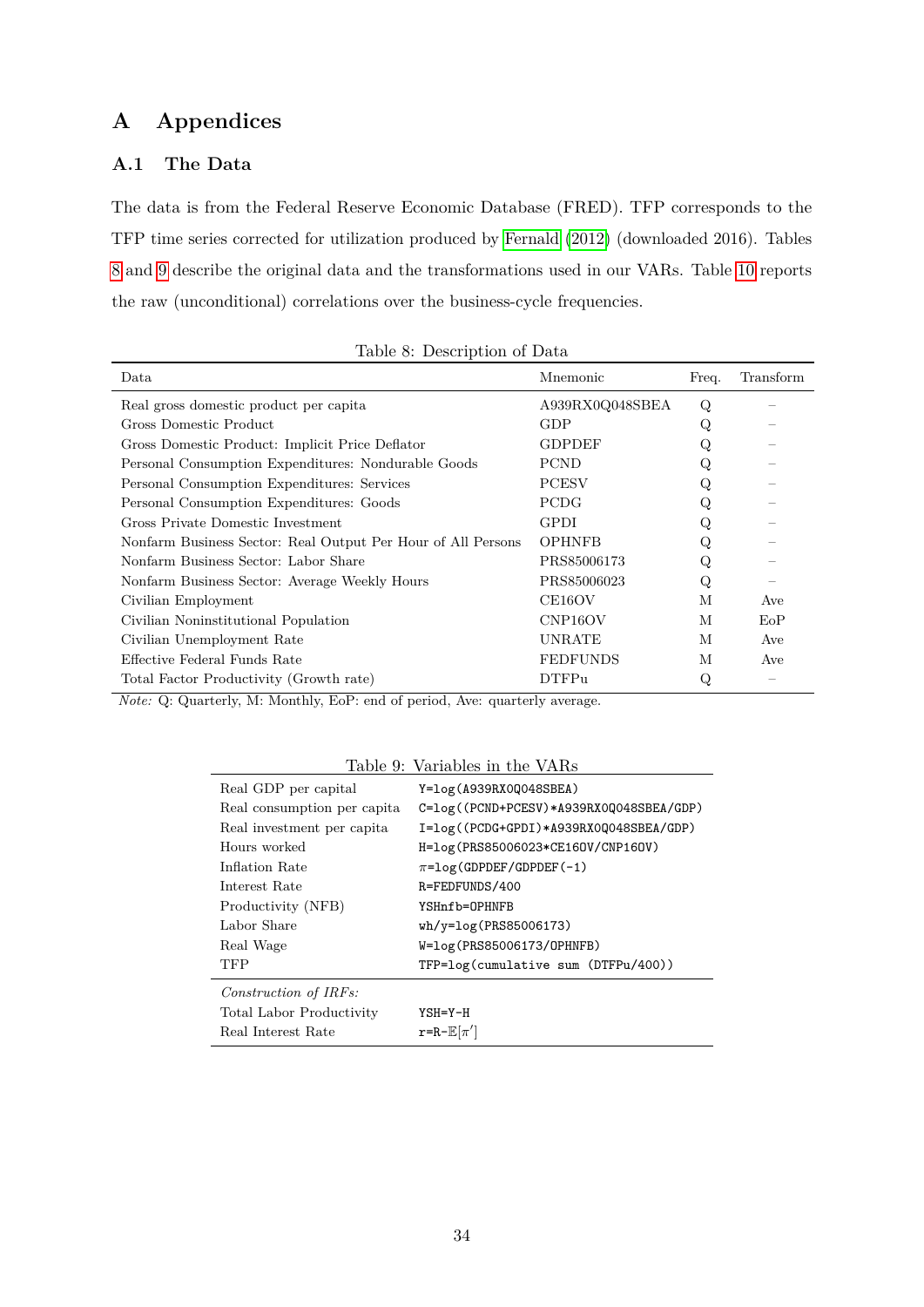# **A Appendices**

# <span id="page-35-0"></span>**A.1 The Data**

The data is from the Federal Reserve Economic Database (FRED). TFP corresponds to the TFP time series corrected for utilization produced by [Fernald \(2012\)](#page-32-11) (downloaded 2016). Tables [8](#page-35-1) and [9](#page-35-2) describe the original data and the transformations used in our VARs. Table [10](#page-36-0) reports the raw (unconditional) correlations over the business-cycle frequencies.

| Data                                                         | Mnemonic             | Freq. | Transform |
|--------------------------------------------------------------|----------------------|-------|-----------|
| Real gross domestic product per capita                       | A939RX0Q048SBEA      | Q     |           |
| Gross Domestic Product                                       | GDP                  | Q     |           |
| Gross Domestic Product: Implicit Price Deflator              | <b>GDPDEF</b>        | Q     |           |
| Personal Consumption Expenditures: Nondurable Goods          | <b>PCND</b>          | Q     |           |
| Personal Consumption Expenditures: Services                  | <b>PCESV</b>         |       |           |
| Personal Consumption Expenditures: Goods                     | <b>PCDG</b>          | Q     |           |
| Gross Private Domestic Investment                            | <b>GPDI</b>          | Q     |           |
| Nonfarm Business Sector: Real Output Per Hour of All Persons | <b>OPHNFB</b>        | Q     |           |
| Nonfarm Business Sector: Labor Share                         | PRS85006173          | Q     |           |
| Nonfarm Business Sector: Average Weekly Hours                | PRS85006023          | Q     |           |
| Civilian Employment                                          | CE16OV               | М     | Ave       |
| Civilian Noninstitutional Population                         | CNP <sub>16</sub> OV | M     | EoP       |
| Civilian Unemployment Rate                                   | <b>UNRATE</b>        | M     | Ave       |
| Effective Federal Funds Rate                                 | <b>FEDFUNDS</b>      | M     | Ave       |
| Total Factor Productivity (Growth rate)                      | <b>DTFPu</b>         | Q     |           |

<span id="page-35-1"></span>

|  | Table 8: Description of Data |  |
|--|------------------------------|--|
|--|------------------------------|--|

*Note:* Q: Quarterly, M: Monthly, EoP: end of period, Ave: quarterly average.

<span id="page-35-2"></span>

| Table 9: Variables in the VARs |                                               |  |  |  |  |  |  |  |
|--------------------------------|-----------------------------------------------|--|--|--|--|--|--|--|
| Real GDP per capital           | $Y = log(A939RX0Q048SBEA)$                    |  |  |  |  |  |  |  |
| Real consumption per capita    | C=log((PCND+PCESV)*A939RX0Q048SBEA/GDP)       |  |  |  |  |  |  |  |
| Real investment per capita     | I=log((PCDG+GPDI)*A939RX0Q048SBEA/GDP)        |  |  |  |  |  |  |  |
| Hours worked                   | H=log(PRS85006023*CE160V/CNP160V)             |  |  |  |  |  |  |  |
| Inflation Rate                 | $\pi = \log(\text{GDPDEF}/\text{GDPDEF}(-1))$ |  |  |  |  |  |  |  |
| Interest Rate                  | R=FEDFUNDS/400                                |  |  |  |  |  |  |  |
| Productivity (NFB)             | YSHnfb=OPHNFB                                 |  |  |  |  |  |  |  |
| Labor Share                    | $wh/y = log(PRS85006173)$                     |  |  |  |  |  |  |  |
| Real Wage                      | W=log(PRS85006173/OPHNFB)                     |  |  |  |  |  |  |  |
| TFP                            | TFP=log(cumulative sum (DTFPu/400))           |  |  |  |  |  |  |  |
| Construction of IRFs:          |                                               |  |  |  |  |  |  |  |
| Total Labor Productivity       | $YSH = Y - H$                                 |  |  |  |  |  |  |  |
| Real Interest Rate             | $r=R-E[\pi']$                                 |  |  |  |  |  |  |  |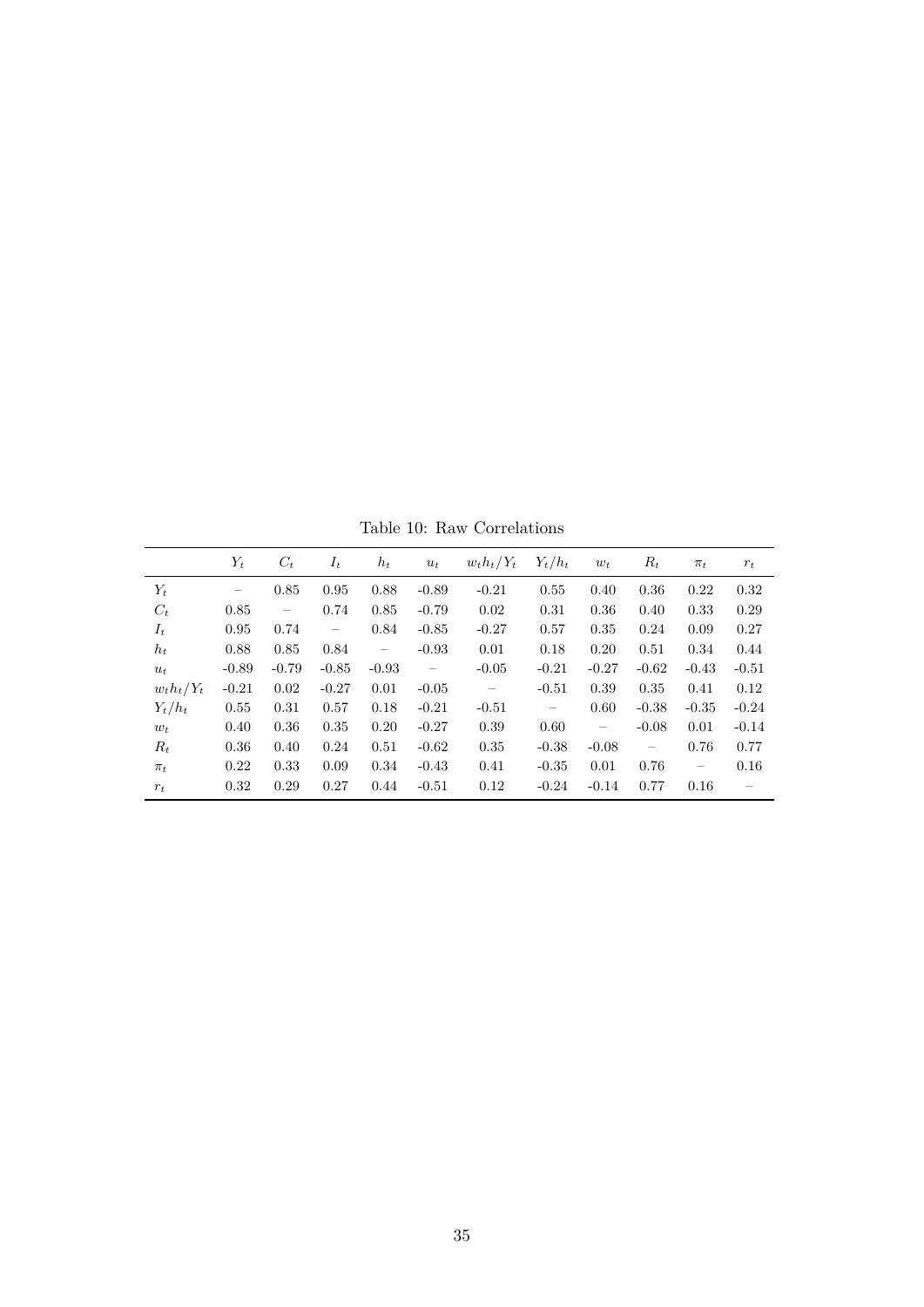<span id="page-36-0"></span>Table 10: Raw Correlations

|               | $Y_t$             | $C_t$                    | $I_t$                    | $h_t$    | $u_t$                    | $w_t h_t/Y_t$            | $Y_t/h_t$                | $w_t$                    | $R_t$                                                                                       | $\pi_t$                  | $r_t$   |
|---------------|-------------------|--------------------------|--------------------------|----------|--------------------------|--------------------------|--------------------------|--------------------------|---------------------------------------------------------------------------------------------|--------------------------|---------|
| $Y_t$         | $\qquad \qquad -$ | 0.85                     | 0.95                     | 0.88     | $-0.89$                  | $-0.21$                  | 0.55                     | 0.40                     | 0.36                                                                                        | 0.22                     | 0.32    |
| $C_t$         | 0.85              | $\overline{\phantom{m}}$ | 0.74                     | 0.85     | $-0.79$                  | 0.02                     | 0.31                     | 0.36                     | 0.40                                                                                        | 0.33                     | 0.29    |
| $I_t$         | 0.95              | 0.74                     | $\overline{\phantom{m}}$ | 0.84     | $-0.85$                  | $-0.27$                  | 0.57                     | 0.35                     | 0.24                                                                                        | 0.09                     | 0.27    |
| $h_t$         | 0.88              | 0.85                     | 0.84                     | $\equiv$ | $-0.93$                  | 0.01                     | 0.18                     | 0.20                     | 0.51                                                                                        | 0.34                     | 0.44    |
| $u_t$         | $-0.89$           | $-0.79$                  | $-0.85$                  | $-0.93$  | $\overline{\phantom{m}}$ | $-0.05$                  | $-0.21$                  | $-0.27$                  | $-0.62$                                                                                     | $-0.43$                  | $-0.51$ |
| $w_t h_t/Y_t$ | $-0.21$           | 0.02                     | $-0.27$                  | 0.01     | $-0.05$                  | $\overline{\phantom{m}}$ | $-0.51$                  | 0.39                     | 0.35                                                                                        | 0.41                     | 0.12    |
| $Y_t/h_t$     | 0.55              | 0.31                     | 0.57                     | 0.18     | $-0.21$                  | $-0.51$                  | $\overline{\phantom{m}}$ | 0.60                     | $-0.38$                                                                                     | $-0.35$                  | $-0.24$ |
| $w_t$         | 0.40              | 0.36                     | 0.35                     | 0.20     | $-0.27$                  | 0.39                     | 0.60                     | $\overline{\phantom{m}}$ | $-0.08$                                                                                     | 0.01                     | $-0.14$ |
| $R_t$         | 0.36              | 0.40                     | 0.24                     | 0.51     | $-0.62$                  | 0.35                     | $-0.38$                  | $-0.08$                  | $\hspace{0.1in} \hspace{0.1in} \hspace{0.1in} \hspace{0.1in} \hspace{0.1in} \hspace{0.1in}$ | 0.76                     | 0.77    |
| $\pi_t$       | 0.22              | 0.33                     | 0.09                     | 0.34     | $-0.43$                  | 0.41                     | $-0.35$                  | 0.01                     | 0.76                                                                                        | $\overline{\phantom{m}}$ | 0.16    |
| $r_t$         | 0.32              | 0.29                     | 0.27                     | 0.44     | $-0.51$                  | 0.12                     | $-0.24$                  | $-0.14$                  | 0.77                                                                                        | 0.16                     |         |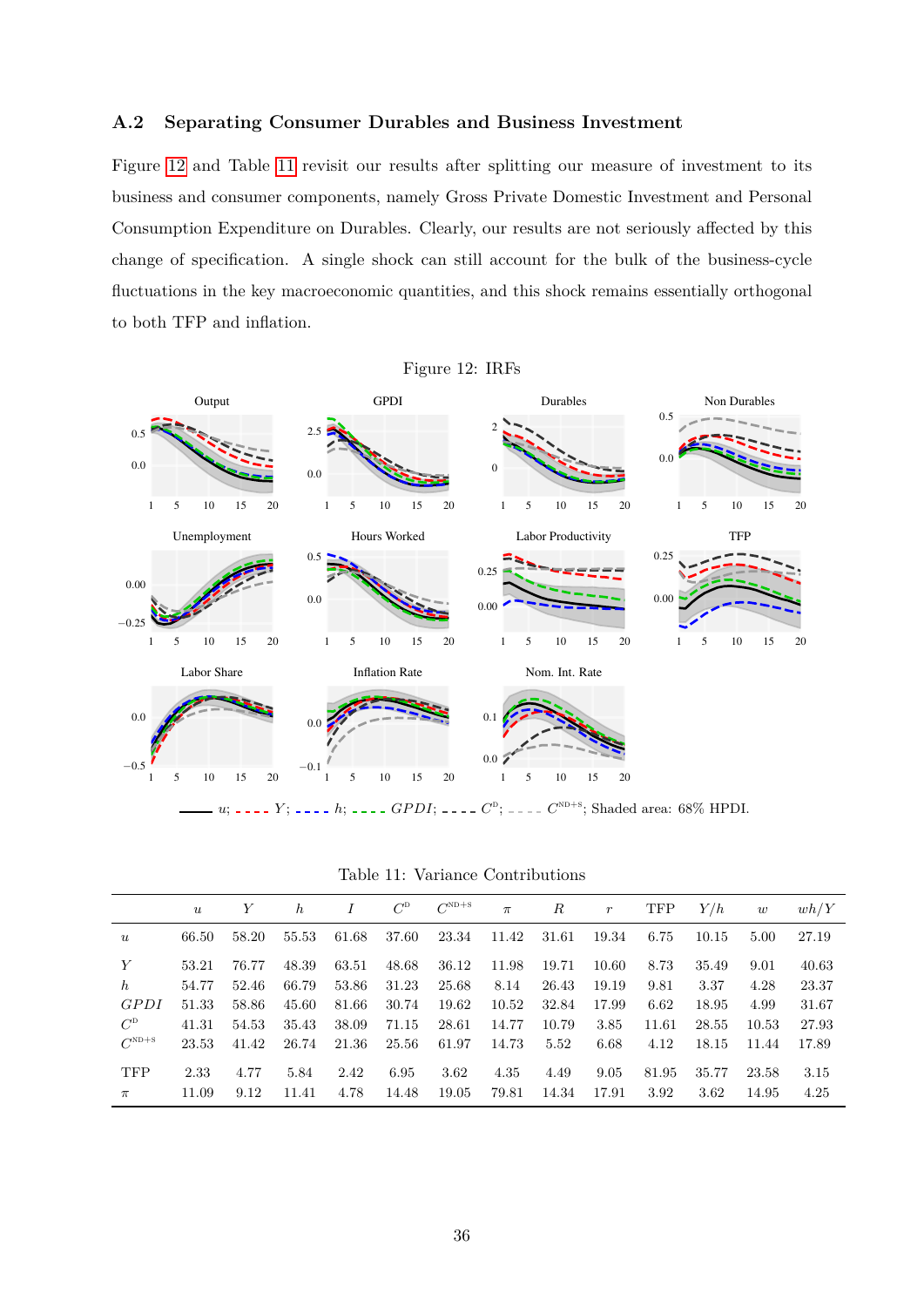### <span id="page-37-0"></span>**A.2 Separating Consumer Durables and Business Investment**

Figure [12](#page-37-2) and Table [11](#page-37-1) revisit our results after splitting our measure of investment to its business and consumer components, namely Gross Private Domestic Investment and Personal Consumption Expenditure on Durables. Clearly, our results are not seriously affected by this change of specification. A single shock can still account for the bulk of the business-cycle fluctuations in the key macroeconomic quantities, and this shock remains essentially orthogonal to both TFP and inflation.

<span id="page-37-2"></span>Figure 12: IRFs



*u*; *n*</sup> *z z z j*; *<i>n z c*<sup>D</sup>; *n*<sup>2</sup> *c*<sup>2</sup>; *C*<sup>2</sup>; *c*<sub>2</sub> *c*<sup>ND+s</sup>; Shaded area: 68% HPDI.

<span id="page-37-1"></span>

| Table 11: Variance Contributions |  |
|----------------------------------|--|
|----------------------------------|--|

|                  | u     | Y     | $\hbar$ |       | $C^{\rm D}$ | $C^{ND+S}$ | $\pi$ | R     | $\boldsymbol{r}$ | <b>TFP</b> | Y/h   | w     | wh/Y  |
|------------------|-------|-------|---------|-------|-------------|------------|-------|-------|------------------|------------|-------|-------|-------|
| $\boldsymbol{u}$ | 66.50 | 58.20 | 55.53   | 61.68 | 37.60       | 23.34      | 11.42 | 31.61 | 19.34            | 6.75       | 10.15 | 5.00  | 27.19 |
| Y                | 53.21 | 76.77 | 48.39   | 63.51 | 48.68       | 36.12      | 11.98 | 19.71 | 10.60            | 8.73       | 35.49 | 9.01  | 40.63 |
| $\boldsymbol{h}$ | 54.77 | 52.46 | 66.79   | 53.86 | 31.23       | 25.68      | 8.14  | 26.43 | 19.19            | 9.81       | 3.37  | 4.28  | 23.37 |
| GPDI             | 51.33 | 58.86 | 45.60   | 81.66 | 30.74       | 19.62      | 10.52 | 32.84 | 17.99            | 6.62       | 18.95 | 4.99  | 31.67 |
| $C^D$            | 41.31 | 54.53 | 35.43   | 38.09 | 71.15       | 28.61      | 14.77 | 10.79 | 3.85             | 11.61      | 28.55 | 10.53 | 27.93 |
| $C^{ND+S}$       | 23.53 | 41.42 | 26.74   | 21.36 | 25.56       | 61.97      | 14.73 | 5.52  | 6.68             | 4.12       | 18.15 | 11.44 | 17.89 |
| <b>TFP</b>       | 2.33  | 4.77  | 5.84    | 2.42  | 6.95        | 3.62       | 4.35  | 4.49  | 9.05             | 81.95      | 35.77 | 23.58 | 3.15  |
| $\pi$            | 11.09 | 9.12  | 11.41   | 4.78  | 14.48       | 19.05      | 79.81 | 14.34 | 17.91            | 3.92       | 3.62  | 14.95 | 4.25  |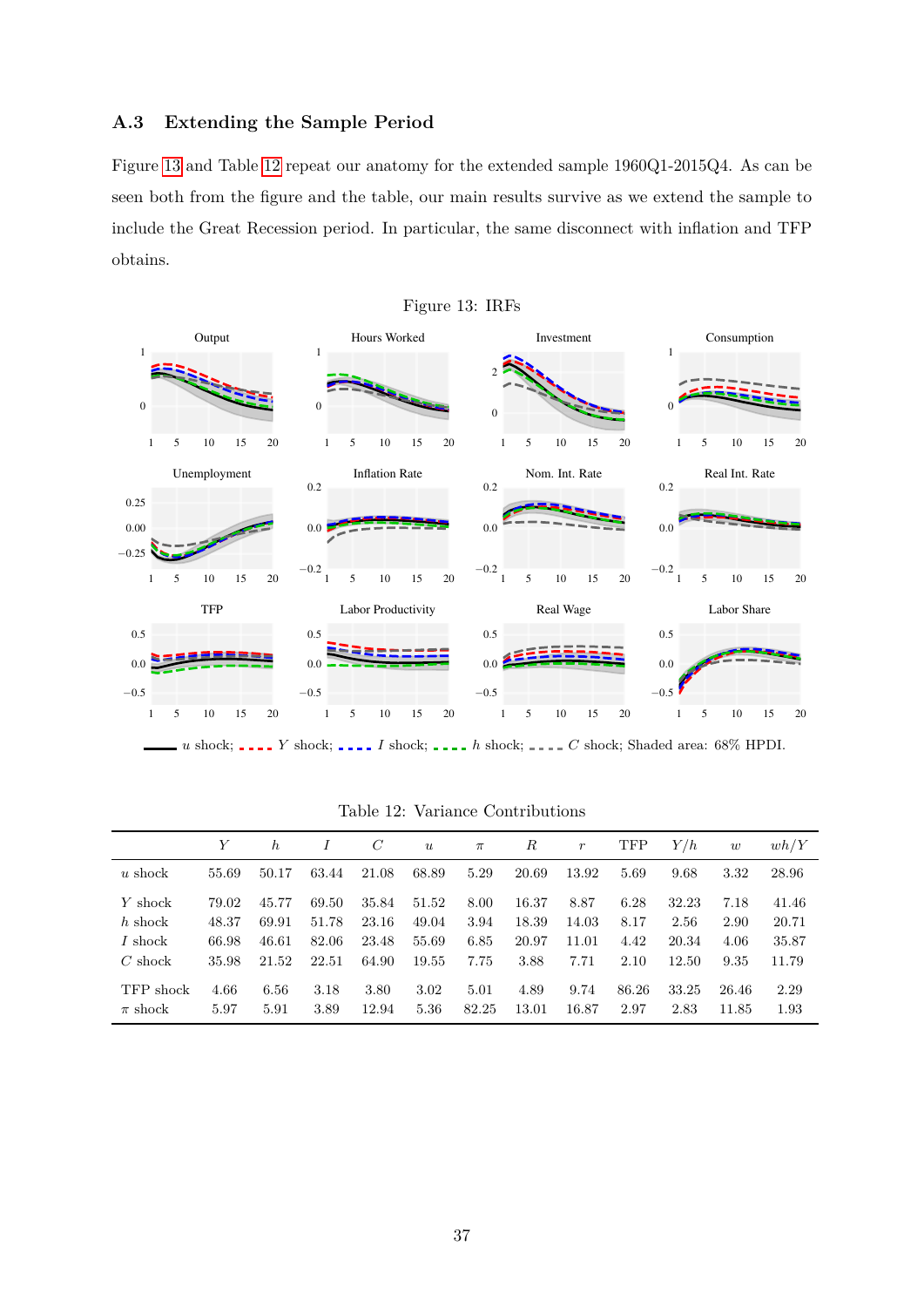### <span id="page-38-0"></span>**A.3 Extending the Sample Period**

Figure [13](#page-38-1) and Table [12](#page-38-2) repeat our anatomy for the extended sample 1960Q1-2015Q4. As can be seen both from the figure and the table, our main results survive as we extend the sample to include the Great Recession period. In particular, the same disconnect with inflation and TFP obtains.

<span id="page-38-1"></span>

*u* shock; *\_\_\_\_Y* shock; *\_\_\_\_I* shock; *\_\_\_\_h* shock; *\_\_\_\_C* shock; Shaded area: 68% HPDI.

|             |       | $\hbar$ |       | $\mathcal C$ | $\boldsymbol{u}$ | $\pi$ | R     | $\boldsymbol{r}$ | <b>TFP</b> | Y/h   | w     | wh/Y  |
|-------------|-------|---------|-------|--------------|------------------|-------|-------|------------------|------------|-------|-------|-------|
| $u$ shock   | 55.69 | 50.17   | 63.44 | 21.08        | 68.89            | 5.29  | 20.69 | 13.92            | 5.69       | 9.68  | 3.32  | 28.96 |
| Y shock     | 79.02 | 45.77   | 69.50 | 35.84        | 51.52            | 8.00  | 16.37 | 8.87             | 6.28       | 32.23 | 7.18  | 41.46 |
| $h$ shock   | 48.37 | 69.91   | 51.78 | 23.16        | 49.04            | 3.94  | 18.39 | 14.03            | 8.17       | 2.56  | 2.90  | 20.71 |
| I shock     | 66.98 | 46.61   | 82.06 | 23.48        | 55.69            | 6.85  | 20.97 | 11.01            | 4.42       | 20.34 | 4.06  | 35.87 |
| $C$ shock   | 35.98 | 21.52   | 22.51 | 64.90        | 19.55            | 7.75  | 3.88  | 7.71             | 2.10       | 12.50 | 9.35  | 11.79 |
| TFP shock   | 4.66  | 6.56    | 3.18  | 3.80         | 3.02             | 5.01  | 4.89  | 9.74             | 86.26      | 33.25 | 26.46 | 2.29  |
| $\pi$ shock | 5.97  | 5.91    | 3.89  | 12.94        | 5.36             | 82.25 | 13.01 | 16.87            | 2.97       | 2.83  | 11.85 | 1.93  |

<span id="page-38-2"></span>Table 12: Variance Contributions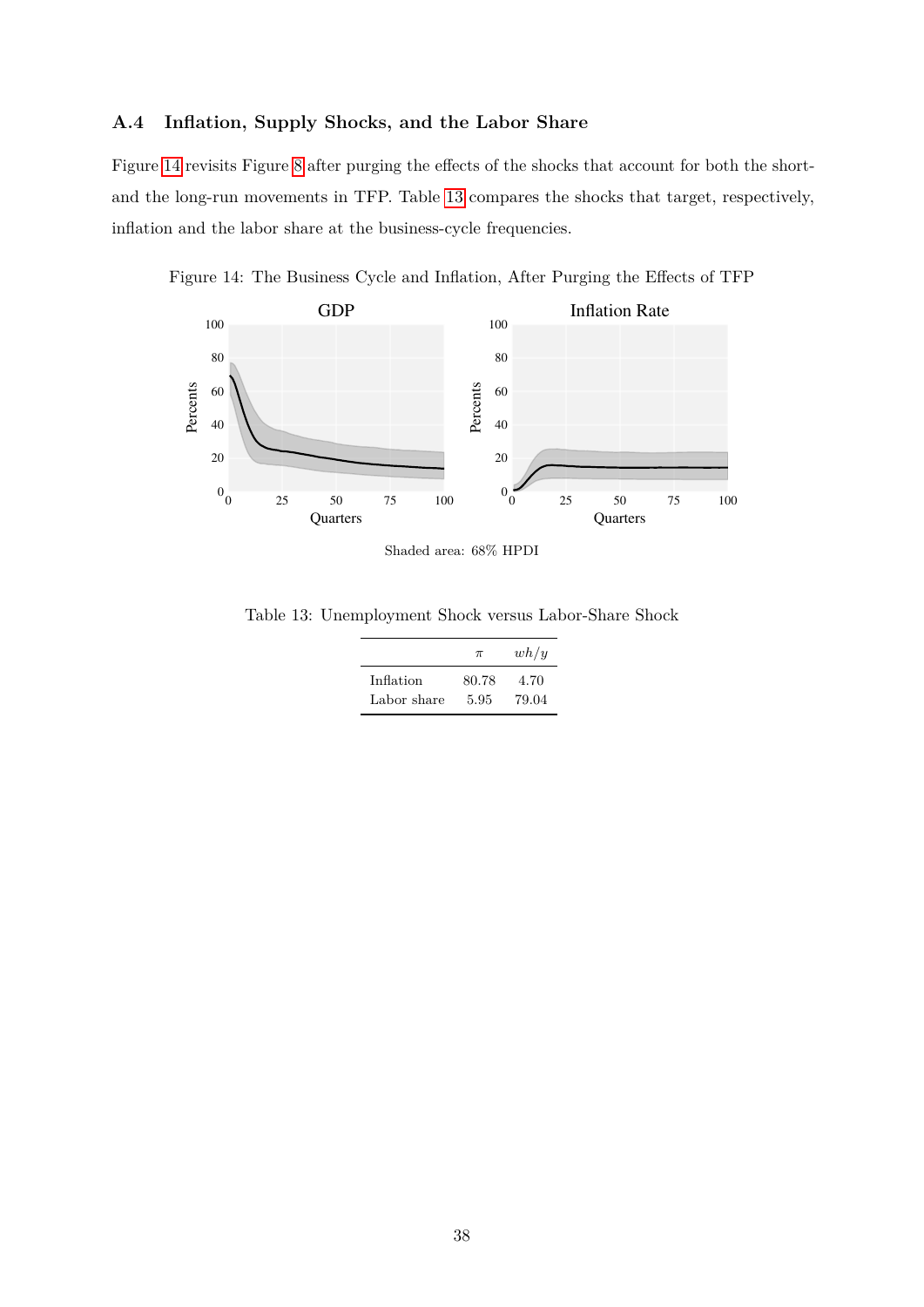### <span id="page-39-1"></span>**A.4 Inflation, Supply Shocks, and the Labor Share**

Figure [14](#page-39-0) revisits Figure [8](#page-21-0) after purging the effects of the shocks that account for both the shortand the long-run movements in TFP. Table [13](#page-39-2) compares the shocks that target, respectively, inflation and the labor share at the business-cycle frequencies.

Figure 14: The Business Cycle and Inflation, After Purging the Effects of TFP

<span id="page-39-0"></span>

Shaded area: 68% HPDI

Table 13: Unemployment Shock versus Labor-Share Shock

<span id="page-39-2"></span>

|             | $\pi$ | wh/y  |
|-------------|-------|-------|
| Inflation   | 80.78 | 4.70  |
| Labor share | 5.95  | 79.04 |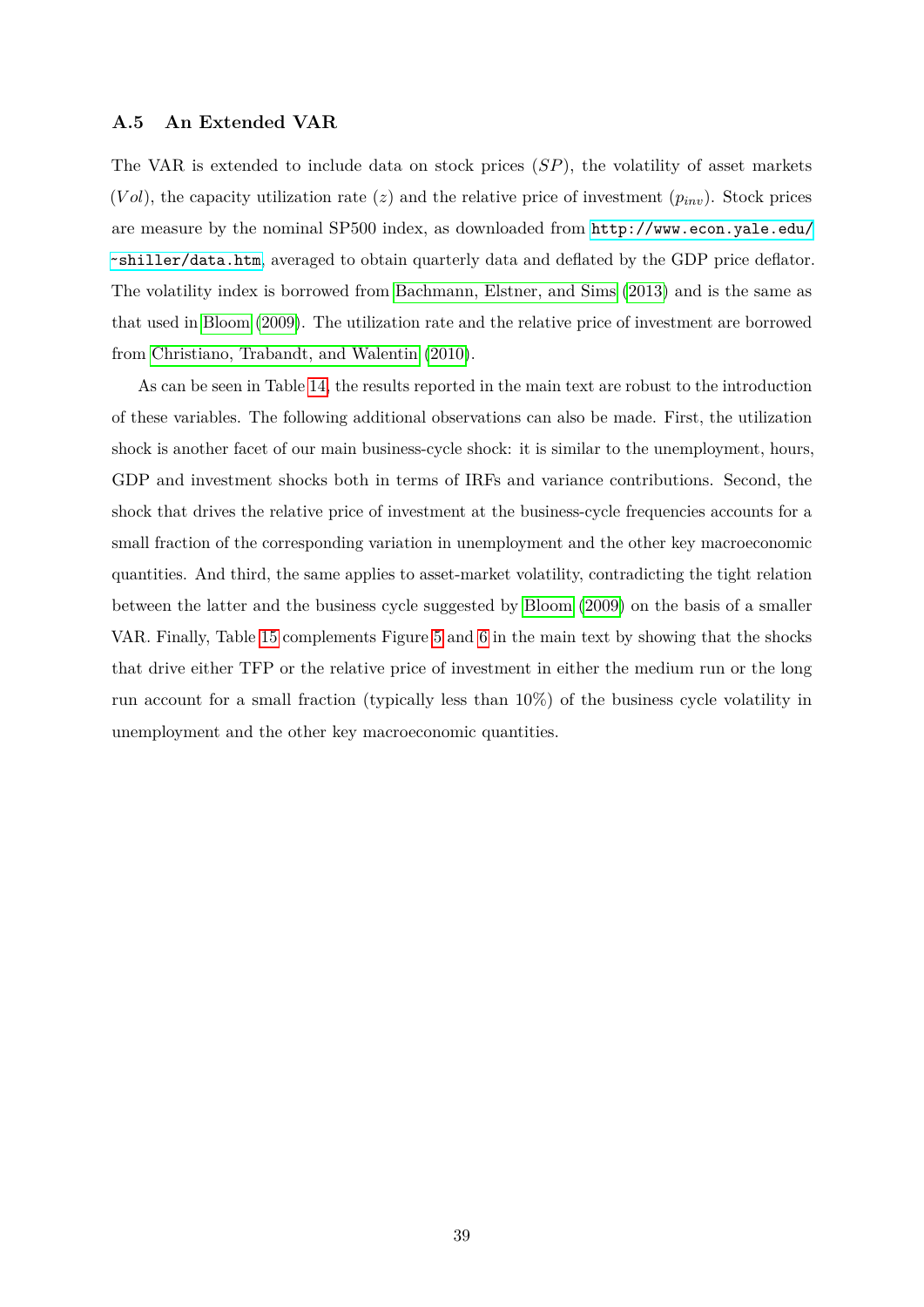#### <span id="page-40-0"></span>**A.5 An Extended VAR**

The VAR is extended to include data on stock prices (*SP*), the volatility of asset markets  $(Vol)$ , the capacity utilization rate  $(z)$  and the relative price of investment  $(p_{inv})$ . Stock prices are measure by the nominal SP500 index, as downloaded from [http://www.econ.yale.edu/](http://www.econ.yale.edu/~shiller/data.htm) [˜shiller/data.htm](http://www.econ.yale.edu/~shiller/data.htm), averaged to obtain quarterly data and deflated by the GDP price deflator. The volatility index is borrowed from [Bachmann, Elstner, and Sims \(2013\)](#page-30-12) and is the same as that used in [Bloom \(2009\)](#page-31-14). The utilization rate and the relative price of investment are borrowed from [Christiano, Trabandt, and Walentin \(2010\)](#page-32-12).

As can be seen in Table [14,](#page-41-1) the results reported in the main text are robust to the introduction of these variables. The following additional observations can also be made. First, the utilization shock is another facet of our main business-cycle shock: it is similar to the unemployment, hours, GDP and investment shocks both in terms of IRFs and variance contributions. Second, the shock that drives the relative price of investment at the business-cycle frequencies accounts for a small fraction of the corresponding variation in unemployment and the other key macroeconomic quantities. And third, the same applies to asset-market volatility, contradicting the tight relation between the latter and the business cycle suggested by [Bloom \(2009\)](#page-31-14) on the basis of a smaller VAR. Finally, Table [15](#page-41-0) complements Figure [5](#page-16-0) and [6](#page-17-1) in the main text by showing that the shocks that drive either TFP or the relative price of investment in either the medium run or the long run account for a small fraction (typically less than 10%) of the business cycle volatility in unemployment and the other key macroeconomic quantities.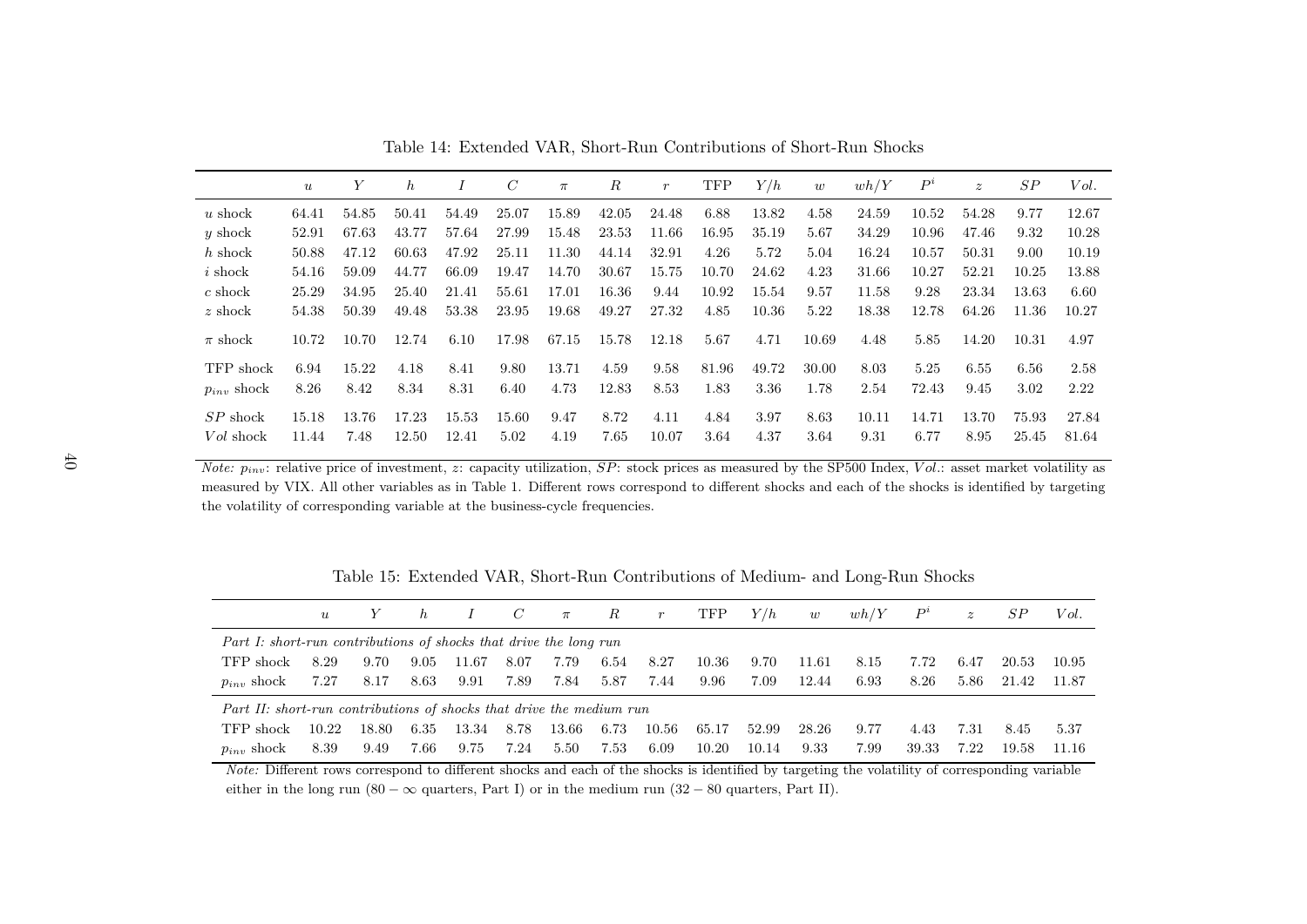|                 | $\boldsymbol{u}$ | Υ     | $\hbar$ |       | С     | $\pi$ | $\boldsymbol{R}$ | $\boldsymbol{r}$ | <b>TFP</b> | Y/h   | w     | wh/Y  | $P^i$ | $\boldsymbol{z}$ | SP    | Vol.  |
|-----------------|------------------|-------|---------|-------|-------|-------|------------------|------------------|------------|-------|-------|-------|-------|------------------|-------|-------|
| $u$ shock       | 64.41            | 54.85 | 50.41   | 54.49 | 25.07 | 15.89 | 42.05            | 24.48            | 6.88       | 13.82 | 4.58  | 24.59 | 10.52 | 54.28            | 9.77  | 12.67 |
| $y$ shock       | 52.91            | 67.63 | 43.77   | 57.64 | 27.99 | 15.48 | 23.53            | 11.66            | 16.95      | 35.19 | 5.67  | 34.29 | 10.96 | 47.46            | 9.32  | 10.28 |
| $h$ shock       | 50.88            | 47.12 | 60.63   | 47.92 | 25.11 | 11.30 | 44.14            | 32.91            | 4.26       | 5.72  | 5.04  | 16.24 | 10.57 | 50.31            | 9.00  | 10.19 |
| $i$ shock       | 54.16            | 59.09 | 44.77   | 66.09 | 19.47 | 14.70 | 30.67            | 15.75            | 10.70      | 24.62 | 4.23  | 31.66 | 10.27 | 52.21            | 10.25 | 13.88 |
| $c \;$ shock    | 25.29            | 34.95 | 25.40   | 21.41 | 55.61 | 17.01 | 16.36            | 9.44             | 10.92      | 15.54 | 9.57  | 11.58 | 9.28  | 23.34            | 13.63 | 6.60  |
| $z \;$ shock    | 54.38            | 50.39 | 49.48   | 53.38 | 23.95 | 19.68 | 49.27            | 27.32            | 4.85       | 10.36 | 5.22  | 18.38 | 12.78 | 64.26            | 11.36 | 10.27 |
| $\pi$ shock     | 10.72            | 10.70 | 12.74   | 6.10  | 17.98 | 67.15 | 15.78            | 12.18            | 5.67       | 4.71  | 10.69 | 4.48  | 5.85  | 14.20            | 10.31 | 4.97  |
| TFP shock       | 6.94             | 15.22 | 4.18    | 8.41  | 9.80  | 13.71 | 4.59             | 9.58             | 81.96      | 49.72 | 30.00 | 8.03  | 5.25  | 6.55             | 6.56  | 2.58  |
| $p_{inv}$ shock | 8.26             | 8.42  | 8.34    | 8.31  | 6.40  | 4.73  | 12.83            | 8.53             | 1.83       | 3.36  | 1.78  | 2.54  | 72.43 | 9.45             | 3.02  | 2.22  |
| $SP$ shock      | 15.18            | 13.76 | 17.23   | 15.53 | 15.60 | 9.47  | 8.72             | 4.11             | 4.84       | 3.97  | 8.63  | 10.11 | 14.71 | 13.70            | 75.93 | 27.84 |
| Vol shock       | 11.44            | 7.48  | 12.50   | 12.41 | 5.02  | 4.19  | 7.65             | 10.07            | 3.64       | 4.37  | 3.64  | 9.31  | 6.77  | 8.95             | 25.45 | 81.64 |

<span id="page-41-1"></span><span id="page-41-0"></span>Table 14: Extended VAR, Short-Run Contributions of Short-Run Shocks

*Note:*  $p_{inv}$ : relative price of investment, *z*: capacity utilization, *SP*: stock prices as measured by the SP500 Index, *Vol.*: asset market volatility as measured by VIX. All other variables as in Table 1. Different rows correspond to different shocks and each of the shocks is identified by targetingthe volatility of corresponding variable at the business-cycle frequencies.

Table 15: Extended VAR, Short-Run Contributions of Medium- and Long-Run Shocks

|                                                                      | $\boldsymbol{u}$ | Y     | $\hbar$ |       | $\mathcal{C}$ | $\pi$ | $\boldsymbol{R}$ | r     | TFP   | Y/h   | w     | wh/Y | $P^i$ | $\tilde{z}$ | SР    | Vol.   |
|----------------------------------------------------------------------|------------------|-------|---------|-------|---------------|-------|------------------|-------|-------|-------|-------|------|-------|-------------|-------|--------|
| Part I: short-run contributions of shocks that drive the long run    |                  |       |         |       |               |       |                  |       |       |       |       |      |       |             |       |        |
| TFP shock                                                            | 8.29             | 9.70  | 9.05    | 11.67 | 8.07          | 7.79  | 6.54             | 8.27  | 10.36 | 9.70  | 11.61 | 8.15 | 7.72  | 6.47        | 20.53 | -10.95 |
| $p_{inv}$ shock                                                      | 7.27             | 8.17  | 8.63    | 9.91  | 7.89          | 7.84  | 5.87             | 7.44  | 9.96  | 7.09  | 12.44 | 6.93 | 8.26  | 5.86        | 21.42 | 11.87  |
| Part II: short-run contributions of shocks that drive the medium run |                  |       |         |       |               |       |                  |       |       |       |       |      |       |             |       |        |
| TFP shock                                                            | 10.22            | 18.80 | 6.35    | 13.34 | 8.78          | 13.66 | 6.73             | 10.56 | 65.17 | 52.99 | 28.26 | 9.77 | 4.43  | 7.31        | 8.45  | 5.37   |
| $p_{inv}$ shock                                                      | 8.39             | 9.49  | 7.66    | 9.75  | 7.24          | 5.50  | 7.53             | 6.09  | 10.20 | 10.14 | 9.33  | 7.99 | 39.33 | 7.22        | 19.58 | 11.16  |

*Note:* Different rows correspond to different shocks and each of the shocks is identified by targeting the volatility of corresponding variableeither in the long run (80 –  $\infty$  quarters, Part I) or in the medium run (32 – 80 quarters, Part II).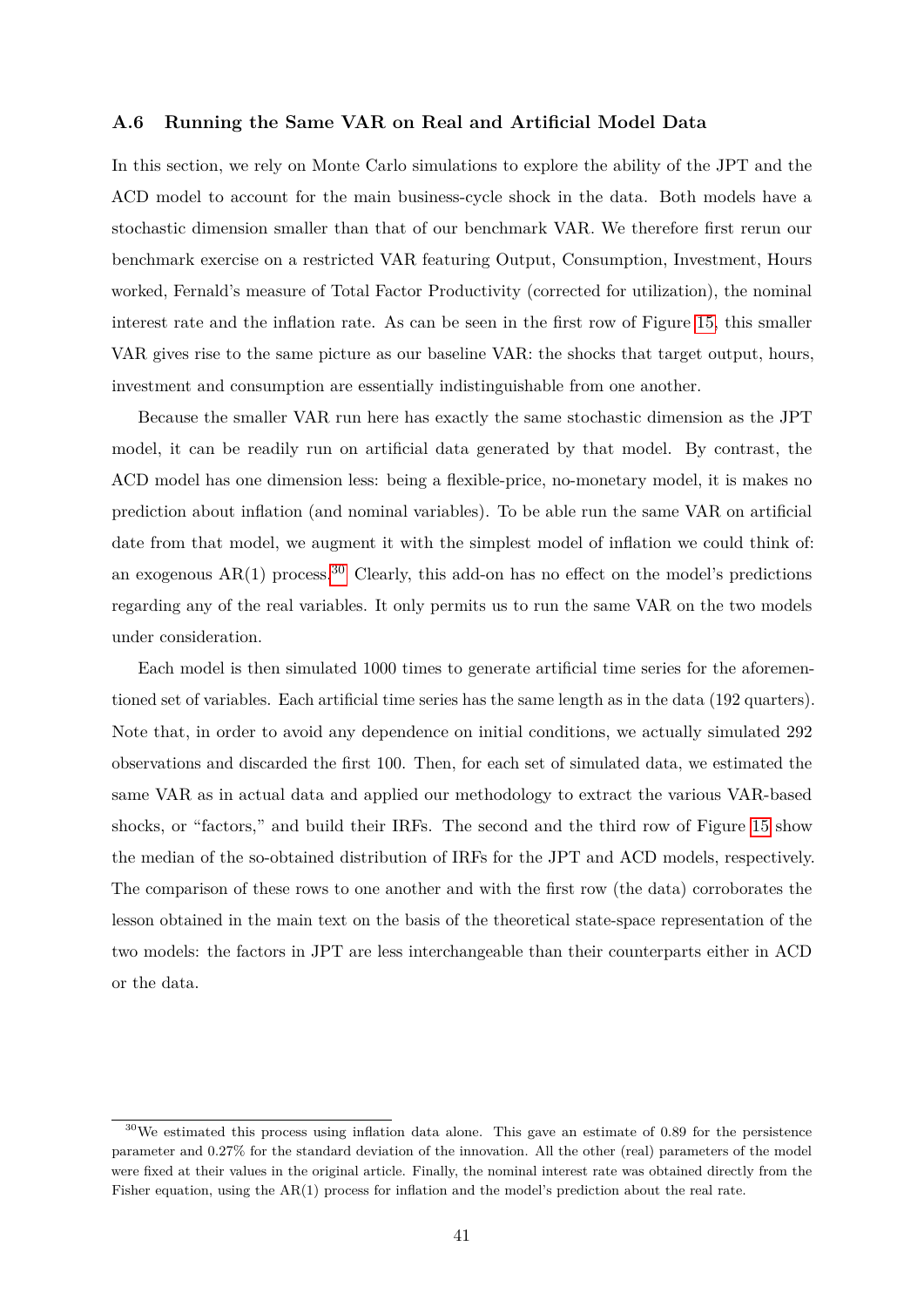#### <span id="page-42-0"></span>**A.6 Running the Same VAR on Real and Artificial Model Data**

In this section, we rely on Monte Carlo simulations to explore the ability of the JPT and the ACD model to account for the main business-cycle shock in the data. Both models have a stochastic dimension smaller than that of our benchmark VAR. We therefore first rerun our benchmark exercise on a restricted VAR featuring Output, Consumption, Investment, Hours worked, Fernald's measure of Total Factor Productivity (corrected for utilization), the nominal interest rate and the inflation rate. As can be seen in the first row of Figure [15,](#page-43-0) this smaller VAR gives rise to the same picture as our baseline VAR: the shocks that target output, hours, investment and consumption are essentially indistinguishable from one another.

Because the smaller VAR run here has exactly the same stochastic dimension as the JPT model, it can be readily run on artificial data generated by that model. By contrast, the ACD model has one dimension less: being a flexible-price, no-monetary model, it is makes no prediction about inflation (and nominal variables). To be able run the same VAR on artificial date from that model, we augment it with the simplest model of inflation we could think of: an exogenous  $AR(1)$  process.<sup>[30](#page-42-1)</sup> Clearly, this add-on has no effect on the model's predictions regarding any of the real variables. It only permits us to run the same VAR on the two models under consideration.

Each model is then simulated 1000 times to generate artificial time series for the aforementioned set of variables. Each artificial time series has the same length as in the data (192 quarters). Note that, in order to avoid any dependence on initial conditions, we actually simulated 292 observations and discarded the first 100. Then, for each set of simulated data, we estimated the same VAR as in actual data and applied our methodology to extract the various VAR-based shocks, or "factors," and build their IRFs. The second and the third row of Figure [15](#page-43-0) show the median of the so-obtained distribution of IRFs for the JPT and ACD models, respectively. The comparison of these rows to one another and with the first row (the data) corroborates the lesson obtained in the main text on the basis of the theoretical state-space representation of the two models: the factors in JPT are less interchangeable than their counterparts either in ACD or the data.

<span id="page-42-1"></span><sup>30</sup>We estimated this process using inflation data alone. This gave an estimate of 0.89 for the persistence parameter and 0.27% for the standard deviation of the innovation. All the other (real) parameters of the model were fixed at their values in the original article. Finally, the nominal interest rate was obtained directly from the Fisher equation, using the AR(1) process for inflation and the model's prediction about the real rate.